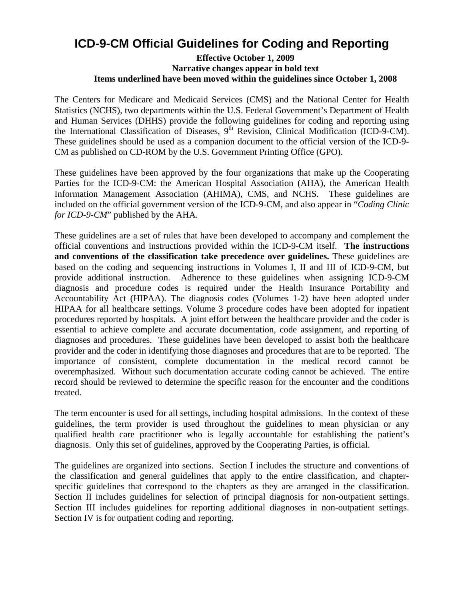# <span id="page-0-0"></span>**ICD-9-CM Official Guidelines for Coding and Reporting**

### **Effective October 1, 2009 Narrative changes appear in bold text Items underlined have been moved within the guidelines since October 1, 2008**

The Centers for Medicare and Medicaid Services (CMS) and the National Center for Health Statistics (NCHS), two departments within the U.S. Federal Government's Department of Health and Human Services (DHHS) provide the following guidelines for coding and reporting using the International Classification of Diseases,  $9<sup>th</sup>$  Revision, Clinical Modification (ICD-9-CM). These guidelines should be used as a companion document to the official version of the ICD-9- CM as published on CD-ROM by the U.S. Government Printing Office (GPO).

These guidelines have been approved by the four organizations that make up the Cooperating Parties for the ICD-9-CM: the American Hospital Association (AHA), the American Health Information Management Association (AHIMA), CMS, and NCHS. These guidelines are included on the official government version of the ICD-9-CM, and also appear in "*Coding Clinic for ICD-9-CM*" published by the AHA.

These guidelines are a set of rules that have been developed to accompany and complement the official conventions and instructions provided within the ICD-9-CM itself. **The instructions and conventions of the classification take precedence over guidelines.** These guidelines are based on the coding and sequencing instructions in Volumes I, II and III of ICD-9-CM, but provide additional instruction. Adherence to these guidelines when assigning ICD-9-CM diagnosis and procedure codes is required under the Health Insurance Portability and Accountability Act (HIPAA). The diagnosis codes (Volumes 1-2) have been adopted under HIPAA for all healthcare settings. Volume 3 procedure codes have been adopted for inpatient procedures reported by hospitals. A joint effort between the healthcare provider and the coder is essential to achieve complete and accurate documentation, code assignment, and reporting of diagnoses and procedures. These guidelines have been developed to assist both the healthcare provider and the coder in identifying those diagnoses and procedures that are to be reported. The importance of consistent, complete documentation in the medical record cannot be overemphasized. Without such documentation accurate coding cannot be achieved. The entire record should be reviewed to determine the specific reason for the encounter and the conditions treated.

The term encounter is used for all settings, including hospital admissions. In the context of these guidelines, the term provider is used throughout the guidelines to mean physician or any qualified health care practitioner who is legally accountable for establishing the patient's diagnosis. Only this set of guidelines, approved by the Cooperating Parties, is official.

The guidelines are organized into sections. Section I includes the structure and conventions of the classification and general guidelines that apply to the entire classification, and chapterspecific guidelines that correspond to the chapters as they are arranged in the classification. Section II includes guidelines for selection of principal diagnosis for non-outpatient settings. Section III includes guidelines for reporting additional diagnoses in non-outpatient settings. Section IV is for outpatient coding and reporting.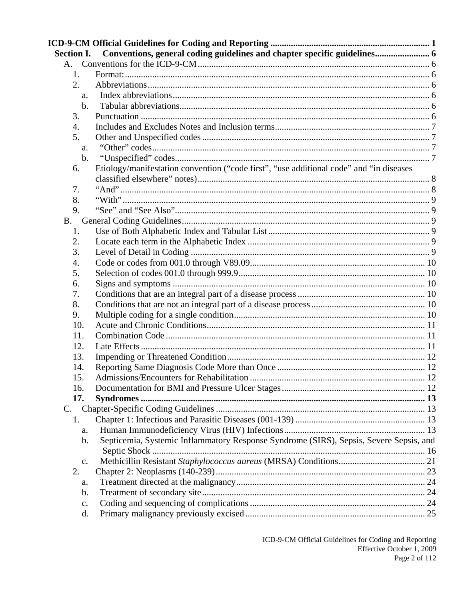| <b>Section I.</b> | Conventions, general coding guidelines and chapter specific guidelines 6                     |  |
|-------------------|----------------------------------------------------------------------------------------------|--|
|                   |                                                                                              |  |
| 1.                |                                                                                              |  |
| $\overline{2}$ .  |                                                                                              |  |
|                   | a.                                                                                           |  |
|                   | h.                                                                                           |  |
| 3.                |                                                                                              |  |
| 4.                |                                                                                              |  |
| 5.                |                                                                                              |  |
|                   | a.                                                                                           |  |
|                   | b.                                                                                           |  |
| 6.                | Etiology/manifestation convention ("code first", "use additional code" and "in diseases      |  |
|                   |                                                                                              |  |
| 7.                |                                                                                              |  |
| 8.                |                                                                                              |  |
| 9.                |                                                                                              |  |
| <b>B.</b>         |                                                                                              |  |
| 1.                |                                                                                              |  |
| 2.                |                                                                                              |  |
| 3.                |                                                                                              |  |
| 4.                |                                                                                              |  |
| 5.                |                                                                                              |  |
| 6.                |                                                                                              |  |
| 7.                |                                                                                              |  |
| 8.                |                                                                                              |  |
| 9.                |                                                                                              |  |
| 10.               |                                                                                              |  |
| 11.               |                                                                                              |  |
| 12.               |                                                                                              |  |
| 13.               |                                                                                              |  |
| 14.               |                                                                                              |  |
| 15.               |                                                                                              |  |
| 16.               |                                                                                              |  |
| 17.               |                                                                                              |  |
| C.                |                                                                                              |  |
| 1.                |                                                                                              |  |
|                   | a.                                                                                           |  |
|                   | Septicemia, Systemic Inflammatory Response Syndrome (SIRS), Sepsis, Severe Sepsis, and<br>b. |  |
|                   |                                                                                              |  |
|                   | $C_{\bullet}$                                                                                |  |
| 2.                |                                                                                              |  |
|                   | a.                                                                                           |  |
|                   | b.                                                                                           |  |
|                   | c.                                                                                           |  |
|                   | d.                                                                                           |  |

ICD-9-CM Official Guidelines for Coding and Reporting Effective October 1, 2009 Page 2 of 112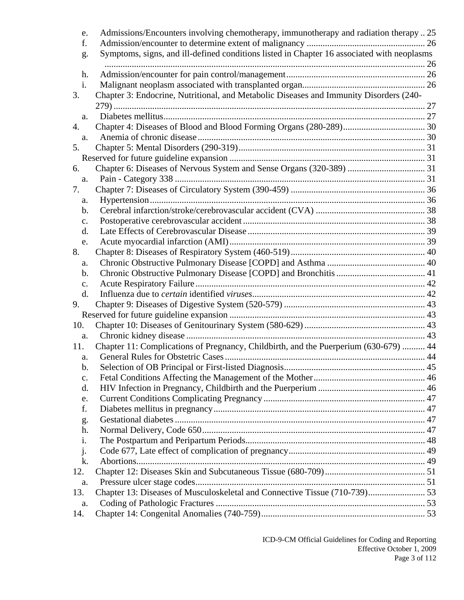| f.<br>Symptoms, signs, and ill-defined conditions listed in Chapter 16 associated with neoplasms<br>g.<br>h.<br>i.<br>Chapter 3: Endocrine, Nutritional, and Metabolic Diseases and Immunity Disorders (240-<br>3.<br>a.<br>4.<br>a.<br>5.<br>Chapter 6: Diseases of Nervous System and Sense Organs (320-389)  31<br>6.<br>a.<br>7.<br>a.<br>$\mathbf b$ .<br>c.<br>d.<br>e.<br>8.<br>a.<br>$\mathbf b$ .<br>c.<br>d.<br>9.<br>10.<br>a.<br>Chapter 11: Complications of Pregnancy, Childbirth, and the Puerperium (630-679)  44<br>11.<br>a.<br>b.<br>c.<br>d.<br>e.<br>f.<br>g.<br>h.<br>i.<br>j.<br>k.<br>12.<br>a. | e.  | Admissions/Encounters involving chemotherapy, immunotherapy and radiation therapy  25 |  |
|-------------------------------------------------------------------------------------------------------------------------------------------------------------------------------------------------------------------------------------------------------------------------------------------------------------------------------------------------------------------------------------------------------------------------------------------------------------------------------------------------------------------------------------------------------------------------------------------------------------------------|-----|---------------------------------------------------------------------------------------|--|
|                                                                                                                                                                                                                                                                                                                                                                                                                                                                                                                                                                                                                         |     |                                                                                       |  |
|                                                                                                                                                                                                                                                                                                                                                                                                                                                                                                                                                                                                                         |     |                                                                                       |  |
|                                                                                                                                                                                                                                                                                                                                                                                                                                                                                                                                                                                                                         |     |                                                                                       |  |
|                                                                                                                                                                                                                                                                                                                                                                                                                                                                                                                                                                                                                         |     |                                                                                       |  |
|                                                                                                                                                                                                                                                                                                                                                                                                                                                                                                                                                                                                                         |     |                                                                                       |  |
|                                                                                                                                                                                                                                                                                                                                                                                                                                                                                                                                                                                                                         |     |                                                                                       |  |
|                                                                                                                                                                                                                                                                                                                                                                                                                                                                                                                                                                                                                         |     |                                                                                       |  |
|                                                                                                                                                                                                                                                                                                                                                                                                                                                                                                                                                                                                                         |     |                                                                                       |  |
|                                                                                                                                                                                                                                                                                                                                                                                                                                                                                                                                                                                                                         |     |                                                                                       |  |
|                                                                                                                                                                                                                                                                                                                                                                                                                                                                                                                                                                                                                         |     |                                                                                       |  |
|                                                                                                                                                                                                                                                                                                                                                                                                                                                                                                                                                                                                                         |     |                                                                                       |  |
|                                                                                                                                                                                                                                                                                                                                                                                                                                                                                                                                                                                                                         |     |                                                                                       |  |
|                                                                                                                                                                                                                                                                                                                                                                                                                                                                                                                                                                                                                         |     |                                                                                       |  |
|                                                                                                                                                                                                                                                                                                                                                                                                                                                                                                                                                                                                                         |     |                                                                                       |  |
|                                                                                                                                                                                                                                                                                                                                                                                                                                                                                                                                                                                                                         |     |                                                                                       |  |
|                                                                                                                                                                                                                                                                                                                                                                                                                                                                                                                                                                                                                         |     |                                                                                       |  |
|                                                                                                                                                                                                                                                                                                                                                                                                                                                                                                                                                                                                                         |     |                                                                                       |  |
|                                                                                                                                                                                                                                                                                                                                                                                                                                                                                                                                                                                                                         |     |                                                                                       |  |
|                                                                                                                                                                                                                                                                                                                                                                                                                                                                                                                                                                                                                         |     |                                                                                       |  |
|                                                                                                                                                                                                                                                                                                                                                                                                                                                                                                                                                                                                                         |     |                                                                                       |  |
|                                                                                                                                                                                                                                                                                                                                                                                                                                                                                                                                                                                                                         |     |                                                                                       |  |
|                                                                                                                                                                                                                                                                                                                                                                                                                                                                                                                                                                                                                         |     |                                                                                       |  |
|                                                                                                                                                                                                                                                                                                                                                                                                                                                                                                                                                                                                                         |     |                                                                                       |  |
|                                                                                                                                                                                                                                                                                                                                                                                                                                                                                                                                                                                                                         |     |                                                                                       |  |
|                                                                                                                                                                                                                                                                                                                                                                                                                                                                                                                                                                                                                         |     |                                                                                       |  |
|                                                                                                                                                                                                                                                                                                                                                                                                                                                                                                                                                                                                                         |     |                                                                                       |  |
|                                                                                                                                                                                                                                                                                                                                                                                                                                                                                                                                                                                                                         |     |                                                                                       |  |
|                                                                                                                                                                                                                                                                                                                                                                                                                                                                                                                                                                                                                         |     |                                                                                       |  |
|                                                                                                                                                                                                                                                                                                                                                                                                                                                                                                                                                                                                                         |     |                                                                                       |  |
|                                                                                                                                                                                                                                                                                                                                                                                                                                                                                                                                                                                                                         |     |                                                                                       |  |
|                                                                                                                                                                                                                                                                                                                                                                                                                                                                                                                                                                                                                         |     |                                                                                       |  |
|                                                                                                                                                                                                                                                                                                                                                                                                                                                                                                                                                                                                                         |     |                                                                                       |  |
|                                                                                                                                                                                                                                                                                                                                                                                                                                                                                                                                                                                                                         |     |                                                                                       |  |
|                                                                                                                                                                                                                                                                                                                                                                                                                                                                                                                                                                                                                         |     |                                                                                       |  |
|                                                                                                                                                                                                                                                                                                                                                                                                                                                                                                                                                                                                                         |     |                                                                                       |  |
|                                                                                                                                                                                                                                                                                                                                                                                                                                                                                                                                                                                                                         |     |                                                                                       |  |
|                                                                                                                                                                                                                                                                                                                                                                                                                                                                                                                                                                                                                         |     |                                                                                       |  |
|                                                                                                                                                                                                                                                                                                                                                                                                                                                                                                                                                                                                                         |     |                                                                                       |  |
|                                                                                                                                                                                                                                                                                                                                                                                                                                                                                                                                                                                                                         |     |                                                                                       |  |
|                                                                                                                                                                                                                                                                                                                                                                                                                                                                                                                                                                                                                         |     |                                                                                       |  |
|                                                                                                                                                                                                                                                                                                                                                                                                                                                                                                                                                                                                                         |     |                                                                                       |  |
|                                                                                                                                                                                                                                                                                                                                                                                                                                                                                                                                                                                                                         |     |                                                                                       |  |
|                                                                                                                                                                                                                                                                                                                                                                                                                                                                                                                                                                                                                         |     |                                                                                       |  |
|                                                                                                                                                                                                                                                                                                                                                                                                                                                                                                                                                                                                                         | 13. | Chapter 13: Diseases of Musculoskeletal and Connective Tissue (710-739) 53            |  |
| a.                                                                                                                                                                                                                                                                                                                                                                                                                                                                                                                                                                                                                      |     |                                                                                       |  |
| 14.                                                                                                                                                                                                                                                                                                                                                                                                                                                                                                                                                                                                                     |     |                                                                                       |  |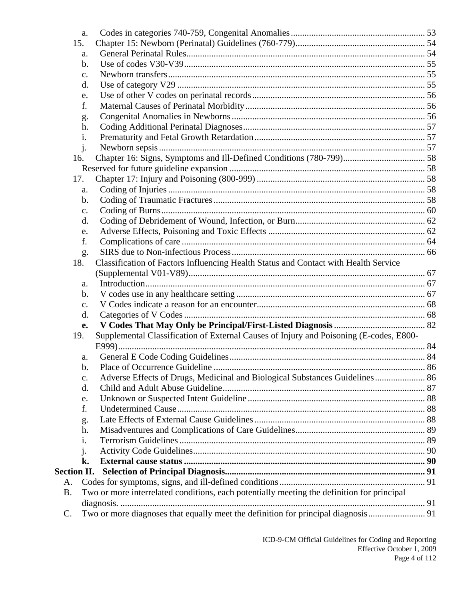|                    | a.              |                                                                                            |  |
|--------------------|-----------------|--------------------------------------------------------------------------------------------|--|
|                    | 15.             |                                                                                            |  |
|                    | a.              |                                                                                            |  |
|                    | $b$             |                                                                                            |  |
|                    | c.              |                                                                                            |  |
|                    | d.              |                                                                                            |  |
|                    | e.              |                                                                                            |  |
|                    | f.              |                                                                                            |  |
|                    | g.              |                                                                                            |  |
|                    | h.              |                                                                                            |  |
|                    | i.              |                                                                                            |  |
|                    | $\mathbf{j}$ .  |                                                                                            |  |
|                    | 16.             |                                                                                            |  |
|                    |                 |                                                                                            |  |
|                    | 17.             |                                                                                            |  |
|                    | a.              |                                                                                            |  |
|                    | b.              |                                                                                            |  |
|                    | $\mathcal{C}$ . |                                                                                            |  |
|                    | d.              |                                                                                            |  |
|                    | e.              |                                                                                            |  |
|                    | f.              |                                                                                            |  |
|                    | g.              |                                                                                            |  |
|                    | 18.             | Classification of Factors Influencing Health Status and Contact with Health Service        |  |
|                    |                 |                                                                                            |  |
|                    | a.              |                                                                                            |  |
|                    | $\mathbf b$ .   |                                                                                            |  |
|                    | $\mathbf{C}$ .  |                                                                                            |  |
|                    | d.              |                                                                                            |  |
|                    | e.              |                                                                                            |  |
|                    | 19.             | Supplemental Classification of External Causes of Injury and Poisoning (E-codes, E800-     |  |
|                    |                 |                                                                                            |  |
|                    | a.<br>b.        |                                                                                            |  |
|                    |                 | Adverse Effects of Drugs, Medicinal and Biological Substances Guidelines  86               |  |
|                    | c.<br>d.        |                                                                                            |  |
|                    | e.              |                                                                                            |  |
|                    | f.              |                                                                                            |  |
|                    | g.              |                                                                                            |  |
|                    | h.              |                                                                                            |  |
|                    | i.              |                                                                                            |  |
|                    | $\mathbf{1}$    |                                                                                            |  |
|                    | k.              |                                                                                            |  |
| <b>Section II.</b> |                 |                                                                                            |  |
| А.                 |                 |                                                                                            |  |
| <b>B.</b>          |                 | Two or more interrelated conditions, each potentially meeting the definition for principal |  |
|                    |                 |                                                                                            |  |
| $\mathbf{C}$ .     |                 | Two or more diagnoses that equally meet the definition for principal diagnosis 91          |  |
|                    |                 |                                                                                            |  |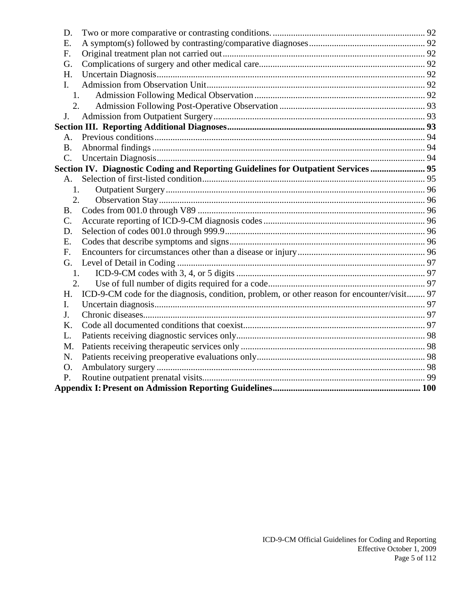| D.              |                                                                                             |  |
|-----------------|---------------------------------------------------------------------------------------------|--|
| Ε.              |                                                                                             |  |
| F.              |                                                                                             |  |
| G.              |                                                                                             |  |
| H.              |                                                                                             |  |
| I.              |                                                                                             |  |
| 1.              |                                                                                             |  |
| 2.              |                                                                                             |  |
| J.              |                                                                                             |  |
|                 |                                                                                             |  |
| А.              |                                                                                             |  |
| <b>B.</b>       |                                                                                             |  |
| $\mathcal{C}$ . |                                                                                             |  |
|                 | Section IV. Diagnostic Coding and Reporting Guidelines for Outpatient Services  95          |  |
| A.              |                                                                                             |  |
| 1.              |                                                                                             |  |
| 2.              |                                                                                             |  |
| <b>B.</b>       |                                                                                             |  |
| C.              |                                                                                             |  |
| D.              |                                                                                             |  |
| Ε.              |                                                                                             |  |
| F.              |                                                                                             |  |
| G.              |                                                                                             |  |
| 1.              |                                                                                             |  |
|                 | 2.                                                                                          |  |
| H.              | ICD-9-CM code for the diagnosis, condition, problem, or other reason for encounter/visit 97 |  |
| I.              |                                                                                             |  |
| J.              |                                                                                             |  |
| K.              |                                                                                             |  |
| L.              |                                                                                             |  |
| M.              |                                                                                             |  |
| N.              |                                                                                             |  |
| O.              |                                                                                             |  |
| P.              |                                                                                             |  |
|                 |                                                                                             |  |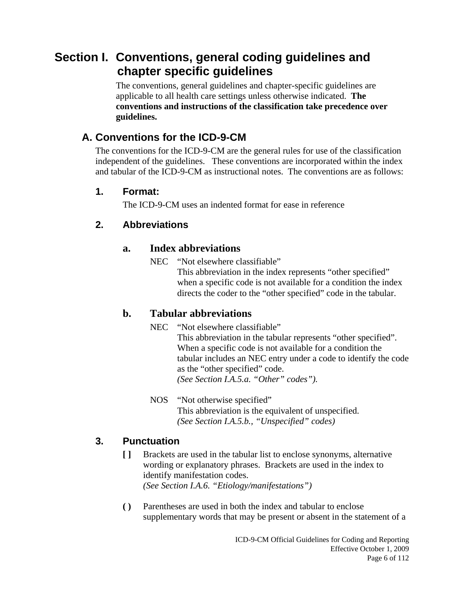# <span id="page-5-0"></span>**Section I. Conventions, general coding guidelines and chapter specific guidelines**

The conventions, general guidelines and chapter-specific guidelines are applicable to all health care settings unless otherwise indicated. **The conventions and instructions of the classification take precedence over guidelines.** 

# <span id="page-5-1"></span>**A. Conventions for the ICD-9-CM**

The conventions for the ICD-9-CM are the general rules for use of the classification independent of the guidelines. These conventions are incorporated within the index and tabular of the ICD-9-CM as instructional notes. The conventions are as follows:

# <span id="page-5-2"></span>**1. Format:**

The ICD-9-CM uses an indented format for ease in reference

# <span id="page-5-4"></span><span id="page-5-3"></span>**2. Abbreviations**

# **a. Index abbreviations**

NEC "Not elsewhere classifiable" This abbreviation in the index represents "other specified" when a specific code is not available for a condition the index directs the coder to the "other specified" code in the tabular.

# <span id="page-5-5"></span>**b. Tabular abbreviations**

NEC "Not elsewhere classifiable"

This abbreviation in the tabular represents "other specified". When a specific code is not available for a condition the tabular includes an NEC entry under a code to identify the code as the "other specified" code. *(See Section I.A.5.a. "Other" codes").* 

NOS "Not otherwise specified" This abbreviation is the equivalent of unspecified. *(See Section I.A.5.b., "Unspecified" codes)* 

# <span id="page-5-6"></span>**3. Punctuation**

- **[ ]** Brackets are used in the tabular list to enclose synonyms, alternative wording or explanatory phrases. Brackets are used in the index to identify manifestation codes. *(See Section I.A.6. "Etiology/manifestations")*
- **( )** Parentheses are used in both the index and tabular to enclose supplementary words that may be present or absent in the statement of a

ICD-9-CM Official Guidelines for Coding and Reporting Effective October 1, 2009 Page 6 of 112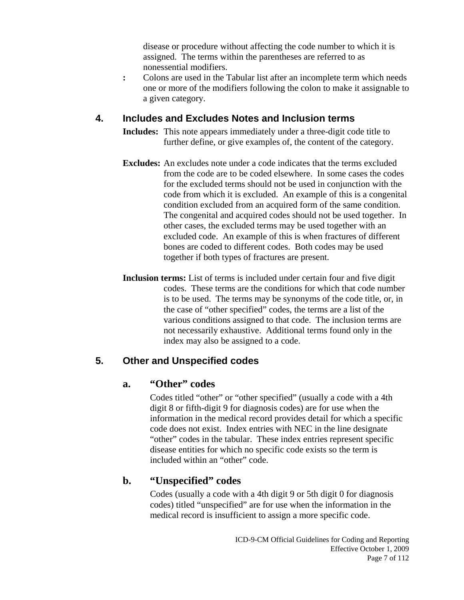disease or procedure without affecting the code number to which it is assigned. The terms within the parentheses are referred to as nonessential modifiers.

**:** Colons are used in the Tabular list after an incomplete term which needs one or more of the modifiers following the colon to make it assignable to a given category.

# <span id="page-6-0"></span>**4. Includes and Excludes Notes and Inclusion terms**

- **Includes:** This note appears immediately under a three-digit code title to further define, or give examples of, the content of the category.
- **Excludes:** An excludes note under a code indicates that the terms excluded from the code are to be coded elsewhere. In some cases the codes for the excluded terms should not be used in conjunction with the code from which it is excluded. An example of this is a congenital condition excluded from an acquired form of the same condition. The congenital and acquired codes should not be used together. In other cases, the excluded terms may be used together with an excluded code. An example of this is when fractures of different bones are coded to different codes. Both codes may be used together if both types of fractures are present.
- **Inclusion terms:** List of terms is included under certain four and five digit codes. These terms are the conditions for which that code number is to be used. The terms may be synonyms of the code title, or, in the case of "other specified" codes, the terms are a list of the various conditions assigned to that code. The inclusion terms are not necessarily exhaustive. Additional terms found only in the index may also be assigned to a code.

# <span id="page-6-2"></span><span id="page-6-1"></span>**5. Other and Unspecified codes**

# **a. "Other" codes**

Codes titled "other" or "other specified" (usually a code with a 4th digit 8 or fifth-digit 9 for diagnosis codes) are for use when the information in the medical record provides detail for which a specific code does not exist. Index entries with NEC in the line designate "other" codes in the tabular. These index entries represent specific disease entities for which no specific code exists so the term is included within an "other" code.

# <span id="page-6-3"></span>**b. "Unspecified" codes**

Codes (usually a code with a 4th digit 9 or 5th digit 0 for diagnosis codes) titled "unspecified" are for use when the information in the medical record is insufficient to assign a more specific code.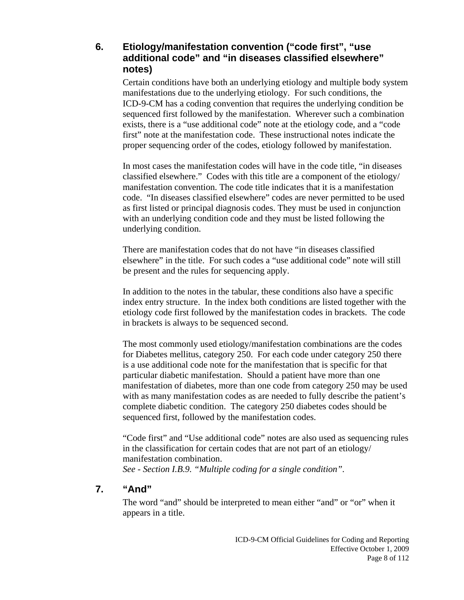# <span id="page-7-0"></span>**6. Etiology/manifestation convention ("code first", "use additional code" and "in diseases classified elsewhere" notes)**

Certain conditions have both an underlying etiology and multiple body system manifestations due to the underlying etiology. For such conditions, the ICD-9-CM has a coding convention that requires the underlying condition be sequenced first followed by the manifestation. Wherever such a combination exists, there is a "use additional code" note at the etiology code, and a "code first" note at the manifestation code. These instructional notes indicate the proper sequencing order of the codes, etiology followed by manifestation.

In most cases the manifestation codes will have in the code title, "in diseases classified elsewhere." Codes with this title are a component of the etiology/ manifestation convention. The code title indicates that it is a manifestation code. "In diseases classified elsewhere" codes are never permitted to be used as first listed or principal diagnosis codes. They must be used in conjunction with an underlying condition code and they must be listed following the underlying condition.

There are manifestation codes that do not have "in diseases classified elsewhere" in the title. For such codes a "use additional code" note will still be present and the rules for sequencing apply.

In addition to the notes in the tabular, these conditions also have a specific index entry structure. In the index both conditions are listed together with the etiology code first followed by the manifestation codes in brackets. The code in brackets is always to be sequenced second.

The most commonly used etiology/manifestation combinations are the codes for Diabetes mellitus, category 250. For each code under category 250 there is a use additional code note for the manifestation that is specific for that particular diabetic manifestation. Should a patient have more than one manifestation of diabetes, more than one code from category 250 may be used with as many manifestation codes as are needed to fully describe the patient's complete diabetic condition. The category 250 diabetes codes should be sequenced first, followed by the manifestation codes.

"Code first" and "Use additional code" notes are also used as sequencing rules in the classification for certain codes that are not part of an etiology/ manifestation combination.

*See - Section I.B.9. "Multiple coding for a single condition".* 

### <span id="page-7-1"></span>**7. "And"**

The word "and" should be interpreted to mean either "and" or "or" when it appears in a title.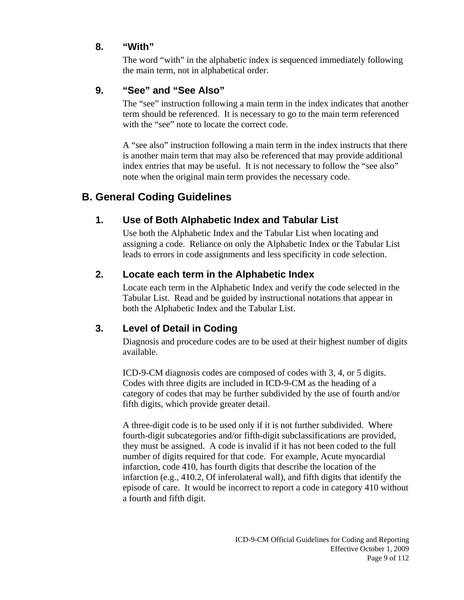## <span id="page-8-0"></span>**8. "With"**

The word "with" in the alphabetic index is sequenced immediately following the main term, not in alphabetical order.

# <span id="page-8-1"></span>**9. "See" and "See Also"**

The "see" instruction following a main term in the index indicates that another term should be referenced. It is necessary to go to the main term referenced with the "see" note to locate the correct code.

A "see also" instruction following a main term in the index instructs that there is another main term that may also be referenced that may provide additional index entries that may be useful. It is not necessary to follow the "see also" note when the original main term provides the necessary code.

# <span id="page-8-3"></span><span id="page-8-2"></span>**B. General Coding Guidelines**

# **1. Use of Both Alphabetic Index and Tabular List**

Use both the Alphabetic Index and the Tabular List when locating and assigning a code. Reliance on only the Alphabetic Index or the Tabular List leads to errors in code assignments and less specificity in code selection.

# <span id="page-8-4"></span>**2. Locate each term in the Alphabetic Index**

Locate each term in the Alphabetic Index and verify the code selected in the Tabular List. Read and be guided by instructional notations that appear in both the Alphabetic Index and the Tabular List.

# <span id="page-8-5"></span>**3. Level of Detail in Coding**

Diagnosis and procedure codes are to be used at their highest number of digits available.

ICD-9-CM diagnosis codes are composed of codes with 3, 4, or 5 digits. Codes with three digits are included in ICD-9-CM as the heading of a category of codes that may be further subdivided by the use of fourth and/or fifth digits, which provide greater detail.

A three-digit code is to be used only if it is not further subdivided. Where fourth-digit subcategories and/or fifth-digit subclassifications are provided, they must be assigned. A code is invalid if it has not been coded to the full number of digits required for that code. For example, Acute myocardial infarction, code 410, has fourth digits that describe the location of the infarction (e.g., 410.2, Of inferolateral wall), and fifth digits that identify the episode of care. It would be incorrect to report a code in category 410 without a fourth and fifth digit.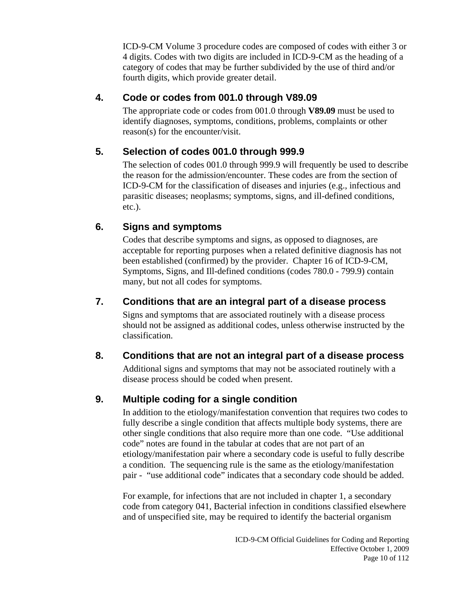ICD-9-CM Volume 3 procedure codes are composed of codes with either 3 or 4 digits. Codes with two digits are included in ICD-9-CM as the heading of a category of codes that may be further subdivided by the use of third and/or fourth digits, which provide greater detail.

## <span id="page-9-0"></span>**4. Code or codes from 001.0 through V89.09**

The appropriate code or codes from 001.0 through **V89.09** must be used to identify diagnoses, symptoms, conditions, problems, complaints or other reason(s) for the encounter/visit.

# <span id="page-9-1"></span>**5. Selection of codes 001.0 through 999.9**

The selection of codes 001.0 through 999.9 will frequently be used to describe the reason for the admission/encounter. These codes are from the section of ICD-9-CM for the classification of diseases and injuries (e.g., infectious and parasitic diseases; neoplasms; symptoms, signs, and ill-defined conditions, etc.).

# <span id="page-9-2"></span>**6. Signs and symptoms**

Codes that describe symptoms and signs, as opposed to diagnoses, are acceptable for reporting purposes when a related definitive diagnosis has not been established (confirmed) by the provider. Chapter 16 of ICD-9-CM, Symptoms, Signs, and Ill-defined conditions (codes 780.0 - 799.9) contain many, but not all codes for symptoms.

# <span id="page-9-3"></span>**7. Conditions that are an integral part of a disease process**

Signs and symptoms that are associated routinely with a disease process should not be assigned as additional codes, unless otherwise instructed by the classification.

# <span id="page-9-4"></span>**8. Conditions that are not an integral part of a disease process**

Additional signs and symptoms that may not be associated routinely with a disease process should be coded when present.

# <span id="page-9-5"></span>**9. Multiple coding for a single condition**

In addition to the etiology/manifestation convention that requires two codes to fully describe a single condition that affects multiple body systems, there are other single conditions that also require more than one code. "Use additional code" notes are found in the tabular at codes that are not part of an etiology/manifestation pair where a secondary code is useful to fully describe a condition. The sequencing rule is the same as the etiology/manifestation pair - "use additional code" indicates that a secondary code should be added.

For example, for infections that are not included in chapter 1, a secondary code from category 041, Bacterial infection in conditions classified elsewhere and of unspecified site, may be required to identify the bacterial organism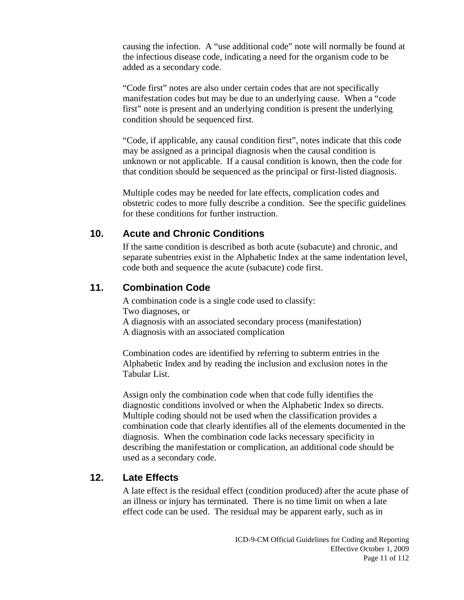causing the infection. A "use additional code" note will normally be found at the infectious disease code, indicating a need for the organism code to be added as a secondary code.

"Code first" notes are also under certain codes that are not specifically manifestation codes but may be due to an underlying cause. When a "code first" note is present and an underlying condition is present the underlying condition should be sequenced first.

"Code, if applicable, any causal condition first", notes indicate that this code may be assigned as a principal diagnosis when the causal condition is unknown or not applicable. If a causal condition is known, then the code for that condition should be sequenced as the principal or first-listed diagnosis.

Multiple codes may be needed for late effects, complication codes and obstetric codes to more fully describe a condition. See the specific guidelines for these conditions for further instruction.

#### <span id="page-10-0"></span>**10. Acute and Chronic Conditions**

If the same condition is described as both acute (subacute) and chronic, and separate subentries exist in the Alphabetic Index at the same indentation level, code both and sequence the acute (subacute) code first.

#### <span id="page-10-1"></span>**11. Combination Code**

A combination code is a single code used to classify: Two diagnoses, or A diagnosis with an associated secondary process (manifestation) A diagnosis with an associated complication

Combination codes are identified by referring to subterm entries in the Alphabetic Index and by reading the inclusion and exclusion notes in the Tabular List.

Assign only the combination code when that code fully identifies the diagnostic conditions involved or when the Alphabetic Index so directs. Multiple coding should not be used when the classification provides a combination code that clearly identifies all of the elements documented in the diagnosis. When the combination code lacks necessary specificity in describing the manifestation or complication, an additional code should be used as a secondary code.

#### <span id="page-10-2"></span>**12. Late Effects**

A late effect is the residual effect (condition produced) after the acute phase of an illness or injury has terminated. There is no time limit on when a late effect code can be used. The residual may be apparent early, such as in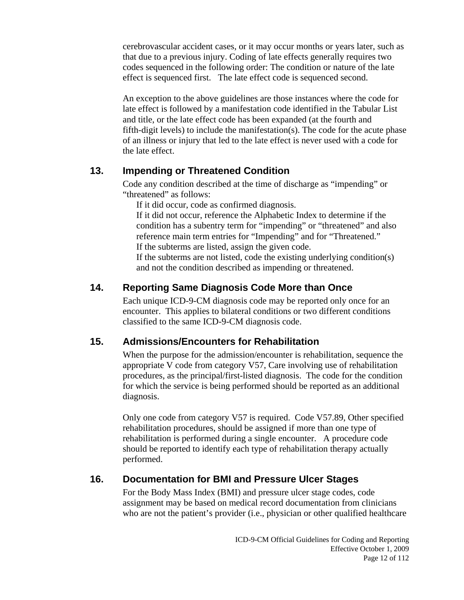cerebrovascular accident cases, or it may occur months or years later, such as that due to a previous injury. Coding of late effects generally requires two codes sequenced in the following order: The condition or nature of the late effect is sequenced first. The late effect code is sequenced second.

An exception to the above guidelines are those instances where the code for late effect is followed by a manifestation code identified in the Tabular List and title, or the late effect code has been expanded (at the fourth and fifth-digit levels) to include the manifestation(s). The code for the acute phase of an illness or injury that led to the late effect is never used with a code for the late effect.

#### <span id="page-11-0"></span>**13. Impending or Threatened Condition**

Code any condition described at the time of discharge as "impending" or "threatened" as follows:

If it did occur, code as confirmed diagnosis.

If it did not occur, reference the Alphabetic Index to determine if the condition has a subentry term for "impending" or "threatened" and also reference main term entries for "Impending" and for "Threatened." If the subterms are listed, assign the given code.

If the subterms are not listed, code the existing underlying condition(s) and not the condition described as impending or threatened.

#### <span id="page-11-1"></span>**14. Reporting Same Diagnosis Code More than Once**

Each unique ICD-9-CM diagnosis code may be reported only once for an encounter. This applies to bilateral conditions or two different conditions classified to the same ICD-9-CM diagnosis code.

#### <span id="page-11-2"></span>**15. Admissions/Encounters for Rehabilitation**

When the purpose for the admission/encounter is rehabilitation, sequence the appropriate V code from category V57, Care involving use of rehabilitation procedures, as the principal/first-listed diagnosis. The code for the condition for which the service is being performed should be reported as an additional diagnosis.

Only one code from category V57 is required. Code V57.89, Other specified rehabilitation procedures, should be assigned if more than one type of rehabilitation is performed during a single encounter. A procedure code should be reported to identify each type of rehabilitation therapy actually performed.

#### <span id="page-11-3"></span>**16. Documentation for BMI and Pressure Ulcer Stages**

For the Body Mass Index (BMI) and pressure ulcer stage codes, code assignment may be based on medical record documentation from clinicians who are not the patient's provider (i.e., physician or other qualified healthcare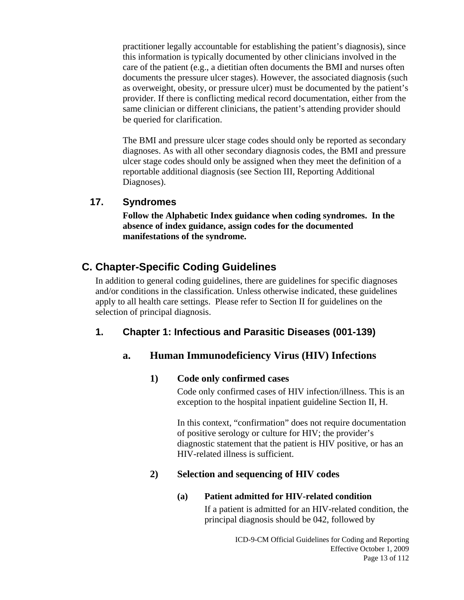practitioner legally accountable for establishing the patient's diagnosis), since this information is typically documented by other clinicians involved in the care of the patient (e.g., a dietitian often documents the BMI and nurses often documents the pressure ulcer stages). However, the associated diagnosis (such as overweight, obesity, or pressure ulcer) must be documented by the patient's provider. If there is conflicting medical record documentation, either from the same clinician or different clinicians, the patient's attending provider should be queried for clarification.

The BMI and pressure ulcer stage codes should only be reported as secondary diagnoses. As with all other secondary diagnosis codes, the BMI and pressure ulcer stage codes should only be assigned when they meet the definition of a reportable additional diagnosis (see Section III, Reporting Additional Diagnoses).

#### <span id="page-12-0"></span>**17. Syndromes**

**Follow the Alphabetic Index guidance when coding syndromes. In the absence of index guidance, assign codes for the documented manifestations of the syndrome.** 

# <span id="page-12-1"></span>**C. Chapter-Specific Coding Guidelines**

In addition to general coding guidelines, there are guidelines for specific diagnoses and/or conditions in the classification. Unless otherwise indicated, these guidelines apply to all health care settings. Please refer to Section II for guidelines on the selection of principal diagnosis.

# <span id="page-12-3"></span><span id="page-12-2"></span>**1. Chapter 1: Infectious and Parasitic Diseases (001-139)**

# **a. Human Immunodeficiency Virus (HIV) Infections**

### **1) Code only confirmed cases**

Code only confirmed cases of HIV infection/illness. This is an exception to the hospital inpatient guideline Section II, H.

In this context, "confirmation" does not require documentation of positive serology or culture for HIV; the provider's diagnostic statement that the patient is HIV positive, or has an HIV-related illness is sufficient.

### **2) Selection and sequencing of HIV codes**

### **(a) Patient admitted for HIV-related condition**

If a patient is admitted for an HIV-related condition, the principal diagnosis should be 042, followed by

> ICD-9-CM Official Guidelines for Coding and Reporting Effective October 1, 2009 Page 13 of 112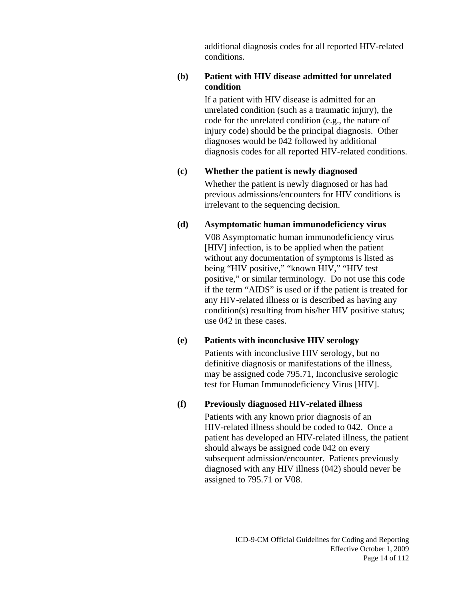additional diagnosis codes for all reported HIV-related conditions.

### **(b) Patient with HIV disease admitted for unrelated condition**

If a patient with HIV disease is admitted for an unrelated condition (such as a traumatic injury), the code for the unrelated condition (e.g., the nature of injury code) should be the principal diagnosis. Other diagnoses would be 042 followed by additional diagnosis codes for all reported HIV-related conditions.

#### **(c) Whether the patient is newly diagnosed**

Whether the patient is newly diagnosed or has had previous admissions/encounters for HIV conditions is irrelevant to the sequencing decision.

#### **(d) Asymptomatic human immunodeficiency virus**

V08 Asymptomatic human immunodeficiency virus [HIV] infection, is to be applied when the patient without any documentation of symptoms is listed as being "HIV positive," "known HIV," "HIV test positive," or similar terminology. Do not use this code if the term "AIDS" is used or if the patient is treated for any HIV-related illness or is described as having any condition(s) resulting from his/her HIV positive status; use 042 in these cases.

#### **(e) Patients with inconclusive HIV serology**

Patients with inconclusive HIV serology, but no definitive diagnosis or manifestations of the illness, may be assigned code 795.71, Inconclusive serologic test for Human Immunodeficiency Virus [HIV].

#### **(f) Previously diagnosed HIV-related illness**

Patients with any known prior diagnosis of an HIV-related illness should be coded to 042. Once a patient has developed an HIV-related illness, the patient should always be assigned code 042 on every subsequent admission/encounter. Patients previously diagnosed with any HIV illness (042) should never be assigned to 795.71 or V08.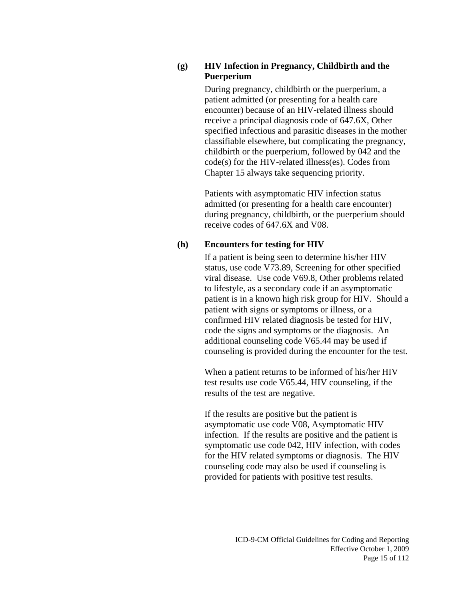### **(g) HIV Infection in Pregnancy, Childbirth and the Puerperium**

During pregnancy, childbirth or the puerperium, a patient admitted (or presenting for a health care encounter) because of an HIV-related illness should receive a principal diagnosis code of 647.6X, Other specified infectious and parasitic diseases in the mother classifiable elsewhere, but complicating the pregnancy, childbirth or the puerperium, followed by 042 and the code(s) for the HIV-related illness(es). Codes from Chapter 15 always take sequencing priority.

Patients with asymptomatic HIV infection status admitted (or presenting for a health care encounter) during pregnancy, childbirth, or the puerperium should receive codes of 647.6X and V08.

#### **(h) Encounters for testing for HIV**

If a patient is being seen to determine his/her HIV status, use code V73.89, Screening for other specified viral disease. Use code V69.8, Other problems related to lifestyle, as a secondary code if an asymptomatic patient is in a known high risk group for HIV. Should a patient with signs or symptoms or illness, or a confirmed HIV related diagnosis be tested for HIV, code the signs and symptoms or the diagnosis. An additional counseling code V65.44 may be used if counseling is provided during the encounter for the test.

When a patient returns to be informed of his/her HIV test results use code V65.44, HIV counseling, if the results of the test are negative.

If the results are positive but the patient is asymptomatic use code V08, Asymptomatic HIV infection. If the results are positive and the patient is symptomatic use code 042, HIV infection, with codes for the HIV related symptoms or diagnosis. The HIV counseling code may also be used if counseling is provided for patients with positive test results.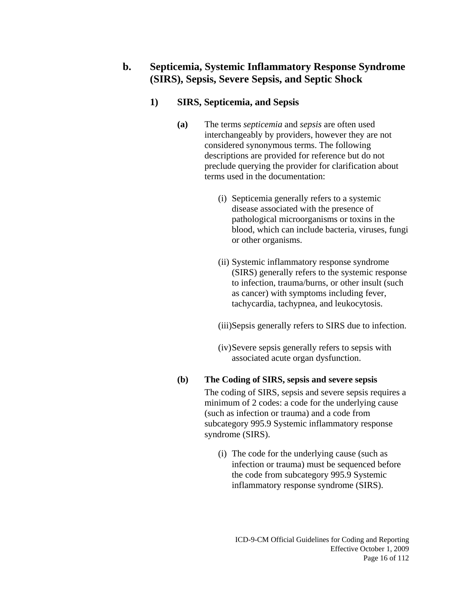# <span id="page-15-0"></span>**b. Septicemia, Systemic Inflammatory Response Syndrome (SIRS), Sepsis, Severe Sepsis, and Septic Shock**

### **1) SIRS, Septicemia, and Sepsis**

- **(a)** The terms *septicemia* and *sepsis* are often used interchangeably by providers, however they are not considered synonymous terms. The following descriptions are provided for reference but do not preclude querying the provider for clarification about terms used in the documentation:
	- (i) Septicemia generally refers to a systemic disease associated with the presence of pathological microorganisms or toxins in the blood, which can include bacteria, viruses, fungi or other organisms.
	- (ii) Systemic inflammatory response syndrome (SIRS) generally refers to the systemic response to infection, trauma/burns, or other insult (such as cancer) with symptoms including fever, tachycardia, tachypnea, and leukocytosis.
	- (iii)Sepsis generally refers to SIRS due to infection.
	- (iv)Severe sepsis generally refers to sepsis with associated acute organ dysfunction.
- **(b) The Coding of SIRS, sepsis and severe sepsis** The coding of SIRS, sepsis and severe sepsis requires a minimum of 2 codes: a code for the underlying cause (such as infection or trauma) and a code from subcategory 995.9 Systemic inflammatory response syndrome (SIRS).
	- (i) The code for the underlying cause (such as infection or trauma) must be sequenced before the code from subcategory 995.9 Systemic inflammatory response syndrome (SIRS).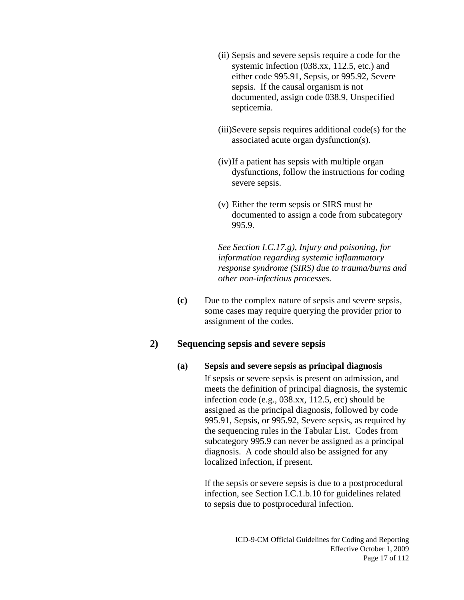- (ii) Sepsis and severe sepsis require a code for the systemic infection (038.xx, 112.5, etc.) and either code 995.91, Sepsis, or 995.92, Severe sepsis. If the causal organism is not documented, assign code 038.9, Unspecified septicemia.
- (iii)Severe sepsis requires additional code(s) for the associated acute organ dysfunction(s).
- (iv)If a patient has sepsis with multiple organ dysfunctions, follow the instructions for coding severe sepsis.
- (v) Either the term sepsis or SIRS must be documented to assign a code from subcategory 995.9.

*See Section I.C.17.g), Injury and poisoning, for information regarding systemic inflammatory response syndrome (SIRS) due to trauma/burns and other non-infectious processes.* 

**(c)** Due to the complex nature of sepsis and severe sepsis, some cases may require querying the provider prior to assignment of the codes.

### **2) Sequencing sepsis and severe sepsis**

### **(a) Sepsis and severe sepsis as principal diagnosis**

If sepsis or severe sepsis is present on admission, and meets the definition of principal diagnosis, the systemic infection code (e.g., 038.xx, 112.5, etc) should be assigned as the principal diagnosis, followed by code 995.91, Sepsis, or 995.92, Severe sepsis, as required by the sequencing rules in the Tabular List. Codes from subcategory 995.9 can never be assigned as a principal diagnosis. A code should also be assigned for any localized infection, if present.

If the sepsis or severe sepsis is due to a postprocedural infection, see Section I.C.1.b.10 for guidelines related to sepsis due to postprocedural infection.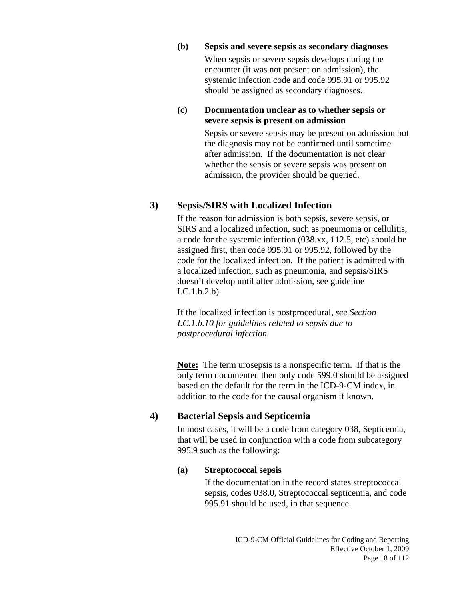### **(b) Sepsis and severe sepsis as secondary diagnoses**

When sepsis or severe sepsis develops during the encounter (it was not present on admission), the systemic infection code and code 995.91 or 995.92 should be assigned as secondary diagnoses.

### **(c) Documentation unclear as to whether sepsis or severe sepsis is present on admission**

Sepsis or severe sepsis may be present on admission but the diagnosis may not be confirmed until sometime after admission. If the documentation is not clear whether the sepsis or severe sepsis was present on admission, the provider should be queried.

# **3) Sepsis/SIRS with Localized Infection**

If the reason for admission is both sepsis, severe sepsis, or SIRS and a localized infection, such as pneumonia or cellulitis, a code for the systemic infection (038.xx, 112.5, etc) should be assigned first, then code 995.91 or 995.92, followed by the code for the localized infection. If the patient is admitted with a localized infection, such as pneumonia, and sepsis/SIRS doesn't develop until after admission, see guideline I.C.1.b.2.b).

If the localized infection is postprocedural, *see Section I.C.1.b.10 for guidelines related to sepsis due to postprocedural infection.* 

**Note:** The term urosepsis is a nonspecific term. If that is the only term documented then only code 599.0 should be assigned based on the default for the term in the ICD-9-CM index, in addition to the code for the causal organism if known.

### **4) Bacterial Sepsis and Septicemia**

In most cases, it will be a code from category 038, Septicemia, that will be used in conjunction with a code from subcategory 995.9 such as the following:

### **(a) Streptococcal sepsis**

If the documentation in the record states streptococcal sepsis, codes 038.0, Streptococcal septicemia, and code 995.91 should be used, in that sequence.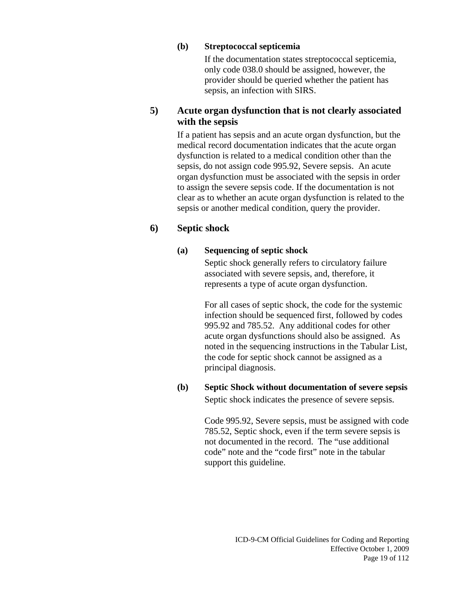### **(b) Streptococcal septicemia**

If the documentation states streptococcal septicemia, only code 038.0 should be assigned, however, the provider should be queried whether the patient has sepsis, an infection with SIRS.

### **5) Acute organ dysfunction that is not clearly associated with the sepsis**

If a patient has sepsis and an acute organ dysfunction, but the medical record documentation indicates that the acute organ dysfunction is related to a medical condition other than the sepsis, do not assign code 995.92, Severe sepsis. An acute organ dysfunction must be associated with the sepsis in order to assign the severe sepsis code. If the documentation is not clear as to whether an acute organ dysfunction is related to the sepsis or another medical condition, query the provider.

### **6) Septic shock**

### **(a) Sequencing of septic shock**

Septic shock generally refers to circulatory failure associated with severe sepsis, and, therefore, it represents a type of acute organ dysfunction.

For all cases of septic shock, the code for the systemic infection should be sequenced first, followed by codes 995.92 and 785.52. Any additional codes for other acute organ dysfunctions should also be assigned. As noted in the sequencing instructions in the Tabular List, the code for septic shock cannot be assigned as a principal diagnosis.

**(b) Septic Shock without documentation of severe sepsis**  Septic shock indicates the presence of severe sepsis.

> Code 995.92, Severe sepsis, must be assigned with code 785.52, Septic shock, even if the term severe sepsis is not documented in the record. The "use additional code" note and the "code first" note in the tabular support this guideline.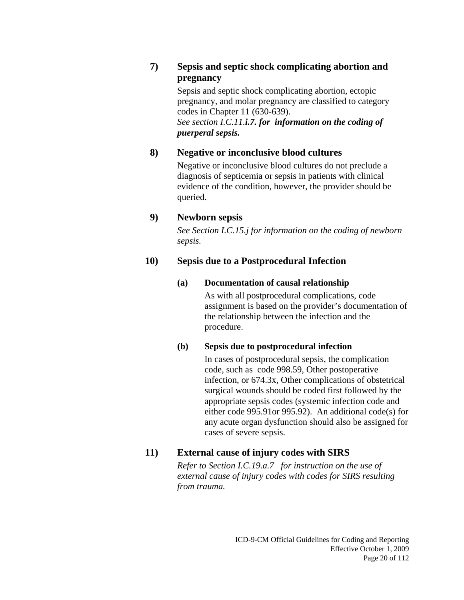### **7) Sepsis and septic shock complicating abortion and pregnancy**

Sepsis and septic shock complicating abortion, ectopic pregnancy, and molar pregnancy are classified to category codes in Chapter 11 (630-639). *See section I.C.11.i.7. for information on the coding of puerperal sepsis.*

### **8) Negative or inconclusive blood cultures**

Negative or inconclusive blood cultures do not preclude a diagnosis of septicemia or sepsis in patients with clinical evidence of the condition, however, the provider should be queried.

### **9) Newborn sepsis**

*See Section I.C.15.j for information on the coding of newborn sepsis.* 

### **10) Sepsis due to a Postprocedural Infection**

### **(a) Documentation of causal relationship**

As with all postprocedural complications, code assignment is based on the provider's documentation of the relationship between the infection and the procedure.

### **(b) Sepsis due to postprocedural infection**

In cases of postprocedural sepsis, the complication code, such as code 998.59, Other postoperative infection, or 674.3x, Other complications of obstetrical surgical wounds should be coded first followed by the appropriate sepsis codes (systemic infection code and either code 995.91or 995.92). An additional code(s) for any acute organ dysfunction should also be assigned for cases of severe sepsis.

### **11) External cause of injury codes with SIRS**

*Refer to Section I.C.19.a.7 for instruction on the use of external cause of injury codes with codes for SIRS resulting from trauma.*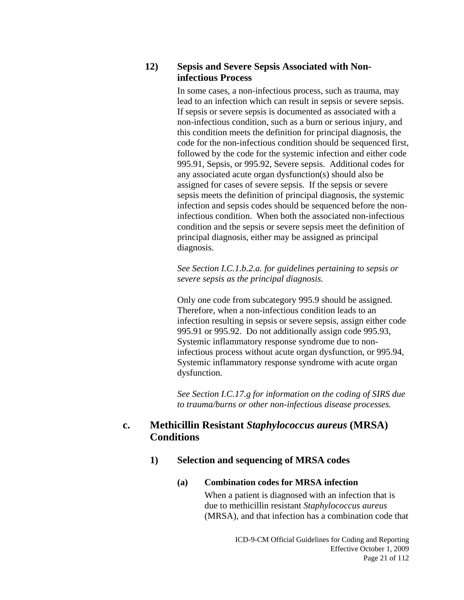### **12) Sepsis and Severe Sepsis Associated with Noninfectious Process**

In some cases, a non-infectious process, such as trauma, may lead to an infection which can result in sepsis or severe sepsis. If sepsis or severe sepsis is documented as associated with a non-infectious condition, such as a burn or serious injury, and this condition meets the definition for principal diagnosis, the code for the non-infectious condition should be sequenced first, followed by the code for the systemic infection and either code 995.91, Sepsis, or 995.92, Severe sepsis. Additional codes for any associated acute organ dysfunction(s) should also be assigned for cases of severe sepsis. If the sepsis or severe sepsis meets the definition of principal diagnosis, the systemic infection and sepsis codes should be sequenced before the noninfectious condition. When both the associated non-infectious condition and the sepsis or severe sepsis meet the definition of principal diagnosis, either may be assigned as principal diagnosis.

*See Section I.C.1.b.2.a. for guidelines pertaining to sepsis or severe sepsis as the principal diagnosis.* 

Only one code from subcategory 995.9 should be assigned. Therefore, when a non-infectious condition leads to an infection resulting in sepsis or severe sepsis, assign either code 995.91 or 995.92. Do not additionally assign code 995.93, Systemic inflammatory response syndrome due to noninfectious process without acute organ dysfunction, or 995.94, Systemic inflammatory response syndrome with acute organ dysfunction.

*See Section I.C.17.g for information on the coding of SIRS due to trauma/burns or other non-infectious disease processes.* 

# <span id="page-20-0"></span>**c. Methicillin Resistant** *Staphylococcus aureus* **(MRSA) Conditions**

### **1) Selection and sequencing of MRSA codes**

#### **(a) Combination codes for MRSA infection**

When a patient is diagnosed with an infection that is due to methicillin resistant *Staphylococcus aureus* (MRSA), and that infection has a combination code that

> ICD-9-CM Official Guidelines for Coding and Reporting Effective October 1, 2009 Page 21 of 112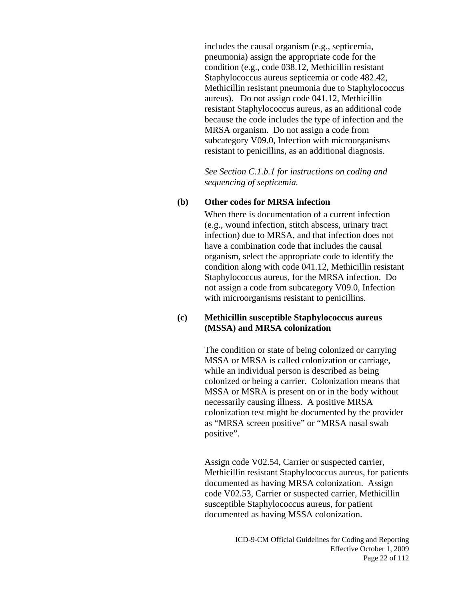includes the causal organism (e.g., septicemia, pneumonia) assign the appropriate code for the condition (e.g., code 038.12, Methicillin resistant Staphylococcus aureus septicemia or code 482.42, Methicillin resistant pneumonia due to Staphylococcus aureus). Do not assign code 041.12, Methicillin resistant Staphylococcus aureus, as an additional code because the code includes the type of infection and the MRSA organism. Do not assign a code from subcategory V09.0, Infection with microorganisms resistant to penicillins, as an additional diagnosis.

*See Section C.1.b.1 for instructions on coding and sequencing of septicemia.*

### **(b) Other codes for MRSA infection**

When there is documentation of a current infection (e.g., wound infection, stitch abscess, urinary tract infection) due to MRSA, and that infection does not have a combination code that includes the causal organism, select the appropriate code to identify the condition along with code 041.12, Methicillin resistant Staphylococcus aureus, for the MRSA infection. Do not assign a code from subcategory V09.0, Infection with microorganisms resistant to penicillins.

### **(c) Methicillin susceptible Staphylococcus aureus (MSSA) and MRSA colonization**

The condition or state of being colonized or carrying MSSA or MRSA is called colonization or carriage, while an individual person is described as being colonized or being a carrier. Colonization means that MSSA or MSRA is present on or in the body without necessarily causing illness. A positive MRSA colonization test might be documented by the provider as "MRSA screen positive" or "MRSA nasal swab positive".

Assign code V02.54, Carrier or suspected carrier, Methicillin resistant Staphylococcus aureus, for patients documented as having MRSA colonization. Assign code V02.53, Carrier or suspected carrier, Methicillin susceptible Staphylococcus aureus, for patient documented as having MSSA colonization.

> ICD-9-CM Official Guidelines for Coding and Reporting Effective October 1, 2009 Page 22 of 112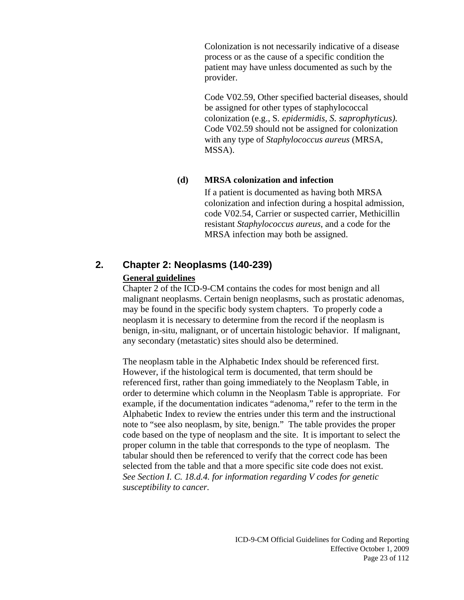Colonization is not necessarily indicative of a disease process or as the cause of a specific condition the patient may have unless documented as such by the provider.

Code V02.59, Other specified bacterial diseases, should be assigned for other types of staphylococcal colonization (e.g., S*. epidermidis, S. saprophyticus).*  Code V02.59 should not be assigned for colonization with any type of *Staphylococcus aureus* (MRSA, MSSA).

#### **(d) MRSA colonization and infection**

If a patient is documented as having both MRSA colonization and infection during a hospital admission, code V02.54, Carrier or suspected carrier, Methicillin resistant *Staphylococcus aureus*, and a code for the MRSA infection may both be assigned.

### <span id="page-22-0"></span>**2. Chapter 2: Neoplasms (140-239)**

#### **General guidelines**

Chapter 2 of the ICD-9-CM contains the codes for most benign and all malignant neoplasms. Certain benign neoplasms, such as prostatic adenomas, may be found in the specific body system chapters. To properly code a neoplasm it is necessary to determine from the record if the neoplasm is benign, in-situ, malignant, or of uncertain histologic behavior. If malignant, any secondary (metastatic) sites should also be determined.

The neoplasm table in the Alphabetic Index should be referenced first. However, if the histological term is documented, that term should be referenced first, rather than going immediately to the Neoplasm Table, in order to determine which column in the Neoplasm Table is appropriate. For example, if the documentation indicates "adenoma," refer to the term in the Alphabetic Index to review the entries under this term and the instructional note to "see also neoplasm, by site, benign." The table provides the proper code based on the type of neoplasm and the site. It is important to select the proper column in the table that corresponds to the type of neoplasm. The tabular should then be referenced to verify that the correct code has been selected from the table and that a more specific site code does not exist. *See Section I. C. 18.d.4. for information regarding V codes for genetic susceptibility to cancer.*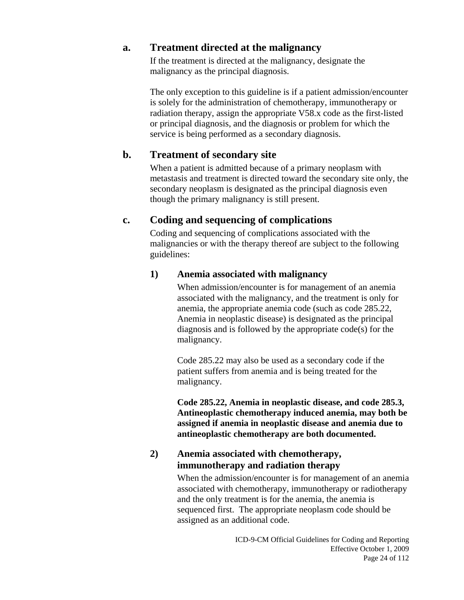# <span id="page-23-0"></span>**a. Treatment directed at the malignancy**

If the treatment is directed at the malignancy, designate the malignancy as the principal diagnosis.

The only exception to this guideline is if a patient admission/encounter is solely for the administration of chemotherapy, immunotherapy or radiation therapy, assign the appropriate V58.x code as the first-listed or principal diagnosis, and the diagnosis or problem for which the service is being performed as a secondary diagnosis.

# <span id="page-23-1"></span>**b. Treatment of secondary site**

When a patient is admitted because of a primary neoplasm with metastasis and treatment is directed toward the secondary site only, the secondary neoplasm is designated as the principal diagnosis even though the primary malignancy is still present.

# <span id="page-23-2"></span>**c. Coding and sequencing of complications**

Coding and sequencing of complications associated with the malignancies or with the therapy thereof are subject to the following guidelines:

# **1) Anemia associated with malignancy**

When admission/encounter is for management of an anemia associated with the malignancy, and the treatment is only for anemia, the appropriate anemia code (such as code 285.22, Anemia in neoplastic disease) is designated as the principal diagnosis and is followed by the appropriate code(s) for the malignancy.

Code 285.22 may also be used as a secondary code if the patient suffers from anemia and is being treated for the malignancy.

**Code 285.22, Anemia in neoplastic disease, and code 285.3, Antineoplastic chemotherapy induced anemia, may both be assigned if anemia in neoplastic disease and anemia due to antineoplastic chemotherapy are both documented.** 

# **2) Anemia associated with chemotherapy, immunotherapy and radiation therapy**

When the admission/encounter is for management of an anemia associated with chemotherapy, immunotherapy or radiotherapy and the only treatment is for the anemia, the anemia is sequenced first. The appropriate neoplasm code should be assigned as an additional code.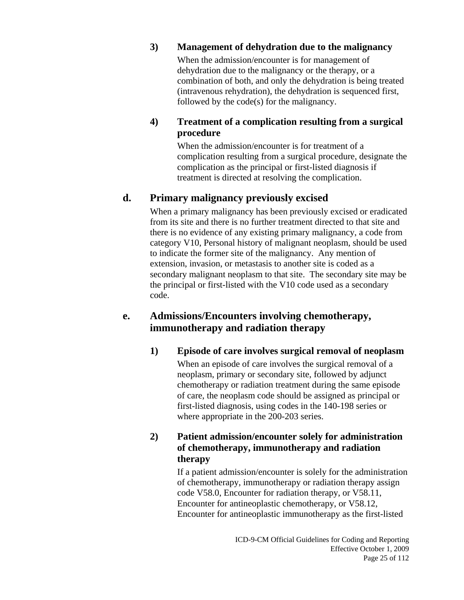## **3) Management of dehydration due to the malignancy**

When the admission/encounter is for management of dehydration due to the malignancy or the therapy, or a combination of both, and only the dehydration is being treated (intravenous rehydration), the dehydration is sequenced first, followed by the code(s) for the malignancy.

# **4) Treatment of a complication resulting from a surgical procedure**

When the admission/encounter is for treatment of a complication resulting from a surgical procedure, designate the complication as the principal or first-listed diagnosis if treatment is directed at resolving the complication.

# <span id="page-24-0"></span>**d. Primary malignancy previously excised**

When a primary malignancy has been previously excised or eradicated from its site and there is no further treatment directed to that site and there is no evidence of any existing primary malignancy, a code from category V10, Personal history of malignant neoplasm, should be used to indicate the former site of the malignancy. Any mention of extension, invasion, or metastasis to another site is coded as a secondary malignant neoplasm to that site. The secondary site may be the principal or first-listed with the V10 code used as a secondary code.

# <span id="page-24-1"></span>**e. Admissions/Encounters involving chemotherapy, immunotherapy and radiation therapy**

### **1) Episode of care involves surgical removal of neoplasm**  When an episode of care involves the surgical removal of a neoplasm, primary or secondary site, followed by adjunct chemotherapy or radiation treatment during the same episode of care, the neoplasm code should be assigned as principal or first-listed diagnosis, using codes in the 140-198 series or where appropriate in the 200-203 series.

# **2) Patient admission/encounter solely for administration of chemotherapy, immunotherapy and radiation therapy**

If a patient admission/encounter is solely for the administration of chemotherapy, immunotherapy or radiation therapy assign code V58.0, Encounter for radiation therapy, or V58.11, Encounter for antineoplastic chemotherapy, or V58.12, Encounter for antineoplastic immunotherapy as the first-listed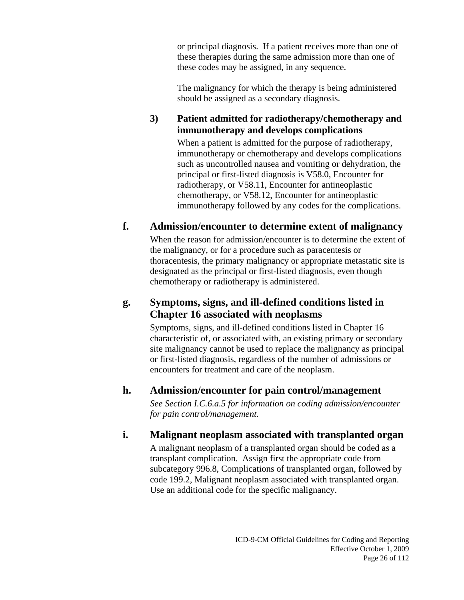or principal diagnosis. If a patient receives more than one of these therapies during the same admission more than one of these codes may be assigned, in any sequence.

The malignancy for which the therapy is being administered should be assigned as a secondary diagnosis.

# **3) Patient admitted for radiotherapy/chemotherapy and immunotherapy and develops complications**

When a patient is admitted for the purpose of radiotherapy, immunotherapy or chemotherapy and develops complications such as uncontrolled nausea and vomiting or dehydration, the principal or first-listed diagnosis is V58.0, Encounter for radiotherapy, or V58.11, Encounter for antineoplastic chemotherapy, or V58.12, Encounter for antineoplastic immunotherapy followed by any codes for the complications.

# <span id="page-25-0"></span>**f. Admission/encounter to determine extent of malignancy**

When the reason for admission/encounter is to determine the extent of the malignancy, or for a procedure such as paracentesis or thoracentesis, the primary malignancy or appropriate metastatic site is designated as the principal or first-listed diagnosis, even though chemotherapy or radiotherapy is administered.

# <span id="page-25-1"></span>**g. Symptoms, signs, and ill-defined conditions listed in Chapter 16 associated with neoplasms**

Symptoms, signs, and ill-defined conditions listed in Chapter 16 characteristic of, or associated with, an existing primary or secondary site malignancy cannot be used to replace the malignancy as principal or first-listed diagnosis, regardless of the number of admissions or encounters for treatment and care of the neoplasm.

# <span id="page-25-2"></span>**h. Admission/encounter for pain control/management**

*See Section I.C.6.a.5 for information on coding admission/encounter for pain control/management.* 

# <span id="page-25-3"></span>**i. Malignant neoplasm associated with transplanted organ**

A malignant neoplasm of a transplanted organ should be coded as a transplant complication. Assign first the appropriate code from subcategory 996.8, Complications of transplanted organ, followed by code 199.2, Malignant neoplasm associated with transplanted organ. Use an additional code for the specific malignancy.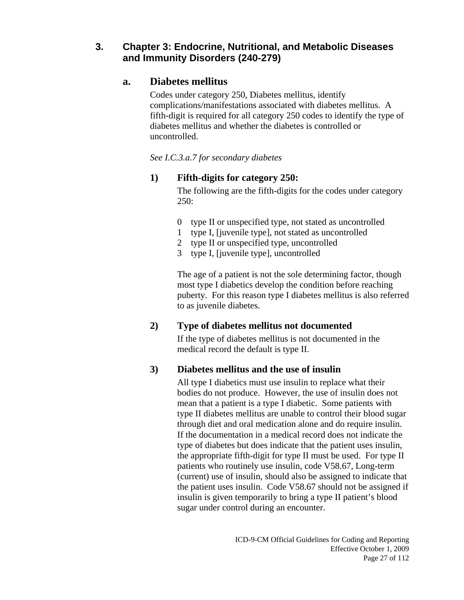<span id="page-26-1"></span><span id="page-26-0"></span>**3. Chapter 3: Endocrine, Nutritional, and Metabolic Diseases and Immunity Disorders (240-279)** 

# **a. Diabetes mellitus**

Codes under category 250, Diabetes mellitus, identify complications/manifestations associated with diabetes mellitus. A fifth-digit is required for all category 250 codes to identify the type of diabetes mellitus and whether the diabetes is controlled or uncontrolled.

*See I.C.3.a.7 for secondary diabetes* 

# **1) Fifth-digits for category 250:**

The following are the fifth-digits for the codes under category 250:

- 0 type II or unspecified type, not stated as uncontrolled
- 1 type I, [juvenile type], not stated as uncontrolled
- 2 type II or unspecified type, uncontrolled
- 3 type I, [juvenile type], uncontrolled

The age of a patient is not the sole determining factor, though most type I diabetics develop the condition before reaching puberty. For this reason type I diabetes mellitus is also referred to as juvenile diabetes.

# **2) Type of diabetes mellitus not documented**

If the type of diabetes mellitus is not documented in the medical record the default is type II.

# **3) Diabetes mellitus and the use of insulin**

All type I diabetics must use insulin to replace what their bodies do not produce. However, the use of insulin does not mean that a patient is a type I diabetic. Some patients with type II diabetes mellitus are unable to control their blood sugar through diet and oral medication alone and do require insulin. If the documentation in a medical record does not indicate the type of diabetes but does indicate that the patient uses insulin, the appropriate fifth-digit for type II must be used. For type II patients who routinely use insulin, code V58.67, Long-term (current) use of insulin, should also be assigned to indicate that the patient uses insulin. Code V58.67 should not be assigned if insulin is given temporarily to bring a type II patient's blood sugar under control during an encounter.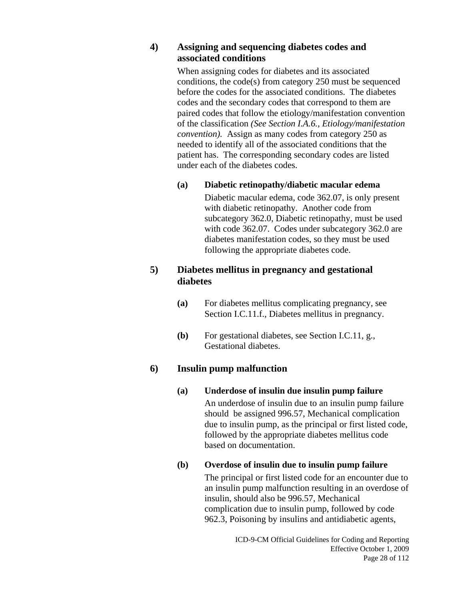## **4) Assigning and sequencing diabetes codes and associated conditions**

When assigning codes for diabetes and its associated conditions, the code(s) from category 250 must be sequenced before the codes for the associated conditions. The diabetes codes and the secondary codes that correspond to them are paired codes that follow the etiology/manifestation convention of the classification *(See Section I.A.6., Etiology/manifestation convention).* Assign as many codes from category 250 as needed to identify all of the associated conditions that the patient has. The corresponding secondary codes are listed under each of the diabetes codes.

**(a) Diabetic retinopathy/diabetic macular edema**  Diabetic macular edema, code 362.07, is only present with diabetic retinopathy. Another code from subcategory 362.0, Diabetic retinopathy, must be used with code 362.07. Codes under subcategory 362.0 are diabetes manifestation codes, so they must be used following the appropriate diabetes code.

## **5) Diabetes mellitus in pregnancy and gestational diabetes**

- **(a)** For diabetes mellitus complicating pregnancy, see Section I.C.11.f., Diabetes mellitus in pregnancy.
- **(b)** For gestational diabetes, see Section I.C.11, g., Gestational diabetes.

# **6) Insulin pump malfunction**

### **(a) Underdose of insulin due insulin pump failure**

An underdose of insulin due to an insulin pump failure should be assigned 996.57, Mechanical complication due to insulin pump, as the principal or first listed code, followed by the appropriate diabetes mellitus code based on documentation.

### **(b) Overdose of insulin due to insulin pump failure**

The principal or first listed code for an encounter due to an insulin pump malfunction resulting in an overdose of insulin, should also be 996.57, Mechanical complication due to insulin pump, followed by code 962.3, Poisoning by insulins and antidiabetic agents,

> ICD-9-CM Official Guidelines for Coding and Reporting Effective October 1, 2009 Page 28 of 112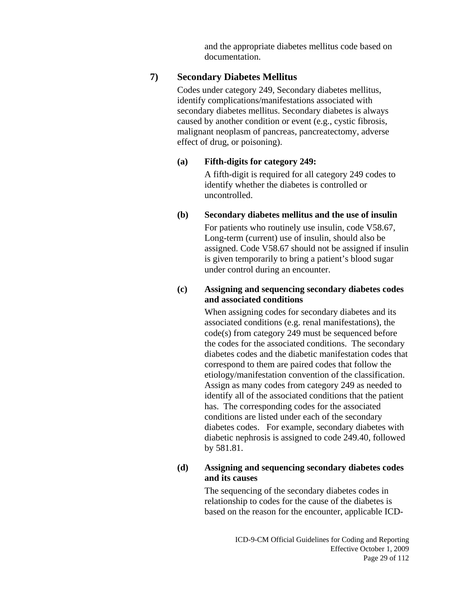and the appropriate diabetes mellitus code based on documentation.

### **7) Secondary Diabetes Mellitus**

Codes under category 249, Secondary diabetes mellitus, identify complications/manifestations associated with secondary diabetes mellitus. Secondary diabetes is always caused by another condition or event (e.g., cystic fibrosis, malignant neoplasm of pancreas, pancreatectomy, adverse effect of drug, or poisoning).

#### **(a) Fifth-digits for category 249:**

A fifth-digit is required for all category 249 codes to identify whether the diabetes is controlled or uncontrolled.

### **(b) Secondary diabetes mellitus and the use of insulin**

For patients who routinely use insulin, code V58.67, Long-term (current) use of insulin, should also be assigned. Code V58.67 should not be assigned if insulin is given temporarily to bring a patient's blood sugar under control during an encounter.

### **(c) Assigning and sequencing secondary diabetes codes and associated conditions**

When assigning codes for secondary diabetes and its associated conditions (e.g. renal manifestations), the code(s) from category 249 must be sequenced before the codes for the associated conditions. The secondary diabetes codes and the diabetic manifestation codes that correspond to them are paired codes that follow the etiology/manifestation convention of the classification. Assign as many codes from category 249 as needed to identify all of the associated conditions that the patient has. The corresponding codes for the associated conditions are listed under each of the secondary diabetes codes. For example, secondary diabetes with diabetic nephrosis is assigned to code 249.40, followed by 581.81.

### **(d) Assigning and sequencing secondary diabetes codes and its causes**

The sequencing of the secondary diabetes codes in relationship to codes for the cause of the diabetes is based on the reason for the encounter, applicable ICD-

> ICD-9-CM Official Guidelines for Coding and Reporting Effective October 1, 2009 Page 29 of 112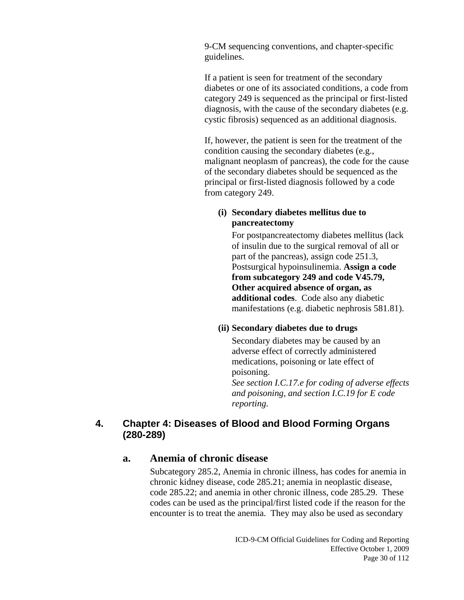9-CM sequencing conventions, and chapter-specific guidelines.

If a patient is seen for treatment of the secondary diabetes or one of its associated conditions, a code from category 249 is sequenced as the principal or first-listed diagnosis, with the cause of the secondary diabetes (e.g. cystic fibrosis) sequenced as an additional diagnosis.

If, however, the patient is seen for the treatment of the condition causing the secondary diabetes (e.g., malignant neoplasm of pancreas), the code for the cause of the secondary diabetes should be sequenced as the principal or first-listed diagnosis followed by a code from category 249.

### **(i) Secondary diabetes mellitus due to pancreatectomy**

For postpancreatectomy diabetes mellitus (lack of insulin due to the surgical removal of all or part of the pancreas), assign code 251.3, Postsurgical hypoinsulinemia. **Assign a code from subcategory 249 and code V45.79, Other acquired absence of organ, as additional codes**. Code also any diabetic manifestations (e.g. diabetic nephrosis 581.81).

#### **(ii) Secondary diabetes due to drugs**

Secondary diabetes may be caused by an adverse effect of correctly administered medications, poisoning or late effect of poisoning. *See section I.C.17.e for coding of adverse effects and poisoning, and section I.C.19 for E code reporting.*

# <span id="page-29-1"></span><span id="page-29-0"></span>**4. Chapter 4: Diseases of Blood and Blood Forming Organs (280-289)**

### **a. Anemia of chronic disease**

Subcategory 285.2, Anemia in chronic illness, has codes for anemia in chronic kidney disease, code 285.21; anemia in neoplastic disease, code 285.22; and anemia in other chronic illness, code 285.29. These codes can be used as the principal/first listed code if the reason for the encounter is to treat the anemia. They may also be used as secondary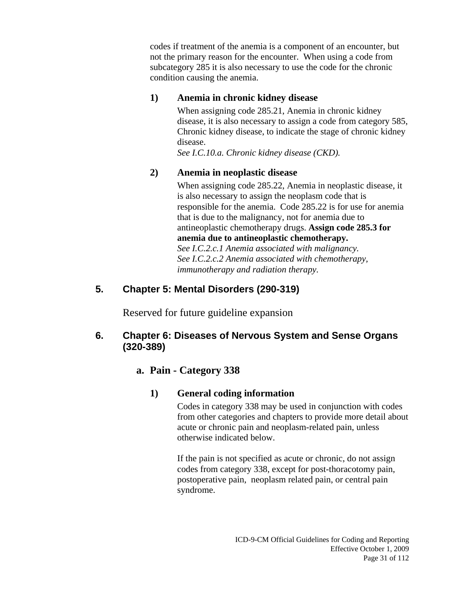codes if treatment of the anemia is a component of an encounter, but not the primary reason for the encounter. When using a code from subcategory 285 it is also necessary to use the code for the chronic condition causing the anemia.

### **1) Anemia in chronic kidney disease**

When assigning code 285.21, Anemia in chronic kidney disease, it is also necessary to assign a code from category 585, Chronic kidney disease, to indicate the stage of chronic kidney disease.

*See I.C.10.a. Chronic kidney disease (CKD).*

### **2) Anemia in neoplastic disease**

When assigning code 285.22, Anemia in neoplastic disease, it is also necessary to assign the neoplasm code that is responsible for the anemia. Code 285.22 is for use for anemia that is due to the malignancy, not for anemia due to antineoplastic chemotherapy drugs. **Assign code 285.3 for anemia due to antineoplastic chemotherapy.** *See I.C.2.c.1 Anemia associated with malignancy. See I.C.2.c.2 Anemia associated with chemotherapy, immunotherapy and radiation therapy.* 

# <span id="page-30-1"></span><span id="page-30-0"></span>**5. Chapter 5: Mental Disorders (290-319)**

Reserved for future guideline expansion

# <span id="page-30-3"></span><span id="page-30-2"></span>**6. Chapter 6: Diseases of Nervous System and Sense Organs (320-389)**

### **a. Pain - Category 338**

### **1) General coding information**

Codes in category 338 may be used in conjunction with codes from other categories and chapters to provide more detail about acute or chronic pain and neoplasm-related pain, unless otherwise indicated below.

If the pain is not specified as acute or chronic, do not assign codes from category 338, except for post-thoracotomy pain, postoperative pain, neoplasm related pain, or central pain syndrome.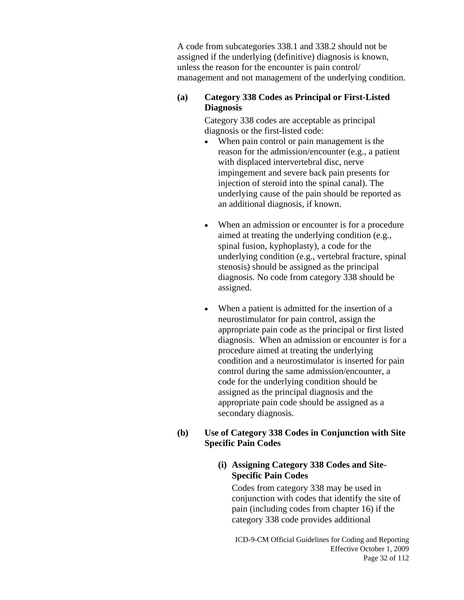A code from subcategories 338.1 and 338.2 should not be assigned if the underlying (definitive) diagnosis is known, unless the reason for the encounter is pain control/ management and not management of the underlying condition.

### **(a) Category 338 Codes as Principal or First-Listed Diagnosis**

Category 338 codes are acceptable as principal diagnosis or the first-listed code:

- When pain control or pain management is the reason for the admission/encounter (e.g., a patient with displaced intervertebral disc, nerve impingement and severe back pain presents for injection of steroid into the spinal canal). The underlying cause of the pain should be reported as an additional diagnosis, if known.
- When an admission or encounter is for a procedure aimed at treating the underlying condition (e.g., spinal fusion, kyphoplasty), a code for the underlying condition (e.g., vertebral fracture, spinal stenosis) should be assigned as the principal diagnosis. No code from category 338 should be assigned.
- When a patient is admitted for the insertion of a neurostimulator for pain control, assign the appropriate pain code as the principal or first listed diagnosis. When an admission or encounter is for a procedure aimed at treating the underlying condition and a neurostimulator is inserted for pain control during the same admission/encounter, a code for the underlying condition should be assigned as the principal diagnosis and the appropriate pain code should be assigned as a secondary diagnosis.

### **(b) Use of Category 338 Codes in Conjunction with Site Specific Pain Codes**

### **(i) Assigning Category 338 Codes and Site-Specific Pain Codes**

Codes from category 338 may be used in conjunction with codes that identify the site of pain (including codes from chapter 16) if the category 338 code provides additional

ICD-9-CM Official Guidelines for Coding and Reporting Effective October 1, 2009 Page 32 of 112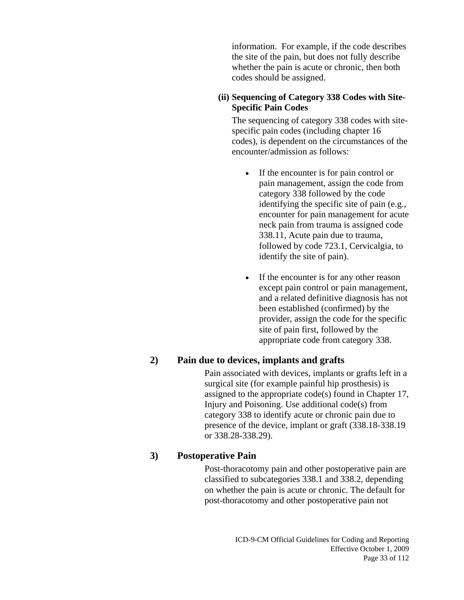information. For example, if the code describes the site of the pain, but does not fully describe whether the pain is acute or chronic, then both codes should be assigned.

#### **(ii) Sequencing of Category 338 Codes with Site-Specific Pain Codes**

The sequencing of category 338 codes with sitespecific pain codes (including chapter 16 codes), is dependent on the circumstances of the encounter/admission as follows:

- If the encounter is for pain control or pain management, assign the code from category 338 followed by the code identifying the specific site of pain (e.g., encounter for pain management for acute neck pain from trauma is assigned code 338.11, Acute pain due to trauma, followed by code 723.1, Cervicalgia, to identify the site of pain).
- If the encounter is for any other reason except pain control or pain management, and a related definitive diagnosis has not been established (confirmed) by the provider, assign the code for the specific site of pain first, followed by the appropriate code from category 338.

### **2) Pain due to devices, implants and grafts**

Pain associated with devices, implants or grafts left in a surgical site (for example painful hip prosthesis) is assigned to the appropriate code(s) found in Chapter 17, Injury and Poisoning. Use additional code(s) from category 338 to identify acute or chronic pain due to presence of the device, implant or graft (338.18-338.19 or 338.28-338.29).

### **3) Postoperative Pain**

Post-thoracotomy pain and other postoperative pain are classified to subcategories 338.1 and 338.2, depending on whether the pain is acute or chronic. The default for post-thoracotomy and other postoperative pain not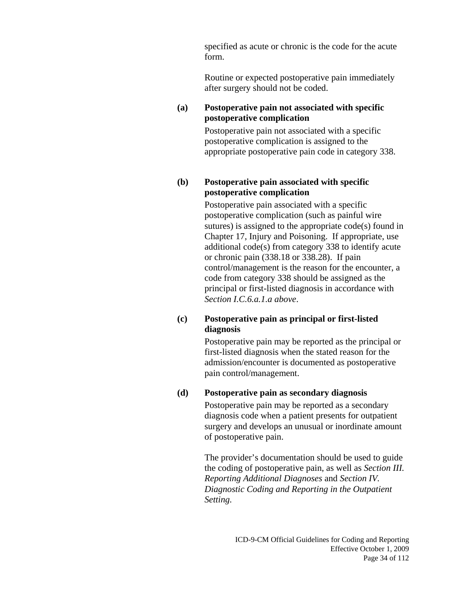specified as acute or chronic is the code for the acute form.

Routine or expected postoperative pain immediately after surgery should not be coded.

**(a) Postoperative pain not associated with specific postoperative complication** 

> Postoperative pain not associated with a specific postoperative complication is assigned to the appropriate postoperative pain code in category 338.

### **(b) Postoperative pain associated with specific postoperative complication**

Postoperative pain associated with a specific postoperative complication (such as painful wire sutures) is assigned to the appropriate code(s) found in Chapter 17, Injury and Poisoning. If appropriate, use additional code(s) from category 338 to identify acute or chronic pain (338.18 or 338.28). If pain control/management is the reason for the encounter, a code from category 338 should be assigned as the principal or first-listed diagnosis in accordance with *Section I.C.6.a.1.a above*.

### **(c) Postoperative pain as principal or first-listed diagnosis**

Postoperative pain may be reported as the principal or first-listed diagnosis when the stated reason for the admission/encounter is documented as postoperative pain control/management.

### **(d) Postoperative pain as secondary diagnosis**

Postoperative pain may be reported as a secondary diagnosis code when a patient presents for outpatient surgery and develops an unusual or inordinate amount of postoperative pain.

The provider's documentation should be used to guide the coding of postoperative pain, as well as *Section III. Reporting Additional Diagnoses* and *Section IV. Diagnostic Coding and Reporting in the Outpatient Setting.*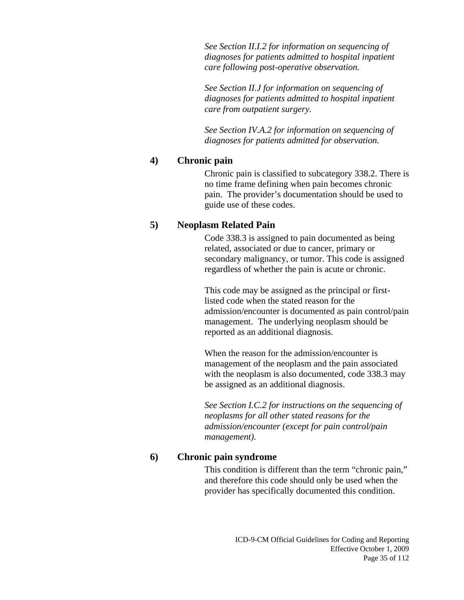*See Section II.I.2 for information on sequencing of diagnoses for patients admitted to hospital inpatient care following post-operative observation.* 

*See Section II.J for information on sequencing of diagnoses for patients admitted to hospital inpatient care from outpatient surgery.* 

*See Section IV.A.2 for information on sequencing of diagnoses for patients admitted for observation.*

#### **4) Chronic pain**

Chronic pain is classified to subcategory 338.2. There is no time frame defining when pain becomes chronic pain. The provider's documentation should be used to guide use of these codes.

#### **5) Neoplasm Related Pain**

Code 338.3 is assigned to pain documented as being related, associated or due to cancer, primary or secondary malignancy, or tumor. This code is assigned regardless of whether the pain is acute or chronic.

This code may be assigned as the principal or firstlisted code when the stated reason for the admission/encounter is documented as pain control/pain management. The underlying neoplasm should be reported as an additional diagnosis.

When the reason for the admission/encounter is management of the neoplasm and the pain associated with the neoplasm is also documented, code 338.3 may be assigned as an additional diagnosis.

*See Section I.C.2 for instructions on the sequencing of neoplasms for all other stated reasons for the admission/encounter (except for pain control/pain management).* 

#### **6) Chronic pain syndrome**

This condition is different than the term "chronic pain," and therefore this code should only be used when the provider has specifically documented this condition.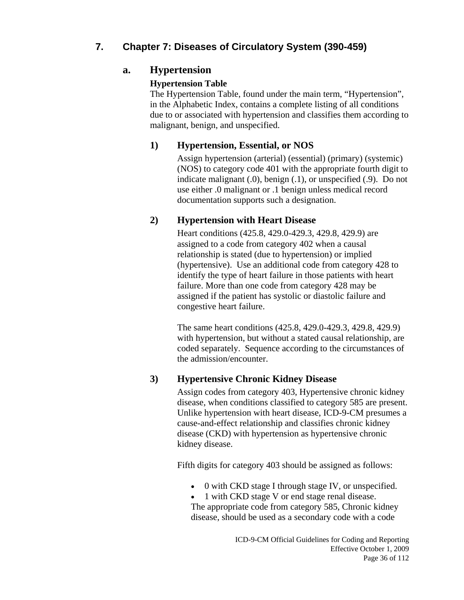# <span id="page-35-1"></span><span id="page-35-0"></span>**7. Chapter 7: Diseases of Circulatory System (390-459)**

# **a. Hypertension**

# **Hypertension Table**

The Hypertension Table, found under the main term, "Hypertension", in the Alphabetic Index, contains a complete listing of all conditions due to or associated with hypertension and classifies them according to malignant, benign, and unspecified.

# **1) Hypertension, Essential, or NOS**

Assign hypertension (arterial) (essential) (primary) (systemic) (NOS) to category code 401 with the appropriate fourth digit to indicate malignant (.0), benign (.1), or unspecified (.9). Do not use either .0 malignant or .1 benign unless medical record documentation supports such a designation.

# **2) Hypertension with Heart Disease**

Heart conditions (425.8, 429.0-429.3, 429.8, 429.9) are assigned to a code from category 402 when a causal relationship is stated (due to hypertension) or implied (hypertensive). Use an additional code from category 428 to identify the type of heart failure in those patients with heart failure. More than one code from category 428 may be assigned if the patient has systolic or diastolic failure and congestive heart failure.

The same heart conditions (425.8, 429.0-429.3, 429.8, 429.9) with hypertension, but without a stated causal relationship, are coded separately. Sequence according to the circumstances of the admission/encounter.

# **3) Hypertensive Chronic Kidney Disease**

Assign codes from category 403, Hypertensive chronic kidney disease, when conditions classified to category 585 are present. Unlike hypertension with heart disease, ICD-9-CM presumes a cause-and-effect relationship and classifies chronic kidney disease (CKD) with hypertension as hypertensive chronic kidney disease.

Fifth digits for category 403 should be assigned as follows:

- 0 with CKD stage I through stage IV, or unspecified.
- 1 with CKD stage V or end stage renal disease.

The appropriate code from category 585, Chronic kidney disease, should be used as a secondary code with a code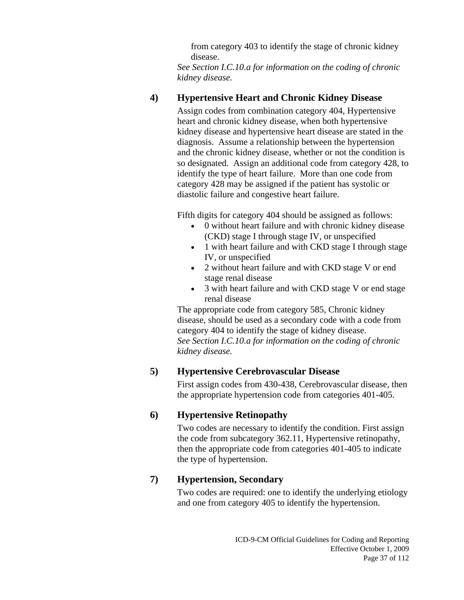from category 403 to identify the stage of chronic kidney disease.

*See Section I.C.10.a for information on the coding of chronic kidney disease.*

## **4) Hypertensive Heart and Chronic Kidney Disease**

Assign codes from combination category 404, Hypertensive heart and chronic kidney disease, when both hypertensive kidney disease and hypertensive heart disease are stated in the diagnosis. Assume a relationship between the hypertension and the chronic kidney disease, whether or not the condition is so designated. Assign an additional code from category 428, to identify the type of heart failure. More than one code from category 428 may be assigned if the patient has systolic or diastolic failure and congestive heart failure.

Fifth digits for category 404 should be assigned as follows:

- 0 without heart failure and with chronic kidney disease (CKD) stage I through stage IV, or unspecified
- 1 with heart failure and with CKD stage I through stage IV, or unspecified
- 2 without heart failure and with CKD stage V or end stage renal disease
- 3 with heart failure and with CKD stage V or end stage renal disease

The appropriate code from category 585, Chronic kidney disease, should be used as a secondary code with a code from category 404 to identify the stage of kidney disease. *See Section I.C.10.a for information on the coding of chronic kidney disease.* 

## **5) Hypertensive Cerebrovascular Disease**

First assign codes from 430-438, Cerebrovascular disease, then the appropriate hypertension code from categories 401-405.

## **6) Hypertensive Retinopathy**

Two codes are necessary to identify the condition. First assign the code from subcategory 362.11, Hypertensive retinopathy, then the appropriate code from categories 401-405 to indicate the type of hypertension.

## **7) Hypertension, Secondary**

Two codes are required: one to identify the underlying etiology and one from category 405 to identify the hypertension.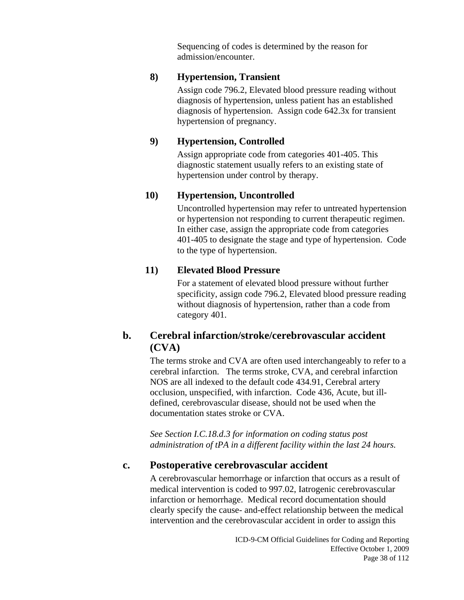Sequencing of codes is determined by the reason for admission/encounter.

#### **8) Hypertension, Transient**

Assign code 796.2, Elevated blood pressure reading without diagnosis of hypertension, unless patient has an established diagnosis of hypertension. Assign code 642.3x for transient hypertension of pregnancy.

## **9) Hypertension, Controlled**

Assign appropriate code from categories 401-405. This diagnostic statement usually refers to an existing state of hypertension under control by therapy.

## **10) Hypertension, Uncontrolled**

Uncontrolled hypertension may refer to untreated hypertension or hypertension not responding to current therapeutic regimen. In either case, assign the appropriate code from categories 401-405 to designate the stage and type of hypertension. Code to the type of hypertension.

### **11) Elevated Blood Pressure**

For a statement of elevated blood pressure without further specificity, assign code 796.2, Elevated blood pressure reading without diagnosis of hypertension, rather than a code from category 401.

## **b. Cerebral infarction/stroke/cerebrovascular accident (CVA)**

The terms stroke and CVA are often used interchangeably to refer to a cerebral infarction. The terms stroke, CVA, and cerebral infarction NOS are all indexed to the default code 434.91, Cerebral artery occlusion, unspecified, with infarction. Code 436, Acute, but illdefined, cerebrovascular disease, should not be used when the documentation states stroke or CVA.

*See Section I.C.18.d.3 for information on coding status post administration of tPA in a different facility within the last 24 hours.* 

## **c. Postoperative cerebrovascular accident**

A cerebrovascular hemorrhage or infarction that occurs as a result of medical intervention is coded to 997.02, Iatrogenic cerebrovascular infarction or hemorrhage. Medical record documentation should clearly specify the cause- and-effect relationship between the medical intervention and the cerebrovascular accident in order to assign this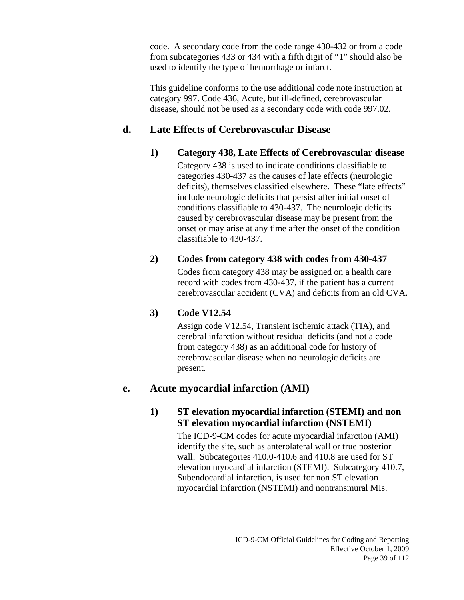code. A secondary code from the code range 430-432 or from a code from subcategories 433 or 434 with a fifth digit of "1" should also be used to identify the type of hemorrhage or infarct.

This guideline conforms to the use additional code note instruction at category 997. Code 436, Acute, but ill-defined, cerebrovascular disease, should not be used as a secondary code with code 997.02.

# **d. Late Effects of Cerebrovascular Disease**

## **1) Category 438, Late Effects of Cerebrovascular disease**

Category 438 is used to indicate conditions classifiable to categories 430-437 as the causes of late effects (neurologic deficits), themselves classified elsewhere. These "late effects" include neurologic deficits that persist after initial onset of conditions classifiable to 430-437. The neurologic deficits caused by cerebrovascular disease may be present from the onset or may arise at any time after the onset of the condition classifiable to 430-437.

## **2) Codes from category 438 with codes from 430-437**

Codes from category 438 may be assigned on a health care record with codes from 430-437, if the patient has a current cerebrovascular accident (CVA) and deficits from an old CVA.

## **3) Code V12.54**

Assign code V12.54, Transient ischemic attack (TIA), and cerebral infarction without residual deficits (and not a code from category 438) as an additional code for history of cerebrovascular disease when no neurologic deficits are present.

## **e. Acute myocardial infarction (AMI)**

## **1) ST elevation myocardial infarction (STEMI) and non ST elevation myocardial infarction (NSTEMI)**

The ICD-9-CM codes for acute myocardial infarction (AMI) identify the site, such as anterolateral wall or true posterior wall. Subcategories 410.0-410.6 and 410.8 are used for ST elevation myocardial infarction (STEMI). Subcategory 410.7, Subendocardial infarction, is used for non ST elevation myocardial infarction (NSTEMI) and nontransmural MIs.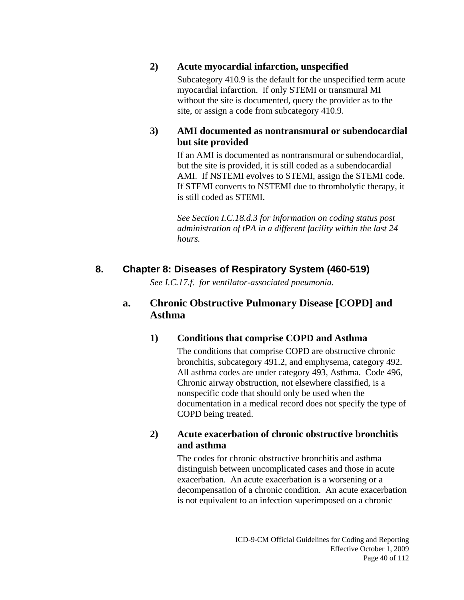### **2) Acute myocardial infarction, unspecified**

Subcategory 410.9 is the default for the unspecified term acute myocardial infarction. If only STEMI or transmural MI without the site is documented, query the provider as to the site, or assign a code from subcategory 410.9.

## **3) AMI documented as nontransmural or subendocardial but site provided**

If an AMI is documented as nontransmural or subendocardial, but the site is provided, it is still coded as a subendocardial AMI. If NSTEMI evolves to STEMI, assign the STEMI code. If STEMI converts to NSTEMI due to thrombolytic therapy, it is still coded as STEMI.

*See Section I.C.18.d.3 for information on coding status post administration of tPA in a different facility within the last 24 hours.*

# **8. Chapter 8: Diseases of Respiratory System (460-519)**

*See I.C.17.f. for ventilator-associated pneumonia.*

## **a. Chronic Obstructive Pulmonary Disease [COPD] and Asthma**

## **1) Conditions that comprise COPD and Asthma**

The conditions that comprise COPD are obstructive chronic bronchitis, subcategory 491.2, and emphysema, category 492. All asthma codes are under category 493, Asthma. Code 496, Chronic airway obstruction, not elsewhere classified, is a nonspecific code that should only be used when the documentation in a medical record does not specify the type of COPD being treated.

## **2) Acute exacerbation of chronic obstructive bronchitis and asthma**

The codes for chronic obstructive bronchitis and asthma distinguish between uncomplicated cases and those in acute exacerbation. An acute exacerbation is a worsening or a decompensation of a chronic condition. An acute exacerbation is not equivalent to an infection superimposed on a chronic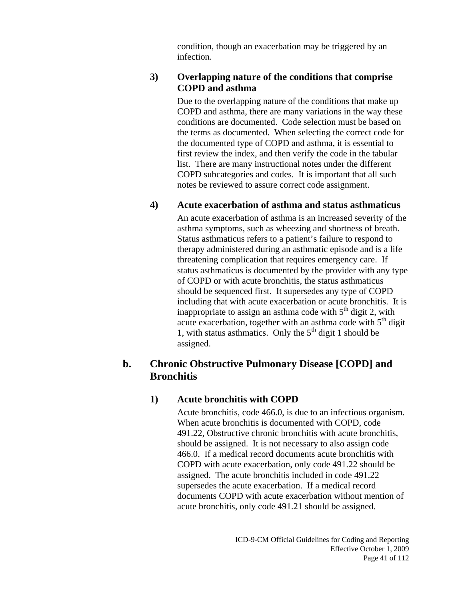condition, though an exacerbation may be triggered by an infection.

### **3) Overlapping nature of the conditions that comprise COPD and asthma**

Due to the overlapping nature of the conditions that make up COPD and asthma, there are many variations in the way these conditions are documented. Code selection must be based on the terms as documented. When selecting the correct code for the documented type of COPD and asthma, it is essential to first review the index, and then verify the code in the tabular list. There are many instructional notes under the different COPD subcategories and codes. It is important that all such notes be reviewed to assure correct code assignment.

#### **4) Acute exacerbation of asthma and status asthmaticus**

An acute exacerbation of asthma is an increased severity of the asthma symptoms, such as wheezing and shortness of breath. Status asthmaticus refers to a patient's failure to respond to therapy administered during an asthmatic episode and is a life threatening complication that requires emergency care. If status asthmaticus is documented by the provider with any type of COPD or with acute bronchitis, the status asthmaticus should be sequenced first. It supersedes any type of COPD including that with acute exacerbation or acute bronchitis. It is inappropriate to assign an asthma code with  $5<sup>th</sup>$  digit 2, with acute exacerbation, together with an asthma code with  $5<sup>th</sup>$  digit 1, with status asthmatics. Only the  $5<sup>th</sup>$  digit 1 should be assigned.

## **b. Chronic Obstructive Pulmonary Disease [COPD] and Bronchitis**

#### **1) Acute bronchitis with COPD**

Acute bronchitis, code 466.0, is due to an infectious organism. When acute bronchitis is documented with COPD, code 491.22, Obstructive chronic bronchitis with acute bronchitis, should be assigned. It is not necessary to also assign code 466.0. If a medical record documents acute bronchitis with COPD with acute exacerbation, only code 491.22 should be assigned. The acute bronchitis included in code 491.22 supersedes the acute exacerbation. If a medical record documents COPD with acute exacerbation without mention of acute bronchitis, only code 491.21 should be assigned.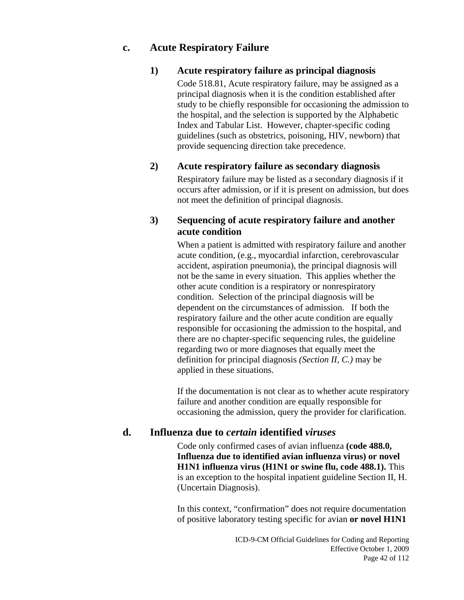## **c. Acute Respiratory Failure**

### **1) Acute respiratory failure as principal diagnosis**

Code 518.81, Acute respiratory failure, may be assigned as a principal diagnosis when it is the condition established after study to be chiefly responsible for occasioning the admission to the hospital, and the selection is supported by the Alphabetic Index and Tabular List. However, chapter-specific coding guidelines (such as obstetrics, poisoning, HIV, newborn) that provide sequencing direction take precedence.

#### **2) Acute respiratory failure as secondary diagnosis**

Respiratory failure may be listed as a secondary diagnosis if it occurs after admission, or if it is present on admission, but does not meet the definition of principal diagnosis.

### **3) Sequencing of acute respiratory failure and another acute condition**

When a patient is admitted with respiratory failure and another acute condition, (e.g., myocardial infarction, cerebrovascular accident, aspiration pneumonia), the principal diagnosis will not be the same in every situation. This applies whether the other acute condition is a respiratory or nonrespiratory condition. Selection of the principal diagnosis will be dependent on the circumstances of admission. If both the respiratory failure and the other acute condition are equally responsible for occasioning the admission to the hospital, and there are no chapter-specific sequencing rules, the guideline regarding two or more diagnoses that equally meet the definition for principal diagnosis *(Section II, C.)* may be applied in these situations.

If the documentation is not clear as to whether acute respiratory failure and another condition are equally responsible for occasioning the admission, query the provider for clarification.

## **d. Influenza due to** *certain* **identified** *viruses*

Code only confirmed cases of avian influenza **(code 488.0, Influenza due to identified avian influenza virus) or novel H1N1 influenza virus (H1N1 or swine flu, code 488.1).** This is an exception to the hospital inpatient guideline Section II, H. (Uncertain Diagnosis).

In this context, "confirmation" does not require documentation of positive laboratory testing specific for avian **or novel H1N1**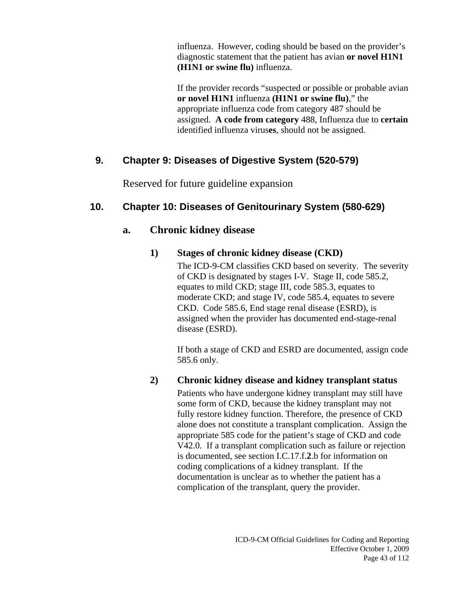influenza. However, coding should be based on the provider's diagnostic statement that the patient has avian **or novel H1N1 (H1N1 or swine flu)** influenza.

If the provider records "suspected or possible or probable avian **or novel H1N1** influenza **(H1N1 or swine flu)**," the appropriate influenza code from category 487 should be assigned. **A code from category** 488, Influenza due to **certain**  identified influenza virus**es**, should not be assigned.

## **9. Chapter 9: Diseases of Digestive System (520-579)**

Reserved for future guideline expansion

#### **10. Chapter 10: Diseases of Genitourinary System (580-629)**

## **a. Chronic kidney disease**

## **1) Stages of chronic kidney disease (CKD)**

The ICD-9-CM classifies CKD based on severity. The severity of CKD is designated by stages I-V. Stage II, code 585.2, equates to mild CKD; stage III, code 585.3, equates to moderate CKD; and stage IV, code 585.4, equates to severe CKD. Code 585.6, End stage renal disease (ESRD), is assigned when the provider has documented end-stage-renal disease (ESRD).

If both a stage of CKD and ESRD are documented, assign code 585.6 only.

## **2) Chronic kidney disease and kidney transplant status**

Patients who have undergone kidney transplant may still have some form of CKD, because the kidney transplant may not fully restore kidney function. Therefore, the presence of CKD alone does not constitute a transplant complication. Assign the appropriate 585 code for the patient's stage of CKD and code V42.0. If a transplant complication such as failure or rejection is documented, see section I.C.17.f.**2**.b for information on coding complications of a kidney transplant. If the documentation is unclear as to whether the patient has a complication of the transplant, query the provider.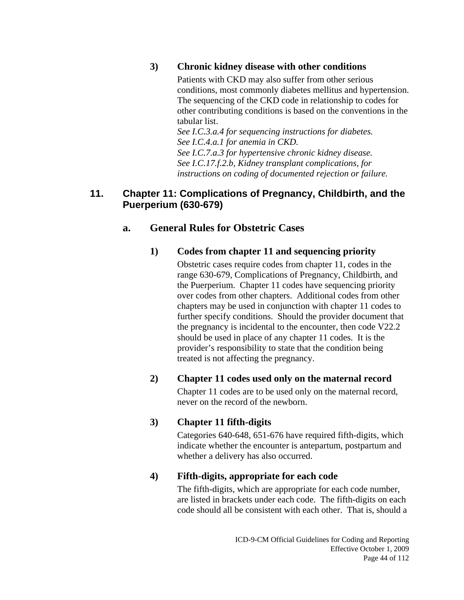## **3) Chronic kidney disease with other conditions**

Patients with CKD may also suffer from other serious conditions, most commonly diabetes mellitus and hypertension. The sequencing of the CKD code in relationship to codes for other contributing conditions is based on the conventions in the tabular list.

*See I.C.3.a.4 for sequencing instructions for diabetes. See I.C.4.a.1 for anemia in CKD. See I.C.7.a.3 for hypertensive chronic kidney disease. See I.C.17.f.2.b, Kidney transplant complications, for instructions on coding of documented rejection or failure.* 

#### **11. Chapter 11: Complications of Pregnancy, Childbirth, and the Puerperium (630-679)**

# **a. General Rules for Obstetric Cases**

## **1) Codes from chapter 11 and sequencing priority**

Obstetric cases require codes from chapter 11, codes in the range 630-679, Complications of Pregnancy, Childbirth, and the Puerperium. Chapter 11 codes have sequencing priority over codes from other chapters. Additional codes from other chapters may be used in conjunction with chapter 11 codes to further specify conditions. Should the provider document that the pregnancy is incidental to the encounter, then code V22.2 should be used in place of any chapter 11 codes. It is the provider's responsibility to state that the condition being treated is not affecting the pregnancy.

## **2) Chapter 11 codes used only on the maternal record**

Chapter 11 codes are to be used only on the maternal record, never on the record of the newborn.

## **3) Chapter 11 fifth-digits**

Categories 640-648, 651-676 have required fifth-digits, which indicate whether the encounter is antepartum, postpartum and whether a delivery has also occurred.

## **4) Fifth-digits, appropriate for each code**

The fifth-digits, which are appropriate for each code number, are listed in brackets under each code. The fifth-digits on each code should all be consistent with each other. That is, should a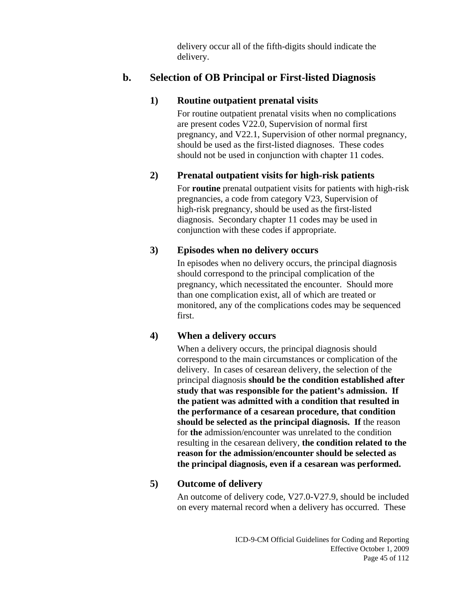delivery occur all of the fifth-digits should indicate the delivery.

# **b. Selection of OB Principal or First-listed Diagnosis**

## **1) Routine outpatient prenatal visits**

For routine outpatient prenatal visits when no complications are present codes V22.0, Supervision of normal first pregnancy, and V22.1, Supervision of other normal pregnancy, should be used as the first-listed diagnoses. These codes should not be used in conjunction with chapter 11 codes.

## **2) Prenatal outpatient visits for high-risk patients**

For **routine** prenatal outpatient visits for patients with high-risk pregnancies, a code from category V23, Supervision of high-risk pregnancy, should be used as the first-listed diagnosis. Secondary chapter 11 codes may be used in conjunction with these codes if appropriate.

## **3) Episodes when no delivery occurs**

In episodes when no delivery occurs, the principal diagnosis should correspond to the principal complication of the pregnancy, which necessitated the encounter. Should more than one complication exist, all of which are treated or monitored, any of the complications codes may be sequenced first.

## **4) When a delivery occurs**

When a delivery occurs, the principal diagnosis should correspond to the main circumstances or complication of the delivery. In cases of cesarean delivery, the selection of the principal diagnosis **should be the condition established after study that was responsible for the patient's admission. If the patient was admitted with a condition that resulted in the performance of a cesarean procedure, that condition should be selected as the principal diagnosis. If the reason** for **the** admission/encounter was unrelated to the condition resulting in the cesarean delivery, **the condition related to the reason for the admission/encounter should be selected as the principal diagnosis, even if a cesarean was performed.** 

## **5) Outcome of delivery**

An outcome of delivery code, V27.0-V27.9, should be included on every maternal record when a delivery has occurred. These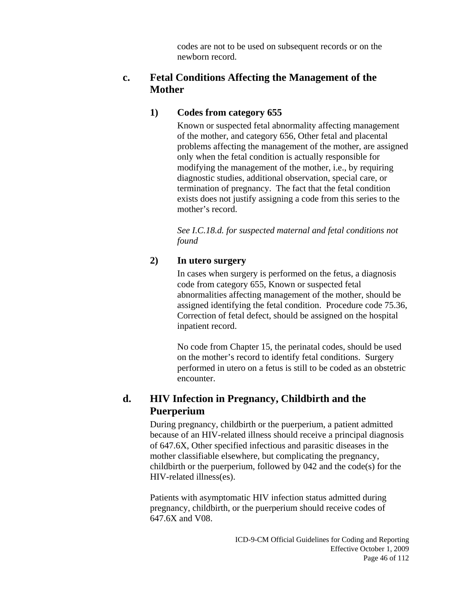codes are not to be used on subsequent records or on the newborn record.

## **c. Fetal Conditions Affecting the Management of the Mother**

## **1) Codes from category 655**

Known or suspected fetal abnormality affecting management of the mother, and category 656, Other fetal and placental problems affecting the management of the mother, are assigned only when the fetal condition is actually responsible for modifying the management of the mother, i.e., by requiring diagnostic studies, additional observation, special care, or termination of pregnancy. The fact that the fetal condition exists does not justify assigning a code from this series to the mother's record.

*See I.C.18.d. for suspected maternal and fetal conditions not found* 

## **2) In utero surgery**

In cases when surgery is performed on the fetus, a diagnosis code from category 655, Known or suspected fetal abnormalities affecting management of the mother, should be assigned identifying the fetal condition. Procedure code 75.36, Correction of fetal defect, should be assigned on the hospital inpatient record.

No code from Chapter 15, the perinatal codes, should be used on the mother's record to identify fetal conditions. Surgery performed in utero on a fetus is still to be coded as an obstetric encounter.

# **d. HIV Infection in Pregnancy, Childbirth and the Puerperium**

During pregnancy, childbirth or the puerperium, a patient admitted because of an HIV-related illness should receive a principal diagnosis of 647.6X, Other specified infectious and parasitic diseases in the mother classifiable elsewhere, but complicating the pregnancy, childbirth or the puerperium, followed by 042 and the code(s) for the HIV-related illness(es).

Patients with asymptomatic HIV infection status admitted during pregnancy, childbirth, or the puerperium should receive codes of 647.6X and V08.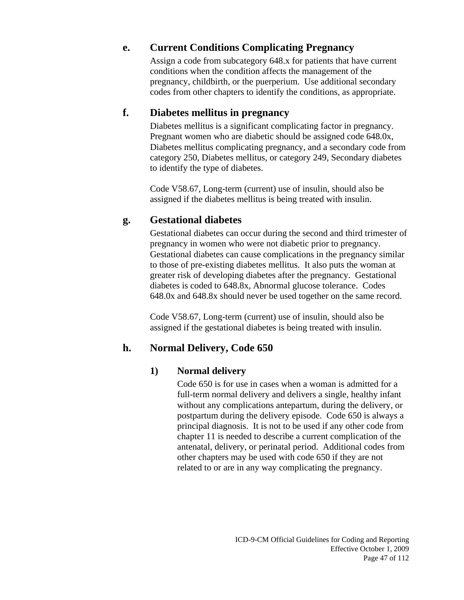# **e. Current Conditions Complicating Pregnancy**

Assign a code from subcategory 648.x for patients that have current conditions when the condition affects the management of the pregnancy, childbirth, or the puerperium. Use additional secondary codes from other chapters to identify the conditions, as appropriate.

# **f. Diabetes mellitus in pregnancy**

Diabetes mellitus is a significant complicating factor in pregnancy. Pregnant women who are diabetic should be assigned code 648.0x, Diabetes mellitus complicating pregnancy, and a secondary code from category 250, Diabetes mellitus, or category 249, Secondary diabetes to identify the type of diabetes.

Code V58.67, Long-term (current) use of insulin, should also be assigned if the diabetes mellitus is being treated with insulin.

# **g. Gestational diabetes**

Gestational diabetes can occur during the second and third trimester of pregnancy in women who were not diabetic prior to pregnancy. Gestational diabetes can cause complications in the pregnancy similar to those of pre-existing diabetes mellitus. It also puts the woman at greater risk of developing diabetes after the pregnancy. Gestational diabetes is coded to 648.8x, Abnormal glucose tolerance. Codes 648.0x and 648.8x should never be used together on the same record.

Code V58.67, Long-term (current) use of insulin, should also be assigned if the gestational diabetes is being treated with insulin.

## **h. Normal Delivery, Code 650**

## **1) Normal delivery**

Code 650 is for use in cases when a woman is admitted for a full-term normal delivery and delivers a single, healthy infant without any complications antepartum, during the delivery, or postpartum during the delivery episode. Code 650 is always a principal diagnosis. It is not to be used if any other code from chapter 11 is needed to describe a current complication of the antenatal, delivery, or perinatal period. Additional codes from other chapters may be used with code 650 if they are not related to or are in any way complicating the pregnancy.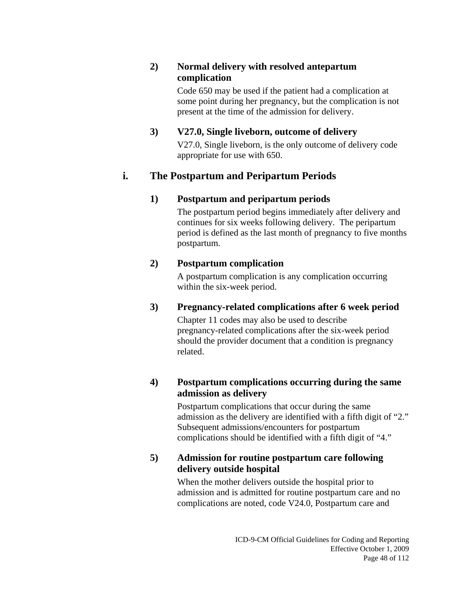### **2) Normal delivery with resolved antepartum complication**

Code 650 may be used if the patient had a complication at some point during her pregnancy, but the complication is not present at the time of the admission for delivery.

### **3) V27.0, Single liveborn, outcome of delivery**

V27.0, Single liveborn, is the only outcome of delivery code appropriate for use with 650.

## **i. The Postpartum and Peripartum Periods**

## **1) Postpartum and peripartum periods**

The postpartum period begins immediately after delivery and continues for six weeks following delivery. The peripartum period is defined as the last month of pregnancy to five months postpartum.

## **2) Postpartum complication**

A postpartum complication is any complication occurring within the six-week period.

## **3) Pregnancy-related complications after 6 week period**

Chapter 11 codes may also be used to describe pregnancy-related complications after the six-week period should the provider document that a condition is pregnancy related.

## **4) Postpartum complications occurring during the same admission as delivery**

Postpartum complications that occur during the same admission as the delivery are identified with a fifth digit of "2." Subsequent admissions/encounters for postpartum complications should be identified with a fifth digit of "4."

## **5) Admission for routine postpartum care following delivery outside hospital**

When the mother delivers outside the hospital prior to admission and is admitted for routine postpartum care and no complications are noted, code V24.0, Postpartum care and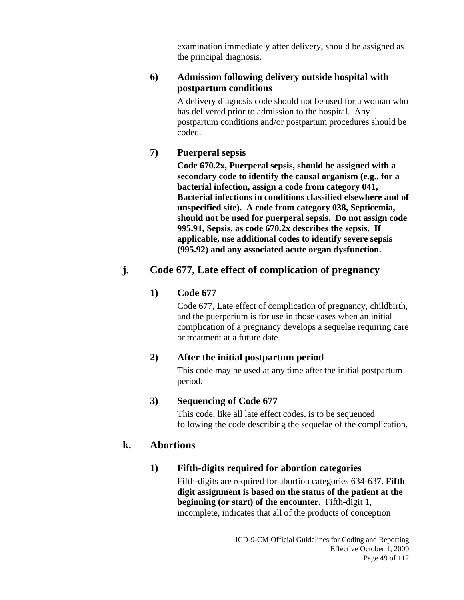examination immediately after delivery, should be assigned as the principal diagnosis.

## **6) Admission following delivery outside hospital with postpartum conditions**

A delivery diagnosis code should not be used for a woman who has delivered prior to admission to the hospital. Any postpartum conditions and/or postpartum procedures should be coded.

## **7) Puerperal sepsis**

**Code 670.2x, Puerperal sepsis, should be assigned with a secondary code to identify the causal organism (e.g., for a bacterial infection, assign a code from category 041, Bacterial infections in conditions classified elsewhere and of unspecified site). A code from category 038, Septicemia, should not be used for puerperal sepsis. Do not assign code 995.91, Sepsis, as code 670.2x describes the sepsis. If applicable, use additional codes to identify severe sepsis (995.92) and any associated acute organ dysfunction.** 

# **j. Code 677, Late effect of complication of pregnancy**

## **1) Code 677**

Code 677, Late effect of complication of pregnancy, childbirth, and the puerperium is for use in those cases when an initial complication of a pregnancy develops a sequelae requiring care or treatment at a future date.

## **2) After the initial postpartum period**

This code may be used at any time after the initial postpartum period.

## **3) Sequencing of Code 677**

This code, like all late effect codes, is to be sequenced following the code describing the sequelae of the complication.

## **k. Abortions**

## **1) Fifth-digits required for abortion categories**

Fifth-digits are required for abortion categories 634-637. **Fifth digit assignment is based on the status of the patient at the beginning (or start) of the encounter.** Fifth-digit 1, incomplete, indicates that all of the products of conception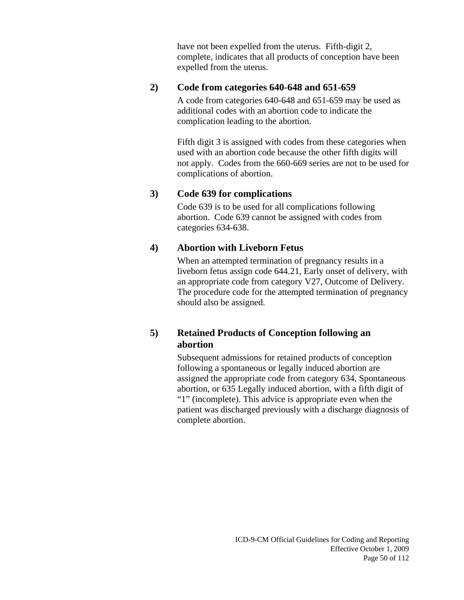have not been expelled from the uterus. Fifth-digit 2, complete, indicates that all products of conception have been expelled from the uterus.

## **2) Code from categories 640-648 and 651-659**

A code from categories 640-648 and 651-659 may be used as additional codes with an abortion code to indicate the complication leading to the abortion.

Fifth digit 3 is assigned with codes from these categories when used with an abortion code because the other fifth digits will not apply. Codes from the 660-669 series are not to be used for complications of abortion.

## **3) Code 639 for complications**

Code 639 is to be used for all complications following abortion. Code 639 cannot be assigned with codes from categories 634-638.

## **4) Abortion with Liveborn Fetus**

When an attempted termination of pregnancy results in a liveborn fetus assign code 644.21, Early onset of delivery, with an appropriate code from category V27, Outcome of Delivery. The procedure code for the attempted termination of pregnancy should also be assigned.

## **5) Retained Products of Conception following an abortion**

Subsequent admissions for retained products of conception following a spontaneous or legally induced abortion are assigned the appropriate code from category 634, Spontaneous abortion, or 635 Legally induced abortion, with a fifth digit of "1" (incomplete). This advice is appropriate even when the patient was discharged previously with a discharge diagnosis of complete abortion.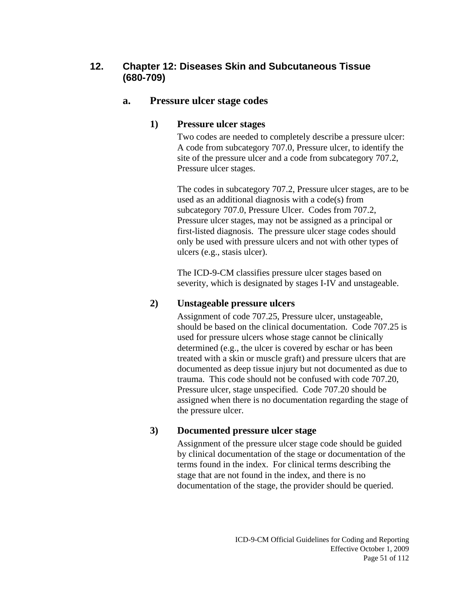## **12. Chapter 12: Diseases Skin and Subcutaneous Tissue (680-709)**

### **a. Pressure ulcer stage codes**

#### **1) Pressure ulcer stages**

Two codes are needed to completely describe a pressure ulcer: A code from subcategory 707.0, Pressure ulcer, to identify the site of the pressure ulcer and a code from subcategory 707.2, Pressure ulcer stages.

The codes in subcategory 707.2, Pressure ulcer stages, are to be used as an additional diagnosis with a code(s) from subcategory 707.0, Pressure Ulcer. Codes from 707.2, Pressure ulcer stages, may not be assigned as a principal or first-listed diagnosis. The pressure ulcer stage codes should only be used with pressure ulcers and not with other types of ulcers (e.g., stasis ulcer).

The ICD-9-CM classifies pressure ulcer stages based on severity, which is designated by stages I-IV and unstageable.

#### **2) Unstageable pressure ulcers**

Assignment of code 707.25, Pressure ulcer, unstageable, should be based on the clinical documentation. Code 707.25 is used for pressure ulcers whose stage cannot be clinically determined (e.g., the ulcer is covered by eschar or has been treated with a skin or muscle graft) and pressure ulcers that are documented as deep tissue injury but not documented as due to trauma. This code should not be confused with code 707.20, Pressure ulcer, stage unspecified. Code 707.20 should be assigned when there is no documentation regarding the stage of the pressure ulcer.

## **3) Documented pressure ulcer stage**

Assignment of the pressure ulcer stage code should be guided by clinical documentation of the stage or documentation of the terms found in the index. For clinical terms describing the stage that are not found in the index, and there is no documentation of the stage, the provider should be queried.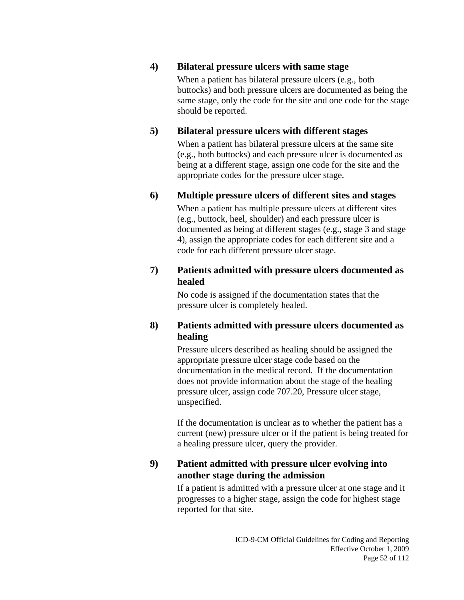### **4) Bilateral pressure ulcers with same stage**

When a patient has bilateral pressure ulcers (e.g., both buttocks) and both pressure ulcers are documented as being the same stage, only the code for the site and one code for the stage should be reported.

## **5) Bilateral pressure ulcers with different stages**

When a patient has bilateral pressure ulcers at the same site (e.g., both buttocks) and each pressure ulcer is documented as being at a different stage, assign one code for the site and the appropriate codes for the pressure ulcer stage.

## **6) Multiple pressure ulcers of different sites and stages**

When a patient has multiple pressure ulcers at different sites (e.g., buttock, heel, shoulder) and each pressure ulcer is documented as being at different stages (e.g., stage 3 and stage 4), assign the appropriate codes for each different site and a code for each different pressure ulcer stage.

### **7) Patients admitted with pressure ulcers documented as healed**

No code is assigned if the documentation states that the pressure ulcer is completely healed.

## **8) Patients admitted with pressure ulcers documented as healing**

Pressure ulcers described as healing should be assigned the appropriate pressure ulcer stage code based on the documentation in the medical record. If the documentation does not provide information about the stage of the healing pressure ulcer, assign code 707.20, Pressure ulcer stage, unspecified.

If the documentation is unclear as to whether the patient has a current (new) pressure ulcer or if the patient is being treated for a healing pressure ulcer, query the provider.

## **9) Patient admitted with pressure ulcer evolving into another stage during the admission**

If a patient is admitted with a pressure ulcer at one stage and it progresses to a higher stage, assign the code for highest stage reported for that site.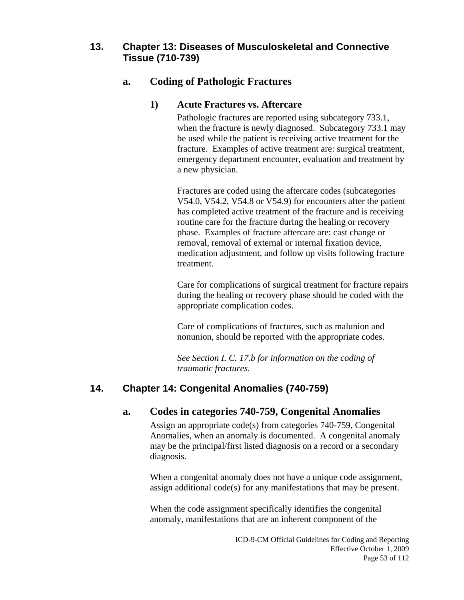#### **13. Chapter 13: Diseases of Musculoskeletal and Connective Tissue (710-739)**

## **a. Coding of Pathologic Fractures**

#### **1) Acute Fractures vs. Aftercare**

Pathologic fractures are reported using subcategory 733.1, when the fracture is newly diagnosed. Subcategory 733.1 may be used while the patient is receiving active treatment for the fracture. Examples of active treatment are: surgical treatment, emergency department encounter, evaluation and treatment by a new physician.

Fractures are coded using the aftercare codes (subcategories V54.0, V54.2, V54.8 or V54.9) for encounters after the patient has completed active treatment of the fracture and is receiving routine care for the fracture during the healing or recovery phase. Examples of fracture aftercare are: cast change or removal, removal of external or internal fixation device, medication adjustment, and follow up visits following fracture treatment.

Care for complications of surgical treatment for fracture repairs during the healing or recovery phase should be coded with the appropriate complication codes.

Care of complications of fractures, such as malunion and nonunion, should be reported with the appropriate codes.

*See Section I. C. 17.b for information on the coding of traumatic fractures.* 

#### **14. Chapter 14: Congenital Anomalies (740-759)**

# **a. Codes in categories 740-759, Congenital Anomalies**

Assign an appropriate code(s) from categories 740-759, Congenital Anomalies, when an anomaly is documented. A congenital anomaly may be the principal/first listed diagnosis on a record or a secondary diagnosis.

When a congenital anomaly does not have a unique code assignment, assign additional code(s) for any manifestations that may be present.

When the code assignment specifically identifies the congenital anomaly, manifestations that are an inherent component of the

> ICD-9-CM Official Guidelines for Coding and Reporting Effective October 1, 2009 Page 53 of 112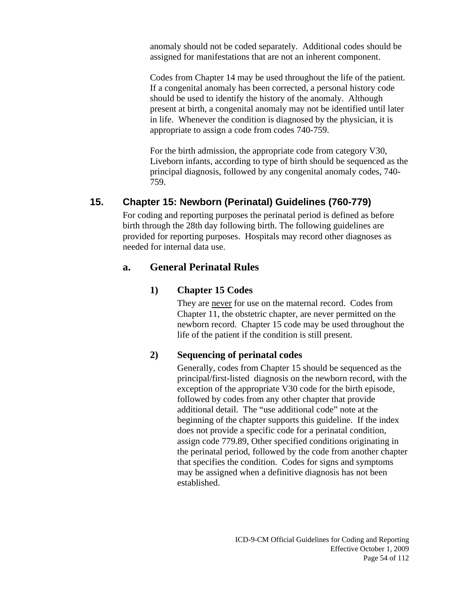anomaly should not be coded separately. Additional codes should be assigned for manifestations that are not an inherent component.

Codes from Chapter 14 may be used throughout the life of the patient. If a congenital anomaly has been corrected, a personal history code should be used to identify the history of the anomaly. Although present at birth, a congenital anomaly may not be identified until later in life. Whenever the condition is diagnosed by the physician, it is appropriate to assign a code from codes 740-759.

For the birth admission, the appropriate code from category V30, Liveborn infants, according to type of birth should be sequenced as the principal diagnosis, followed by any congenital anomaly codes, 740- 759.

#### **15. Chapter 15: Newborn (Perinatal) Guidelines (760-779)**

For coding and reporting purposes the perinatal period is defined as before birth through the 28th day following birth. The following guidelines are provided for reporting purposes. Hospitals may record other diagnoses as needed for internal data use.

## **a. General Perinatal Rules**

## **1) Chapter 15 Codes**

They are never for use on the maternal record. Codes from Chapter 11, the obstetric chapter, are never permitted on the newborn record. Chapter 15 code may be used throughout the life of the patient if the condition is still present.

## **2) Sequencing of perinatal codes**

Generally, codes from Chapter 15 should be sequenced as the principal/first-listed diagnosis on the newborn record, with the exception of the appropriate V30 code for the birth episode, followed by codes from any other chapter that provide additional detail. The "use additional code" note at the beginning of the chapter supports this guideline. If the index does not provide a specific code for a perinatal condition, assign code 779.89, Other specified conditions originating in the perinatal period, followed by the code from another chapter that specifies the condition. Codes for signs and symptoms may be assigned when a definitive diagnosis has not been established.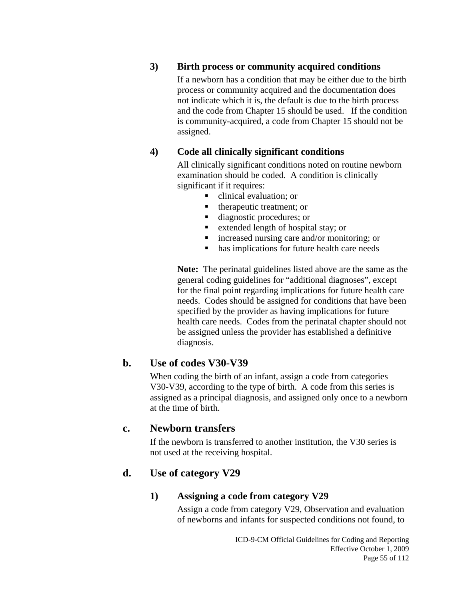## **3) Birth process or community acquired conditions**

If a newborn has a condition that may be either due to the birth process or community acquired and the documentation does not indicate which it is, the default is due to the birth process and the code from Chapter 15 should be used. If the condition is community-acquired, a code from Chapter 15 should not be assigned.

### **4) Code all clinically significant conditions**

All clinically significant conditions noted on routine newborn examination should be coded. A condition is clinically significant if it requires:

- clinical evaluation; or
- therapeutic treatment; or
- diagnostic procedures; or
- extended length of hospital stay; or
- increased nursing care and/or monitoring; or
- has implications for future health care needs

**Note:** The perinatal guidelines listed above are the same as the general coding guidelines for "additional diagnoses", except for the final point regarding implications for future health care needs. Codes should be assigned for conditions that have been specified by the provider as having implications for future health care needs. Codes from the perinatal chapter should not be assigned unless the provider has established a definitive diagnosis.

## **b. Use of codes V30-V39**

When coding the birth of an infant, assign a code from categories V30-V39, according to the type of birth. A code from this series is assigned as a principal diagnosis, and assigned only once to a newborn at the time of birth.

#### **c. Newborn transfers**

If the newborn is transferred to another institution, the V30 series is not used at the receiving hospital.

## **d. Use of category V29**

#### **1) Assigning a code from category V29**

Assign a code from category V29, Observation and evaluation of newborns and infants for suspected conditions not found, to

> ICD-9-CM Official Guidelines for Coding and Reporting Effective October 1, 2009 Page 55 of 112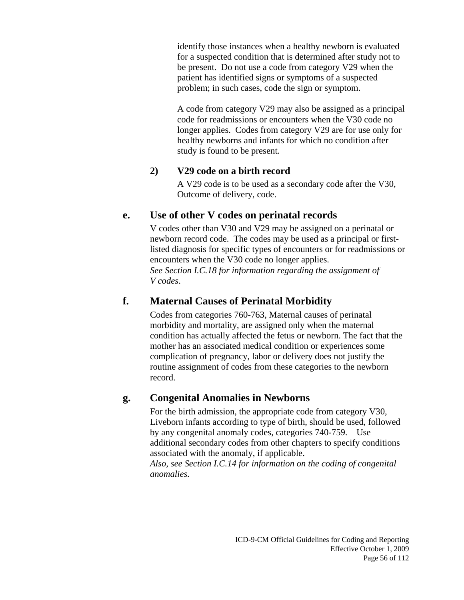identify those instances when a healthy newborn is evaluated for a suspected condition that is determined after study not to be present. Do not use a code from category V29 when the patient has identified signs or symptoms of a suspected problem; in such cases, code the sign or symptom.

A code from category V29 may also be assigned as a principal code for readmissions or encounters when the V30 code no longer applies. Codes from category V29 are for use only for healthy newborns and infants for which no condition after study is found to be present.

## **2) V29 code on a birth record**

A V29 code is to be used as a secondary code after the V30, Outcome of delivery, code.

## **e. Use of other V codes on perinatal records**

V codes other than V30 and V29 may be assigned on a perinatal or newborn record code. The codes may be used as a principal or firstlisted diagnosis for specific types of encounters or for readmissions or encounters when the V30 code no longer applies. *See Section I.C.18 for information regarding the assignment of V codes*.

# **f. Maternal Causes of Perinatal Morbidity**

Codes from categories 760-763, Maternal causes of perinatal morbidity and mortality, are assigned only when the maternal condition has actually affected the fetus or newborn. The fact that the mother has an associated medical condition or experiences some complication of pregnancy, labor or delivery does not justify the routine assignment of codes from these categories to the newborn record.

# **g. Congenital Anomalies in Newborns**

For the birth admission, the appropriate code from category V30, Liveborn infants according to type of birth, should be used, followed by any congenital anomaly codes, categories 740-759. Use additional secondary codes from other chapters to specify conditions associated with the anomaly, if applicable.

*Also, see Section I.C.14 for information on the coding of congenital anomalies.*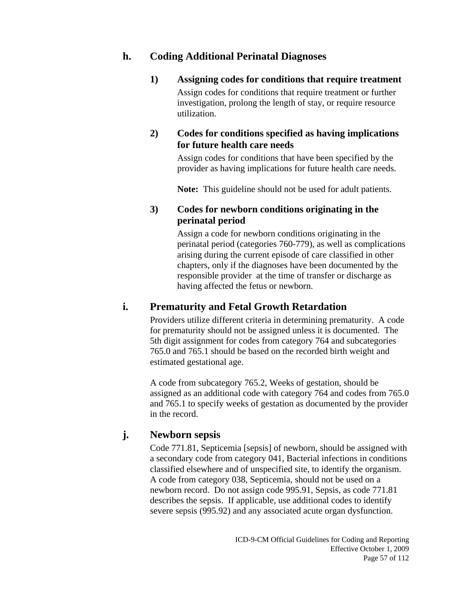# **h. Coding Additional Perinatal Diagnoses**

**1) Assigning codes for conditions that require treatment**  Assign codes for conditions that require treatment or further investigation, prolong the length of stay, or require resource utilization.

## **2) Codes for conditions specified as having implications for future health care needs**

Assign codes for conditions that have been specified by the provider as having implications for future health care needs.

**Note:** This guideline should not be used for adult patients.

## **3) Codes for newborn conditions originating in the perinatal period**

Assign a code for newborn conditions originating in the perinatal period (categories 760-779), as well as complications arising during the current episode of care classified in other chapters, only if the diagnoses have been documented by the responsible provider at the time of transfer or discharge as having affected the fetus or newborn.

# **i. Prematurity and Fetal Growth Retardation**

Providers utilize different criteria in determining prematurity. A code for prematurity should not be assigned unless it is documented. The 5th digit assignment for codes from category 764 and subcategories 765.0 and 765.1 should be based on the recorded birth weight and estimated gestational age.

A code from subcategory 765.2, Weeks of gestation, should be assigned as an additional code with category 764 and codes from 765.0 and 765.1 to specify weeks of gestation as documented by the provider in the record.

# **j. Newborn sepsis**

Code 771.81, Septicemia [sepsis] of newborn, should be assigned with a secondary code from category 041, Bacterial infections in conditions classified elsewhere and of unspecified site, to identify the organism. A code from category 038, Septicemia, should not be used on a newborn record. Do not assign code 995.91, Sepsis, as code 771.81 describes the sepsis. If applicable, use additional codes to identify severe sepsis (995.92) and any associated acute organ dysfunction.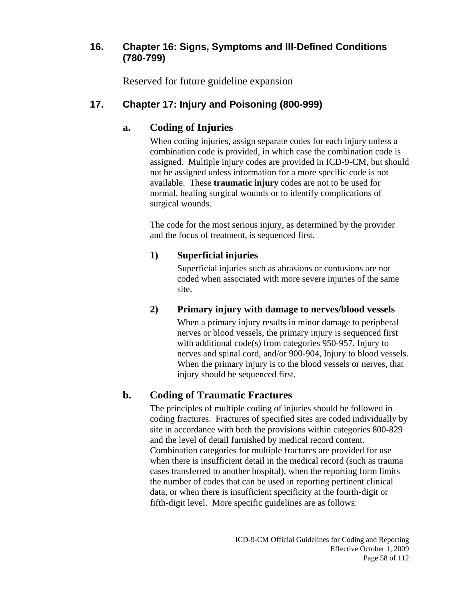#### **16. Chapter 16: Signs, Symptoms and Ill-Defined Conditions (780-799)**

Reserved for future guideline expansion

#### **17. Chapter 17: Injury and Poisoning (800-999)**

# **a. Coding of Injuries**

When coding injuries, assign separate codes for each injury unless a combination code is provided, in which case the combination code is assigned. Multiple injury codes are provided in ICD-9-CM, but should not be assigned unless information for a more specific code is not available. These **traumatic injury** codes are not to be used for normal, healing surgical wounds or to identify complications of surgical wounds.

The code for the most serious injury, as determined by the provider and the focus of treatment, is sequenced first.

## **1) Superficial injuries**

Superficial injuries such as abrasions or contusions are not coded when associated with more severe injuries of the same site.

## **2) Primary injury with damage to nerves/blood vessels**

When a primary injury results in minor damage to peripheral nerves or blood vessels, the primary injury is sequenced first with additional code(s) from categories 950-957, Injury to nerves and spinal cord, and/or 900-904, Injury to blood vessels. When the primary injury is to the blood vessels or nerves, that injury should be sequenced first.

# **b. Coding of Traumatic Fractures**

The principles of multiple coding of injuries should be followed in coding fractures. Fractures of specified sites are coded individually by site in accordance with both the provisions within categories 800-829 and the level of detail furnished by medical record content. Combination categories for multiple fractures are provided for use when there is insufficient detail in the medical record (such as trauma cases transferred to another hospital), when the reporting form limits the number of codes that can be used in reporting pertinent clinical data, or when there is insufficient specificity at the fourth-digit or fifth-digit level. More specific guidelines are as follows: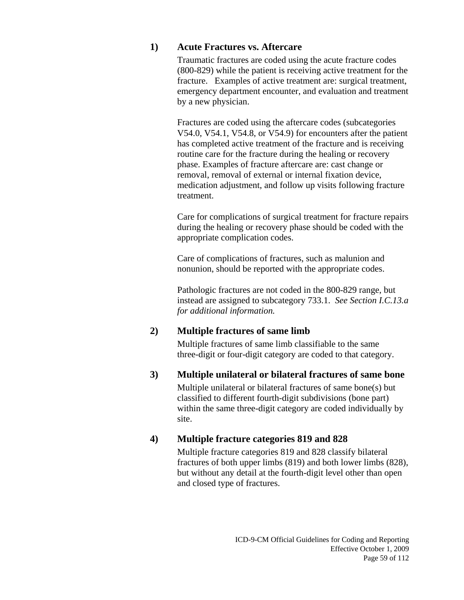## **1) Acute Fractures vs. Aftercare**

Traumatic fractures are coded using the acute fracture codes (800-829) while the patient is receiving active treatment for the fracture. Examples of active treatment are: surgical treatment, emergency department encounter, and evaluation and treatment by a new physician.

Fractures are coded using the aftercare codes (subcategories V54.0, V54.1, V54.8, or V54.9) for encounters after the patient has completed active treatment of the fracture and is receiving routine care for the fracture during the healing or recovery phase. Examples of fracture aftercare are: cast change or removal, removal of external or internal fixation device, medication adjustment, and follow up visits following fracture treatment.

Care for complications of surgical treatment for fracture repairs during the healing or recovery phase should be coded with the appropriate complication codes.

Care of complications of fractures, such as malunion and nonunion, should be reported with the appropriate codes.

Pathologic fractures are not coded in the 800-829 range, but instead are assigned to subcategory 733.1. *See Section I.C.13.a for additional information.* 

## **2) Multiple fractures of same limb**

Multiple fractures of same limb classifiable to the same three-digit or four-digit category are coded to that category.

#### **3) Multiple unilateral or bilateral fractures of same bone**

Multiple unilateral or bilateral fractures of same bone(s) but classified to different fourth-digit subdivisions (bone part) within the same three-digit category are coded individually by site.

## **4) Multiple fracture categories 819 and 828**

Multiple fracture categories 819 and 828 classify bilateral fractures of both upper limbs (819) and both lower limbs (828), but without any detail at the fourth-digit level other than open and closed type of fractures.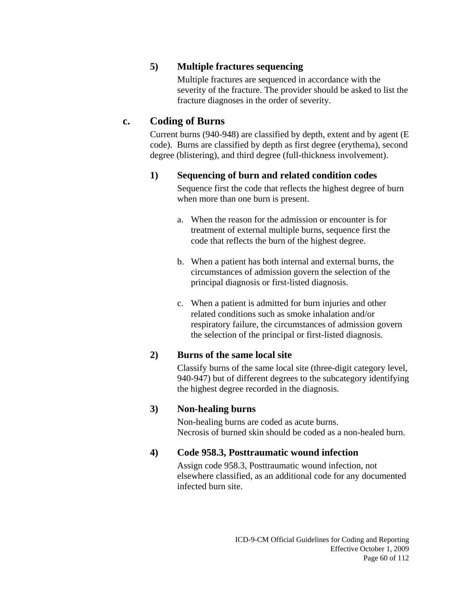## **5) Multiple fractures sequencing**

Multiple fractures are sequenced in accordance with the severity of the fracture. The provider should be asked to list the fracture diagnoses in the order of severity.

## **c. Coding of Burns**

Current burns (940-948) are classified by depth, extent and by agent (E code). Burns are classified by depth as first degree (erythema), second degree (blistering), and third degree (full-thickness involvement).

## **1) Sequencing of burn and related condition codes**

Sequence first the code that reflects the highest degree of burn when more than one burn is present.

- a. When the reason for the admission or encounter is for treatment of external multiple burns, sequence first the code that reflects the burn of the highest degree.
- b. When a patient has both internal and external burns, the circumstances of admission govern the selection of the principal diagnosis or first-listed diagnosis.
- c. When a patient is admitted for burn injuries and other related conditions such as smoke inhalation and/or respiratory failure, the circumstances of admission govern the selection of the principal or first-listed diagnosis.

## **2) Burns of the same local site**

Classify burns of the same local site (three-digit category level, 940-947) but of different degrees to the subcategory identifying the highest degree recorded in the diagnosis.

## **3) Non-healing burns**

Non-healing burns are coded as acute burns. Necrosis of burned skin should be coded as a non-healed burn.

## **4) Code 958.3, Posttraumatic wound infection**

Assign code 958.3, Posttraumatic wound infection, not elsewhere classified, as an additional code for any documented infected burn site.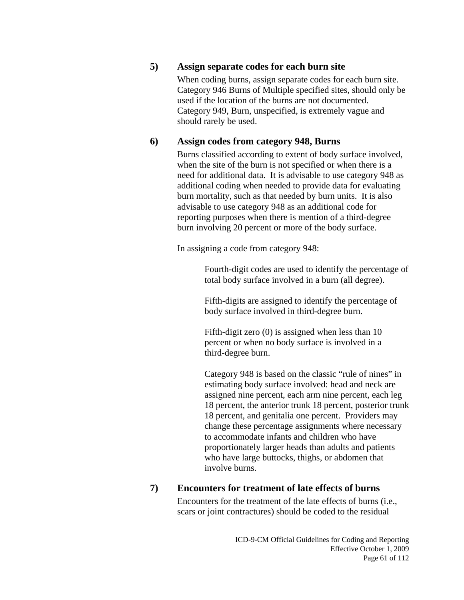#### **5) Assign separate codes for each burn site**

When coding burns, assign separate codes for each burn site. Category 946 Burns of Multiple specified sites, should only be used if the location of the burns are not documented. Category 949, Burn, unspecified, is extremely vague and should rarely be used.

### **6) Assign codes from category 948, Burns**

Burns classified according to extent of body surface involved, when the site of the burn is not specified or when there is a need for additional data. It is advisable to use category 948 as additional coding when needed to provide data for evaluating burn mortality, such as that needed by burn units. It is also advisable to use category 948 as an additional code for reporting purposes when there is mention of a third-degree burn involving 20 percent or more of the body surface.

In assigning a code from category 948:

Fourth-digit codes are used to identify the percentage of total body surface involved in a burn (all degree).

Fifth-digits are assigned to identify the percentage of body surface involved in third-degree burn.

Fifth-digit zero (0) is assigned when less than 10 percent or when no body surface is involved in a third-degree burn.

Category 948 is based on the classic "rule of nines" in estimating body surface involved: head and neck are assigned nine percent, each arm nine percent, each leg 18 percent, the anterior trunk 18 percent, posterior trunk 18 percent, and genitalia one percent. Providers may change these percentage assignments where necessary to accommodate infants and children who have proportionately larger heads than adults and patients who have large buttocks, thighs, or abdomen that involve burns.

#### **7) Encounters for treatment of late effects of burns**

Encounters for the treatment of the late effects of burns (i.e., scars or joint contractures) should be coded to the residual

> ICD-9-CM Official Guidelines for Coding and Reporting Effective October 1, 2009 Page 61 of 112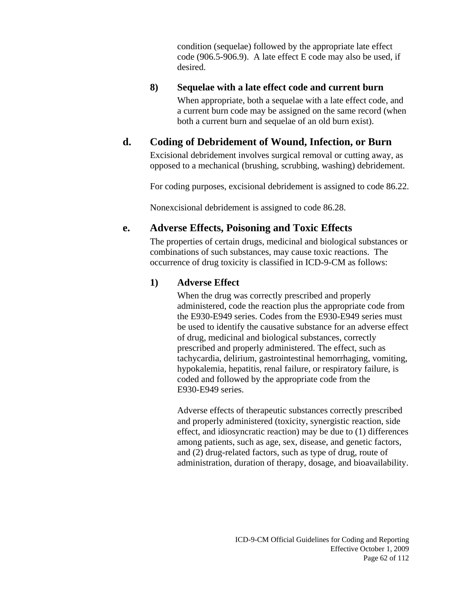condition (sequelae) followed by the appropriate late effect code (906.5-906.9). A late effect E code may also be used, if desired.

## **8) Sequelae with a late effect code and current burn**

When appropriate, both a sequelae with a late effect code, and a current burn code may be assigned on the same record (when both a current burn and sequelae of an old burn exist).

# **d. Coding of Debridement of Wound, Infection, or Burn**

Excisional debridement involves surgical removal or cutting away, as opposed to a mechanical (brushing, scrubbing, washing) debridement.

For coding purposes, excisional debridement is assigned to code 86.22.

Nonexcisional debridement is assigned to code 86.28.

# **e. Adverse Effects, Poisoning and Toxic Effects**

The properties of certain drugs, medicinal and biological substances or combinations of such substances, may cause toxic reactions. The occurrence of drug toxicity is classified in ICD-9-CM as follows:

## **1) Adverse Effect**

When the drug was correctly prescribed and properly administered, code the reaction plus the appropriate code from the E930-E949 series. Codes from the E930-E949 series must be used to identify the causative substance for an adverse effect of drug, medicinal and biological substances, correctly prescribed and properly administered. The effect, such as tachycardia, delirium, gastrointestinal hemorrhaging, vomiting, hypokalemia, hepatitis, renal failure, or respiratory failure, is coded and followed by the appropriate code from the E930-E949 series.

Adverse effects of therapeutic substances correctly prescribed and properly administered (toxicity, synergistic reaction, side effect, and idiosyncratic reaction) may be due to (1) differences among patients, such as age, sex, disease, and genetic factors, and (2) drug-related factors, such as type of drug, route of administration, duration of therapy, dosage, and bioavailability.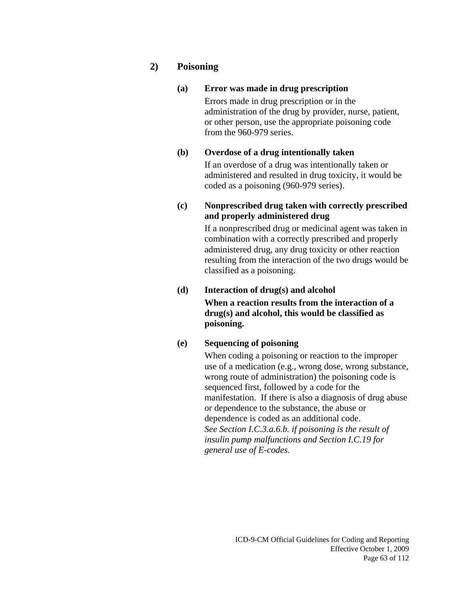### **2) Poisoning**

#### **(a) Error was made in drug prescription**

Errors made in drug prescription or in the administration of the drug by provider, nurse, patient, or other person, use the appropriate poisoning code from the 960-979 series.

#### **(b) Overdose of a drug intentionally taken**

If an overdose of a drug was intentionally taken or administered and resulted in drug toxicity, it would be coded as a poisoning (960-979 series).

#### **(c) Nonprescribed drug taken with correctly prescribed and properly administered drug**

If a nonprescribed drug or medicinal agent was taken in combination with a correctly prescribed and properly administered drug, any drug toxicity or other reaction resulting from the interaction of the two drugs would be classified as a poisoning.

#### **(d) Interaction of drug(s) and alcohol**

**When a reaction results from the interaction of a drug(s) and alcohol, this would be classified as poisoning.**

#### **(e) Sequencing of poisoning**

When coding a poisoning or reaction to the improper use of a medication (e.g., wrong dose, wrong substance, wrong route of administration) the poisoning code is sequenced first, followed by a code for the manifestation. If there is also a diagnosis of drug abuse or dependence to the substance, the abuse or dependence is coded as an additional code. *See Section I.C.3.a.6.b. if poisoning is the result of insulin pump malfunctions and Section I.C.19 for general use of E-codes.*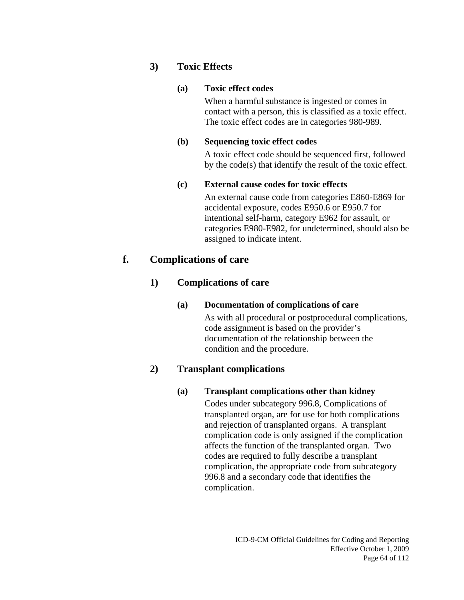## **3) Toxic Effects**

#### **(a) Toxic effect codes**

When a harmful substance is ingested or comes in contact with a person, this is classified as a toxic effect. The toxic effect codes are in categories 980-989.

#### **(b) Sequencing toxic effect codes**

A toxic effect code should be sequenced first, followed by the code(s) that identify the result of the toxic effect.

#### **(c) External cause codes for toxic effects**

An external cause code from categories E860-E869 for accidental exposure, codes E950.6 or E950.7 for intentional self-harm, category E962 for assault, or categories E980-E982, for undetermined, should also be assigned to indicate intent.

## **f. Complications of care**

### **1) Complications of care**

#### **(a) Documentation of complications of care**

As with all procedural or postprocedural complications, code assignment is based on the provider's documentation of the relationship between the condition and the procedure.

## **2) Transplant complications**

#### **(a) Transplant complications other than kidney**

Codes under subcategory 996.8, Complications of transplanted organ, are for use for both complications and rejection of transplanted organs. A transplant complication code is only assigned if the complication affects the function of the transplanted organ. Two codes are required to fully describe a transplant complication, the appropriate code from subcategory 996.8 and a secondary code that identifies the complication.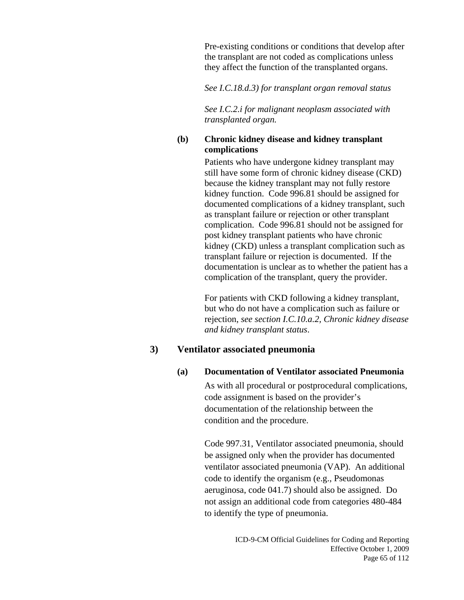Pre-existing conditions or conditions that develop after the transplant are not coded as complications unless they affect the function of the transplanted organs.

*See I.C.18.d.3) for transplant organ removal status* 

*See I.C.2.i for malignant neoplasm associated with transplanted organ.* 

#### **(b) Chronic kidney disease and kidney transplant complications**

Patients who have undergone kidney transplant may still have some form of chronic kidney disease (CKD) because the kidney transplant may not fully restore kidney function.Code 996.81 should be assigned for documented complications of a kidney transplant, such as transplant failure or rejection or other transplant complication. Code 996.81 should not be assigned for post kidney transplant patients who have chronic kidney (CKD) unless a transplant complication such as transplant failure or rejection is documented. If the documentation is unclear as to whether the patient has a complication of the transplant, query the provider.

For patients with CKD following a kidney transplant, but who do not have a complication such as failure or rejection, *see section I.C.10.a.2, Chronic kidney disease and kidney transplant status*.

#### **3) Ventilator associated pneumonia**

#### **(a) Documentation of Ventilator associated Pneumonia**

As with all procedural or postprocedural complications, code assignment is based on the provider's documentation of the relationship between the condition and the procedure.

Code 997.31, Ventilator associated pneumonia, should be assigned only when the provider has documented ventilator associated pneumonia (VAP). An additional code to identify the organism (e.g., Pseudomonas aeruginosa, code 041.7) should also be assigned. Do not assign an additional code from categories 480-484 to identify the type of pneumonia.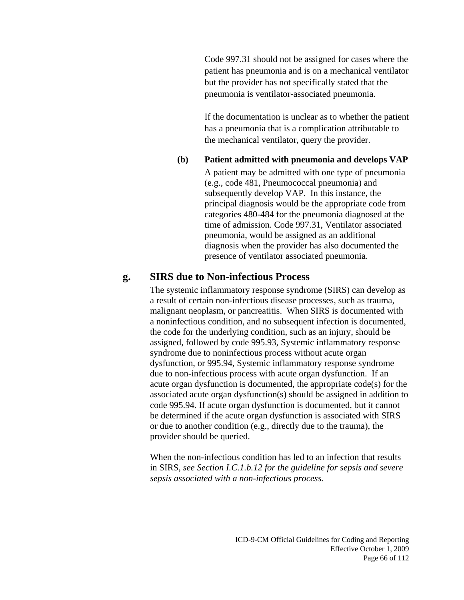Code 997.31 should not be assigned for cases where the patient has pneumonia and is on a mechanical ventilator but the provider has not specifically stated that the pneumonia is ventilator-associated pneumonia.

If the documentation is unclear as to whether the patient has a pneumonia that is a complication attributable to the mechanical ventilator, query the provider.

#### **(b) Patient admitted with pneumonia and develops VAP**

A patient may be admitted with one type of pneumonia (e.g., code 481, Pneumococcal pneumonia) and subsequently develop VAP. In this instance, the principal diagnosis would be the appropriate code from categories 480-484 for the pneumonia diagnosed at the time of admission. Code 997.31, Ventilator associated pneumonia, would be assigned as an additional diagnosis when the provider has also documented the presence of ventilator associated pneumonia.

## **g. SIRS due to Non-infectious Process**

The systemic inflammatory response syndrome (SIRS) can develop as a result of certain non-infectious disease processes, such as trauma, malignant neoplasm, or pancreatitis. When SIRS is documented with a noninfectious condition, and no subsequent infection is documented, the code for the underlying condition, such as an injury, should be assigned, followed by code 995.93, Systemic inflammatory response syndrome due to noninfectious process without acute organ dysfunction, or 995.94, Systemic inflammatory response syndrome due to non-infectious process with acute organ dysfunction. If an acute organ dysfunction is documented, the appropriate code(s) for the associated acute organ dysfunction(s) should be assigned in addition to code 995.94. If acute organ dysfunction is documented, but it cannot be determined if the acute organ dysfunction is associated with SIRS or due to another condition (e.g., directly due to the trauma), the provider should be queried.

When the non-infectious condition has led to an infection that results in SIRS, *see Section I.C.1.b.12 for the guideline for sepsis and severe sepsis associated with a non-infectious process.*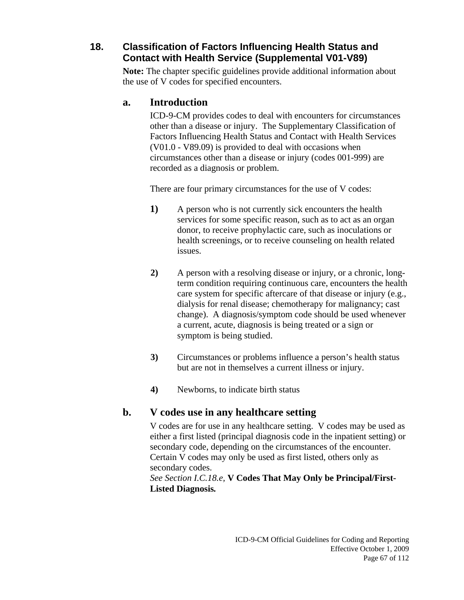# **18. Classification of Factors Influencing Health Status and Contact with Health Service (Supplemental V01-V89)**

**Note:** The chapter specific guidelines provide additional information about the use of V codes for specified encounters.

## **a. Introduction**

ICD-9-CM provides codes to deal with encounters for circumstances other than a disease or injury. The Supplementary Classification of Factors Influencing Health Status and Contact with Health Services (V01.0 - V89.09) is provided to deal with occasions when circumstances other than a disease or injury (codes 001-999) are recorded as a diagnosis or problem.

There are four primary circumstances for the use of V codes:

- **1)** A person who is not currently sick encounters the health services for some specific reason, such as to act as an organ donor, to receive prophylactic care, such as inoculations or health screenings, or to receive counseling on health related issues.
- **2)** A person with a resolving disease or injury, or a chronic, longterm condition requiring continuous care, encounters the health care system for specific aftercare of that disease or injury (e.g., dialysis for renal disease; chemotherapy for malignancy; cast change). A diagnosis/symptom code should be used whenever a current, acute, diagnosis is being treated or a sign or symptom is being studied.
- **3)** Circumstances or problems influence a person's health status but are not in themselves a current illness or injury.
- **4)** Newborns, to indicate birth status

# **b. V codes use in any healthcare setting**

V codes are for use in any healthcare setting. V codes may be used as either a first listed (principal diagnosis code in the inpatient setting) or secondary code, depending on the circumstances of the encounter. Certain V codes may only be used as first listed, others only as secondary codes.

*See Section I.C.18.e,* **V Codes That May Only be Principal/First-Listed Diagnosis***.*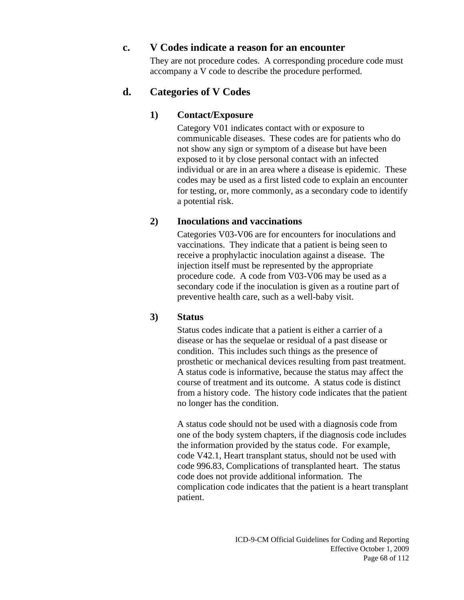## **c. V Codes indicate a reason for an encounter**

They are not procedure codes. A corresponding procedure code must accompany a V code to describe the procedure performed.

# **d. Categories of V Codes**

## **1) Contact/Exposure**

Category V01 indicates contact with or exposure to communicable diseases. These codes are for patients who do not show any sign or symptom of a disease but have been exposed to it by close personal contact with an infected individual or are in an area where a disease is epidemic. These codes may be used as a first listed code to explain an encounter for testing, or, more commonly, as a secondary code to identify a potential risk.

# **2) Inoculations and vaccinations**

Categories V03-V06 are for encounters for inoculations and vaccinations. They indicate that a patient is being seen to receive a prophylactic inoculation against a disease. The injection itself must be represented by the appropriate procedure code. A code from V03-V06 may be used as a secondary code if the inoculation is given as a routine part of preventive health care, such as a well-baby visit.

## **3) Status**

Status codes indicate that a patient is either a carrier of a disease or has the sequelae or residual of a past disease or condition. This includes such things as the presence of prosthetic or mechanical devices resulting from past treatment. A status code is informative, because the status may affect the course of treatment and its outcome. A status code is distinct from a history code. The history code indicates that the patient no longer has the condition.

A status code should not be used with a diagnosis code from one of the body system chapters, if the diagnosis code includes the information provided by the status code. For example, code V42.1, Heart transplant status, should not be used with code 996.83, Complications of transplanted heart. The status code does not provide additional information. The complication code indicates that the patient is a heart transplant patient.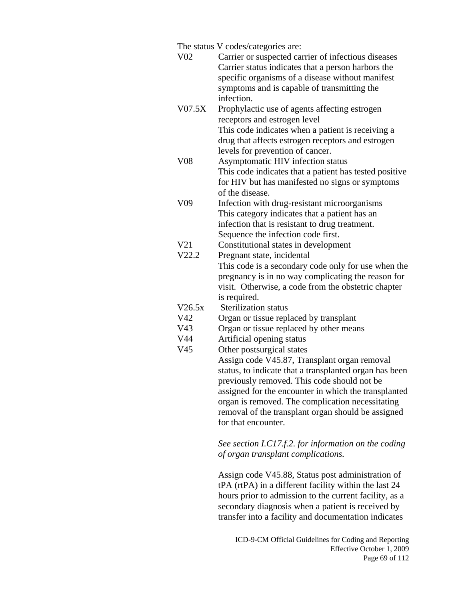The status V codes/categories are:

|                 | $\frac{1}{100}$ status $\sqrt{2}$ codes/eate goings are:                                               |
|-----------------|--------------------------------------------------------------------------------------------------------|
| V <sub>02</sub> | Carrier or suspected carrier of infectious diseases                                                    |
|                 | Carrier status indicates that a person harbors the<br>specific organisms of a disease without manifest |
|                 | symptoms and is capable of transmitting the                                                            |
|                 | infection.                                                                                             |
| V07.5X          | Prophylactic use of agents affecting estrogen                                                          |
|                 | receptors and estrogen level                                                                           |
|                 | This code indicates when a patient is receiving a                                                      |
|                 | drug that affects estrogen receptors and estrogen                                                      |
|                 | levels for prevention of cancer.                                                                       |
| V <sub>08</sub> | Asymptomatic HIV infection status                                                                      |
|                 | This code indicates that a patient has tested positive                                                 |
|                 | for HIV but has manifested no signs or symptoms                                                        |
|                 | of the disease.                                                                                        |
| V <sub>09</sub> | Infection with drug-resistant microorganisms                                                           |
|                 | This category indicates that a patient has an                                                          |
|                 | infection that is resistant to drug treatment.                                                         |
|                 | Sequence the infection code first.                                                                     |
| V21             | Constitutional states in development                                                                   |
| V22.2           | Pregnant state, incidental                                                                             |
|                 | This code is a secondary code only for use when the                                                    |
|                 | pregnancy is in no way complicating the reason for                                                     |
|                 | visit. Otherwise, a code from the obstetric chapter                                                    |
|                 | is required.                                                                                           |
| V26.5x          | <b>Sterilization status</b>                                                                            |
| V42             | Organ or tissue replaced by transplant                                                                 |
| V43             | Organ or tissue replaced by other means                                                                |
| V44             | Artificial opening status                                                                              |
| V <sub>45</sub> | Other postsurgical states                                                                              |
|                 | Assign code V45.87, Transplant organ removal                                                           |
|                 | status, to indicate that a transplanted organ has been<br>previously removed. This code should not be  |
|                 | assigned for the encounter in which the transplanted                                                   |
|                 | organ is removed. The complication necessitating                                                       |
|                 | removal of the transplant organ should be assigned                                                     |
|                 | for that encounter.                                                                                    |
|                 |                                                                                                        |
|                 |                                                                                                        |

*See section I.C17.f.2. for information on the coding of organ transplant complications.* 

Assign code V45.88, Status post administration of tPA (rtPA) in a different facility within the last 24 hours prior to admission to the current facility, as a secondary diagnosis when a patient is received by transfer into a facility and documentation indicates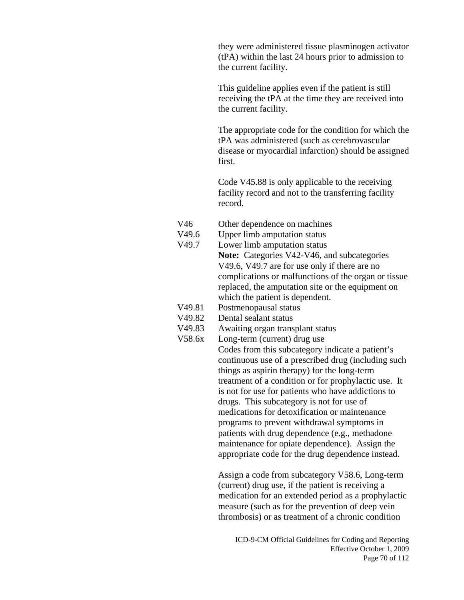they were administered tissue plasminogen activator (tPA) within the last 24 hours prior to admission to the current facility.

This guideline applies even if the patient is still receiving the tPA at the time they are received into the current facility.

The appropriate code for the condition for which the tPA was administered (such as cerebrovascular disease or myocardial infarction) should be assigned first.

Code V45.88 is only applicable to the receiving facility record and not to the transferring facility record.

- V46 Other dependence on machines
- V49.6 Upper limb amputation status V49.7 Lower limb amputation status **Note:** Categories V42-V46, and subcategories V49.6, V49.7 are for use only if there are no complications or malfunctions of the organ or tissue replaced, the amputation site or the equipment on which the patient is dependent.
- V49.81 Postmenopausal status
- V49.82 Dental sealant status
- V49.83 Awaiting organ transplant status
- V58.6x Long-term (current) drug use Codes from this subcategory indicate a patient's continuous use of a prescribed drug (including such things as aspirin therapy) for the long-term treatment of a condition or for prophylactic use. It is not for use for patients who have addictions to drugs. This subcategory is not for use of medications for detoxification or maintenance programs to prevent withdrawal symptoms in patients with drug dependence (e.g., methadone maintenance for opiate dependence). Assign the appropriate code for the drug dependence instead.

Assign a code from subcategory V58.6, Long-term (current) drug use, if the patient is receiving a medication for an extended period as a prophylactic measure (such as for the prevention of deep vein thrombosis) or as treatment of a chronic condition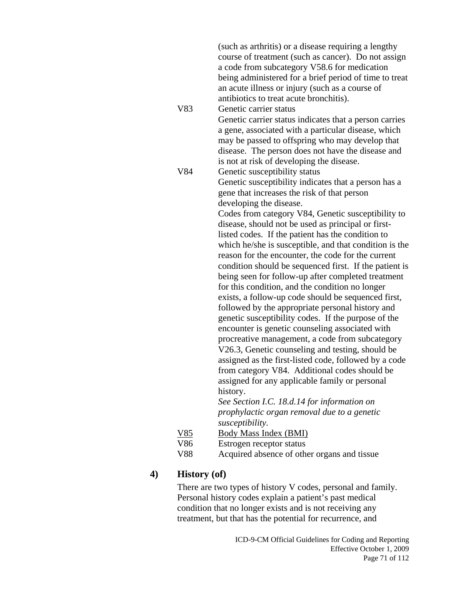(such as arthritis) or a disease requiring a lengthy course of treatment (such as cancer). Do not assign a code from subcategory V58.6 for medication being administered for a brief period of time to treat an acute illness or injury (such as a course of antibiotics to treat acute bronchitis).

V83 Genetic carrier status

Genetic carrier status indicates that a person carries a gene, associated with a particular disease, which may be passed to offspring who may develop that disease. The person does not have the disease and is not at risk of developing the disease.

V84 Genetic susceptibility status

Genetic susceptibility indicates that a person has a gene that increases the risk of that person developing the disease.

Codes from category V84, Genetic susceptibility to disease, should not be used as principal or firstlisted codes. If the patient has the condition to which he/she is susceptible, and that condition is the reason for the encounter, the code for the current condition should be sequenced first. If the patient is being seen for follow-up after completed treatment for this condition, and the condition no longer exists, a follow-up code should be sequenced first, followed by the appropriate personal history and genetic susceptibility codes. If the purpose of the encounter is genetic counseling associated with procreative management, a code from subcategory V26.3, Genetic counseling and testing, should be assigned as the first-listed code, followed by a code from category V84. Additional codes should be assigned for any applicable family or personal history.

*See Section I.C. 18.d.14 for information on prophylactic organ removal due to a genetic susceptibility.*

- V85 Body Mass Index (BMI) V86 Estrogen receptor status
- V88 Acquired absence of other organs and tissue

## **4) History (of)**

There are two types of history V codes, personal and family. Personal history codes explain a patient's past medical condition that no longer exists and is not receiving any treatment, but that has the potential for recurrence, and

> ICD-9-CM Official Guidelines for Coding and Reporting Effective October 1, 2009 Page 71 of 112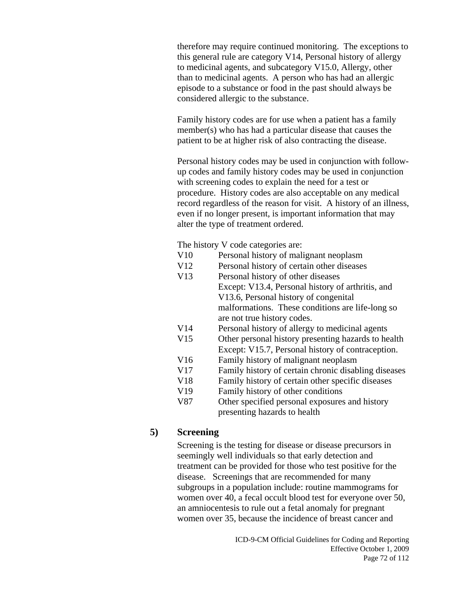therefore may require continued monitoring. The exceptions to this general rule are category V14, Personal history of allergy to medicinal agents, and subcategory V15.0, Allergy, other than to medicinal agents. A person who has had an allergic episode to a substance or food in the past should always be considered allergic to the substance.

Family history codes are for use when a patient has a family member(s) who has had a particular disease that causes the patient to be at higher risk of also contracting the disease.

Personal history codes may be used in conjunction with followup codes and family history codes may be used in conjunction with screening codes to explain the need for a test or procedure. History codes are also acceptable on any medical record regardless of the reason for visit. A history of an illness, even if no longer present, is important information that may alter the type of treatment ordered.

The history V code categories are:

| V10             | Personal history of malignant neoplasm               |
|-----------------|------------------------------------------------------|
| V <sub>12</sub> | Personal history of certain other diseases           |
| V13             | Personal history of other diseases                   |
|                 | Except: V13.4, Personal history of arthritis, and    |
|                 | V13.6, Personal history of congenital                |
|                 | malformations. These conditions are life-long so     |
|                 | are not true history codes.                          |
| V <sub>14</sub> | Personal history of allergy to medicinal agents      |
| V15             | Other personal history presenting hazards to health  |
|                 | Except: V15.7, Personal history of contraception.    |
| V16             | Family history of malignant neoplasm                 |
| V17             | Family history of certain chronic disabling diseases |
|                 |                                                      |

- V18 Family history of certain other specific diseases
- V19 Family history of other conditions
- V87 Other specified personal exposures and history presenting hazards to health

#### **5) Screening**

Screening is the testing for disease or disease precursors in seemingly well individuals so that early detection and treatment can be provided for those who test positive for the disease. Screenings that are recommended for many subgroups in a population include: routine mammograms for women over 40, a fecal occult blood test for everyone over 50, an amniocentesis to rule out a fetal anomaly for pregnant women over 35, because the incidence of breast cancer and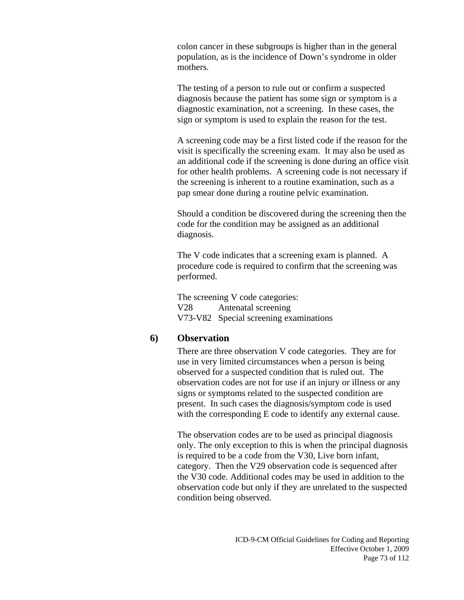colon cancer in these subgroups is higher than in the general population, as is the incidence of Down's syndrome in older mothers.

The testing of a person to rule out or confirm a suspected diagnosis because the patient has some sign or symptom is a diagnostic examination, not a screening. In these cases, the sign or symptom is used to explain the reason for the test.

A screening code may be a first listed code if the reason for the visit is specifically the screening exam. It may also be used as an additional code if the screening is done during an office visit for other health problems. A screening code is not necessary if the screening is inherent to a routine examination, such as a pap smear done during a routine pelvic examination.

Should a condition be discovered during the screening then the code for the condition may be assigned as an additional diagnosis.

The V code indicates that a screening exam is planned. A procedure code is required to confirm that the screening was performed.

The screening V code categories: V28 Antenatal screening V73-V82 Special screening examinations

#### **6) Observation**

There are three observation V code categories. They are for use in very limited circumstances when a person is being observed for a suspected condition that is ruled out. The observation codes are not for use if an injury or illness or any signs or symptoms related to the suspected condition are present. In such cases the diagnosis/symptom code is used with the corresponding E code to identify any external cause.

The observation codes are to be used as principal diagnosis only. The only exception to this is when the principal diagnosis is required to be a code from the V30, Live born infant, category. Then the V29 observation code is sequenced after the V30 code. Additional codes may be used in addition to the observation code but only if they are unrelated to the suspected condition being observed.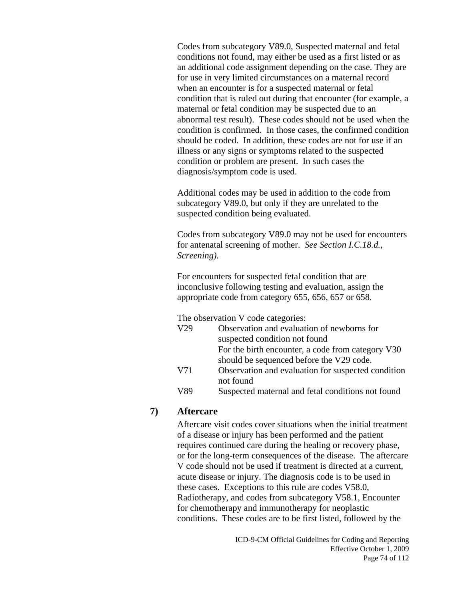Codes from subcategory V89.0, Suspected maternal and fetal conditions not found, may either be used as a first listed or as an additional code assignment depending on the case. They are for use in very limited circumstances on a maternal record when an encounter is for a suspected maternal or fetal condition that is ruled out during that encounter (for example, a maternal or fetal condition may be suspected due to an abnormal test result). These codes should not be used when the condition is confirmed. In those cases, the confirmed condition should be coded. In addition, these codes are not for use if an illness or any signs or symptoms related to the suspected condition or problem are present. In such cases the diagnosis/symptom code is used.

Additional codes may be used in addition to the code from subcategory V89.0, but only if they are unrelated to the suspected condition being evaluated.

Codes from subcategory V89.0 may not be used for encounters for antenatal screening of mother. *See Section I.C.18.d., Screening).* 

For encounters for suspected fetal condition that are inconclusive following testing and evaluation, assign the appropriate code from category 655, 656, 657 or 658.

The observation V code categories:

| V <sub>29</sub> | Observation and evaluation of newborns for         |
|-----------------|----------------------------------------------------|
|                 | suspected condition not found                      |
|                 | For the birth encounter, a code from category V30  |
|                 | should be sequenced before the V29 code.           |
| V71             | Observation and evaluation for suspected condition |
|                 | not found                                          |
| V89             | Suspected maternal and fetal conditions not found  |

#### **7) Aftercare**

Aftercare visit codes cover situations when the initial treatment of a disease or injury has been performed and the patient requires continued care during the healing or recovery phase, or for the long-term consequences of the disease. The aftercare V code should not be used if treatment is directed at a current, acute disease or injury. The diagnosis code is to be used in these cases. Exceptions to this rule are codes V58.0, Radiotherapy, and codes from subcategory V58.1, Encounter for chemotherapy and immunotherapy for neoplastic conditions. These codes are to be first listed, followed by the

> ICD-9-CM Official Guidelines for Coding and Reporting Effective October 1, 2009 Page 74 of 112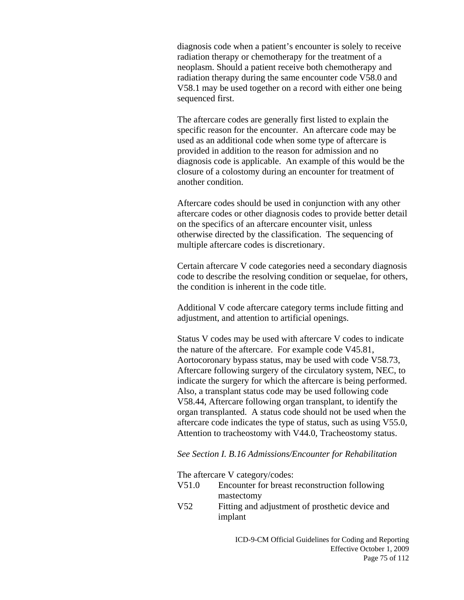diagnosis code when a patient's encounter is solely to receive radiation therapy or chemotherapy for the treatment of a neoplasm. Should a patient receive both chemotherapy and radiation therapy during the same encounter code V58.0 and V58.1 may be used together on a record with either one being sequenced first.

The aftercare codes are generally first listed to explain the specific reason for the encounter. An aftercare code may be used as an additional code when some type of aftercare is provided in addition to the reason for admission and no diagnosis code is applicable. An example of this would be the closure of a colostomy during an encounter for treatment of another condition.

Aftercare codes should be used in conjunction with any other aftercare codes or other diagnosis codes to provide better detail on the specifics of an aftercare encounter visit, unless otherwise directed by the classification. The sequencing of multiple aftercare codes is discretionary.

Certain aftercare V code categories need a secondary diagnosis code to describe the resolving condition or sequelae, for others, the condition is inherent in the code title.

Additional V code aftercare category terms include fitting and adjustment, and attention to artificial openings.

Status V codes may be used with aftercare V codes to indicate the nature of the aftercare. For example code V45.81, Aortocoronary bypass status, may be used with code V58.73, Aftercare following surgery of the circulatory system, NEC, to indicate the surgery for which the aftercare is being performed. Also, a transplant status code may be used following code V58.44, Aftercare following organ transplant, to identify the organ transplanted. A status code should not be used when the aftercare code indicates the type of status, such as using V55.0, Attention to tracheostomy with V44.0, Tracheostomy status.

*See Section I. B.16 Admissions/Encounter for Rehabilitation* 

The aftercare V category/codes:

- V51.0 Encounter for breast reconstruction following mastectomy
- V52 Fitting and adjustment of prosthetic device and implant

ICD-9-CM Official Guidelines for Coding and Reporting Effective October 1, 2009 Page 75 of 112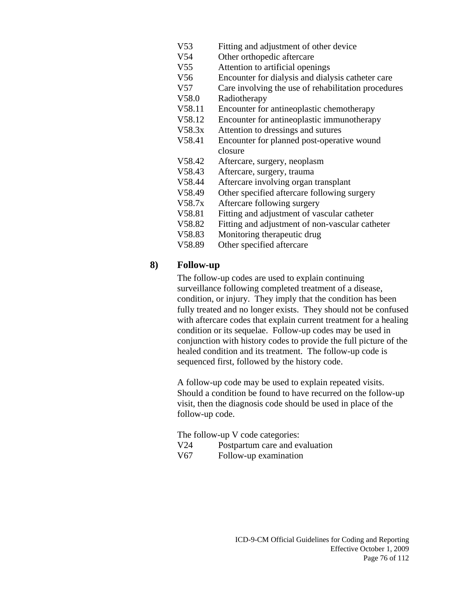- V53 Fitting and adjustment of other device
- V54 Other orthopedic aftercare
- V55 Attention to artificial openings
- V56 Encounter for dialysis and dialysis catheter care
- V57 Care involving the use of rehabilitation procedures
- V58.0 Radiotherapy
- V58.11 Encounter for antineoplastic chemotherapy
- V58.12 Encounter for antineoplastic immunotherapy
- V58.3x Attention to dressings and sutures<br>V58.41 Encounter for planned post-operat
- Encounter for planned post-operative wound closure
- V58.42 Aftercare, surgery, neoplasm
- V58.43 Aftercare, surgery, trauma
- V58.44 Aftercare involving organ transplant
- V58.49 Other specified aftercare following surgery
- V58.7x Aftercare following surgery
- V58.81 Fitting and adjustment of vascular catheter
- V58.82 Fitting and adjustment of non-vascular catheter
- V58.83 Monitoring therapeutic drug
- V58.89 Other specified aftercare

# **8) Follow-up**

The follow-up codes are used to explain continuing surveillance following completed treatment of a disease, condition, or injury. They imply that the condition has been fully treated and no longer exists. They should not be confused with aftercare codes that explain current treatment for a healing condition or its sequelae. Follow-up codes may be used in conjunction with history codes to provide the full picture of the healed condition and its treatment. The follow-up code is sequenced first, followed by the history code.

A follow-up code may be used to explain repeated visits. Should a condition be found to have recurred on the follow-up visit, then the diagnosis code should be used in place of the follow-up code.

The follow-up V code categories:

- V24 Postpartum care and evaluation
- V67 Follow-up examination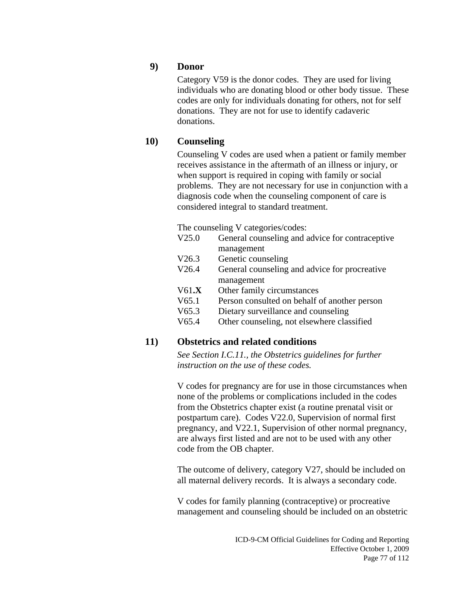#### **9) Donor**

Category V59 is the donor codes. They are used for living individuals who are donating blood or other body tissue. These codes are only for individuals donating for others, not for self donations. They are not for use to identify cadaveric donations.

### **10) Counseling**

Counseling V codes are used when a patient or family member receives assistance in the aftermath of an illness or injury, or when support is required in coping with family or social problems. They are not necessary for use in conjunction with a diagnosis code when the counseling component of care is considered integral to standard treatment.

The counseling V categories/codes:

| V25.0                  | General counseling and advice for contraceptive |  |  |
|------------------------|-------------------------------------------------|--|--|
|                        | management                                      |  |  |
| $T T \cap \mathcal{L}$ |                                                 |  |  |

- V26.3 Genetic counseling
- V26.4 General counseling and advice for procreative management
- V61**.X** Other family circumstances
- V65.1 Person consulted on behalf of another person
- V65.3 Dietary surveillance and counseling
- V65.4 Other counseling, not elsewhere classified

### **11) Obstetrics and related conditions**

*See Section I.C.11., the Obstetrics guidelines for further instruction on the use of these codes.* 

V codes for pregnancy are for use in those circumstances when none of the problems or complications included in the codes from the Obstetrics chapter exist (a routine prenatal visit or postpartum care). Codes V22.0, Supervision of normal first pregnancy, and V22.1, Supervision of other normal pregnancy, are always first listed and are not to be used with any other code from the OB chapter.

The outcome of delivery, category V27, should be included on all maternal delivery records. It is always a secondary code.

V codes for family planning (contraceptive) or procreative management and counseling should be included on an obstetric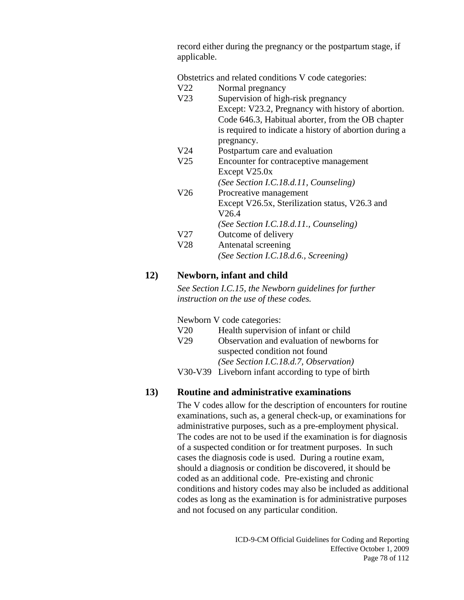record either during the pregnancy or the postpartum stage, if applicable.

Obstetrics and related conditions V code categories:

V22 Normal pregnancy

| V <sub>23</sub> | Supervision of high-risk pregnancy                     |
|-----------------|--------------------------------------------------------|
|                 | Except: V23.2, Pregnancy with history of abortion.     |
|                 | Code 646.3, Habitual aborter, from the OB chapter      |
|                 | is required to indicate a history of abortion during a |
|                 | pregnancy.                                             |
| V <sub>24</sub> | Postpartum care and evaluation                         |
| V <sub>25</sub> | Encounter for contraceptive management                 |
|                 | Except V25.0x                                          |
|                 | (See Section I.C.18.d.11, Counseling)                  |
| V26             | Procreative management                                 |
|                 | Except V26.5x, Sterilization status, V26.3 and         |
|                 | V26.4                                                  |
|                 | (See Section I.C.18.d.11., Counseling)                 |
| V <sub>27</sub> | Outcome of delivery                                    |
| V28             | Antenatal screening                                    |
|                 | (See Section I.C.18.d.6., Screening)                   |
|                 |                                                        |

#### **12) Newborn, infant and child**

*See Section I.C.15, the Newborn guidelines for further instruction on the use of these codes.* 

Newborn V code categories:

| V <sub>20</sub> | Health supervision of infant or child              |  |
|-----------------|----------------------------------------------------|--|
| V <sub>29</sub> | Observation and evaluation of newborns for         |  |
|                 | suspected condition not found                      |  |
|                 | (See Section I.C.18.d.7, Observation)              |  |
|                 | V30-V39 Liveborn infant according to type of birth |  |

### **13) Routine and administrative examinations**

The V codes allow for the description of encounters for routine examinations, such as, a general check-up, or examinations for administrative purposes, such as a pre-employment physical. The codes are not to be used if the examination is for diagnosis of a suspected condition or for treatment purposes. In such cases the diagnosis code is used. During a routine exam, should a diagnosis or condition be discovered, it should be coded as an additional code. Pre-existing and chronic conditions and history codes may also be included as additional codes as long as the examination is for administrative purposes and not focused on any particular condition.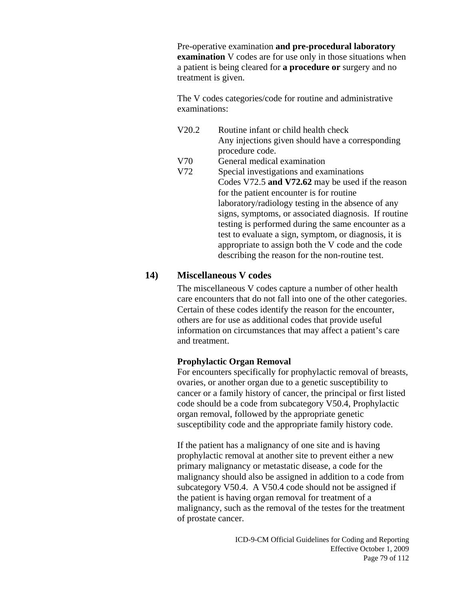Pre-operative examination **and pre-procedural laboratory examination** V codes are for use only in those situations when a patient is being cleared for **a procedure or** surgery and no treatment is given.

The V codes categories/code for routine and administrative examinations:

| V20.2                                     | Routine infant or child health check                  |  |
|-------------------------------------------|-------------------------------------------------------|--|
|                                           | Any injections given should have a corresponding      |  |
|                                           | procedure code.                                       |  |
| V70                                       | General medical examination                           |  |
| V72                                       | Special investigations and examinations               |  |
|                                           | Codes V72.5 and V72.62 may be used if the reason      |  |
| for the patient encounter is for routine. |                                                       |  |
|                                           | laboratory/radiology testing in the absence of any    |  |
|                                           | signs, symptoms, or associated diagnosis. If routine  |  |
|                                           | testing is performed during the same encounter as a   |  |
|                                           | test to evaluate a sign, symptom, or diagnosis, it is |  |
|                                           | appropriate to assign both the V code and the code    |  |
|                                           | describing the reason for the non-routine test.       |  |
|                                           |                                                       |  |

#### **14) Miscellaneous V codes**

The miscellaneous V codes capture a number of other health care encounters that do not fall into one of the other categories. Certain of these codes identify the reason for the encounter, others are for use as additional codes that provide useful information on circumstances that may affect a patient's care and treatment.

#### **Prophylactic Organ Removal**

For encounters specifically for prophylactic removal of breasts, ovaries, or another organ due to a genetic susceptibility to cancer or a family history of cancer, the principal or first listed code should be a code from subcategory V50.4, Prophylactic organ removal, followed by the appropriate genetic susceptibility code and the appropriate family history code.

If the patient has a malignancy of one site and is having prophylactic removal at another site to prevent either a new primary malignancy or metastatic disease, a code for the malignancy should also be assigned in addition to a code from subcategory V50.4. A V50.4 code should not be assigned if the patient is having organ removal for treatment of a malignancy, such as the removal of the testes for the treatment of prostate cancer.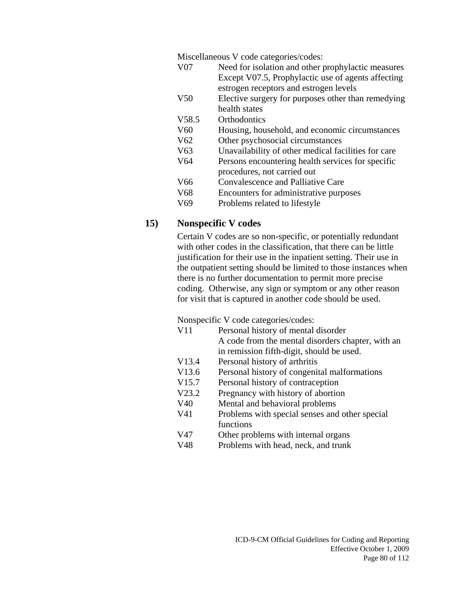Miscellaneous V code categories/codes:

| V <sub>07</sub><br>Need for isolation and other prophylactic measures |                                                     |
|-----------------------------------------------------------------------|-----------------------------------------------------|
|                                                                       | Except V07.5, Prophylactic use of agents affecting  |
|                                                                       | estrogen receptors and estrogen levels              |
| V <sub>50</sub>                                                       | Elective surgery for purposes other than remedying  |
|                                                                       | health states                                       |
| V <sub>58.5</sub>                                                     | Orthodontics                                        |
| V <sub>60</sub>                                                       | Housing, household, and economic circumstances      |
| V <sub>62</sub>                                                       | Other psychosocial circumstances                    |
| V <sub>63</sub>                                                       | Unavailability of other medical facilities for care |
| V <sub>64</sub>                                                       | Persons encountering health services for specific   |
|                                                                       | procedures, not carried out                         |
| V <sub>66</sub>                                                       | Convalescence and Palliative Care                   |
| V <sub>68</sub>                                                       | Encounters for administrative purposes              |
| V69                                                                   | Problems related to lifestyle                       |

#### **15) Nonspecific V codes**

Certain V codes are so non-specific, or potentially redundant with other codes in the classification, that there can be little justification for their use in the inpatient setting. Their use in the outpatient setting should be limited to those instances when there is no further documentation to permit more precise coding. Otherwise, any sign or symptom or any other reason for visit that is captured in another code should be used.

Nonspecific V code categories/codes:

| V11               | Personal history of mental disorder               |  |
|-------------------|---------------------------------------------------|--|
|                   | A code from the mental disorders chapter, with an |  |
|                   | in remission fifth-digit, should be used.         |  |
| V <sub>13.4</sub> | Personal history of arthritis                     |  |
| V <sub>13.6</sub> | Personal history of congenital malformations      |  |
| V <sub>15.7</sub> | Personal history of contraception                 |  |
| V23.2             | Pregnancy with history of abortion                |  |
| V40               | Mental and behavioral problems                    |  |
| V41               | Problems with special senses and other special    |  |
|                   | functions                                         |  |
| V47               | Other problems with internal organs               |  |
| V48               | Problems with head, neck, and trunk               |  |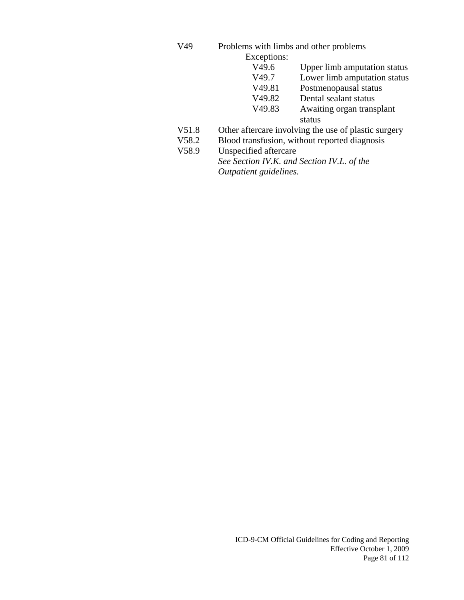V49 Problems with limbs and other problems

|       | Exceptions:        |                                                      |
|-------|--------------------|------------------------------------------------------|
|       | V <sub>49.6</sub>  | Upper limb amputation status                         |
|       | V49.7              | Lower limb amputation status                         |
|       | V49.81             | Postmenopausal status                                |
|       | V <sub>49.82</sub> | Dental sealant status                                |
|       | V49.83             | Awaiting organ transplant                            |
|       |                    | status                                               |
| V51.8 |                    | Other aftercare involving the use of plastic surgery |
|       |                    |                                                      |

- V58.2 Blood transfusion, without reported diagnosis
- V58.9 Unspecified aftercare  *See Section IV.K. and Section IV.L. of the Outpatient guidelines.*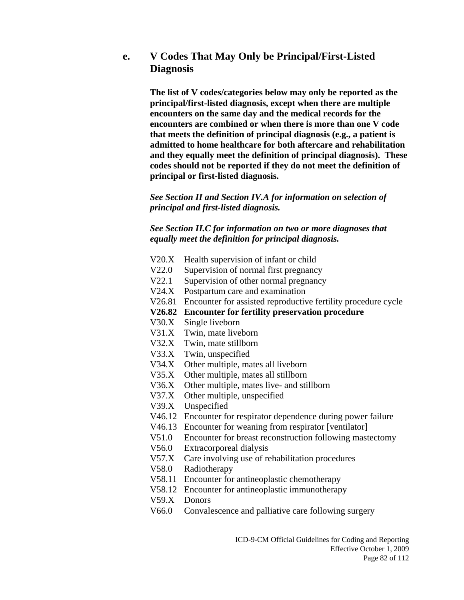### **e. V Codes That May Only be Principal/First-Listed Diagnosis**

**The list of V codes/categories below may only be reported as the principal/first-listed diagnosis, except when there are multiple encounters on the same day and the medical records for the encounters are combined or when there is more than one V code that meets the definition of principal diagnosis (e.g., a patient is admitted to home healthcare for both aftercare and rehabilitation and they equally meet the definition of principal diagnosis). These codes should not be reported if they do not meet the definition of principal or first-listed diagnosis.** 

*See Section II and Section IV.A for information on selection of principal and first-listed diagnosis.* 

#### *See Section II.C for information on two or more diagnoses that equally meet the definition for principal diagnosis.*

- V20.X Health supervision of infant or child
- V22.0 Supervision of normal first pregnancy
- V22.1 Supervision of other normal pregnancy
- V24.X Postpartum care and examination
- V26.81 Encounter for assisted reproductive fertility procedure cycle

#### **V26.82 Encounter for fertility preservation procedure**

- V30.X Single liveborn
- V31.X Twin, mate liveborn
- V32.X Twin, mate stillborn
- V33.X Twin, unspecified
- V34.X Other multiple, mates all liveborn
- V35.X Other multiple, mates all stillborn
- V36.X Other multiple, mates live- and stillborn
- V37.X Other multiple, unspecified
- V39.X Unspecified
- V46.12 Encounter for respirator dependence during power failure
- V46.13 Encounter for weaning from respirator [ventilator]
- V51.0 Encounter for breast reconstruction following mastectomy
- V56.0 Extracorporeal dialysis
- V57.X Care involving use of rehabilitation procedures
- V58.0 Radiotherapy
- V58.11 Encounter for antineoplastic chemotherapy
- V58.12 Encounter for antineoplastic immunotherapy
- V59.X Donors
- V66.0 Convalescence and palliative care following surgery

ICD-9-CM Official Guidelines for Coding and Reporting Effective October 1, 2009 Page 82 of 112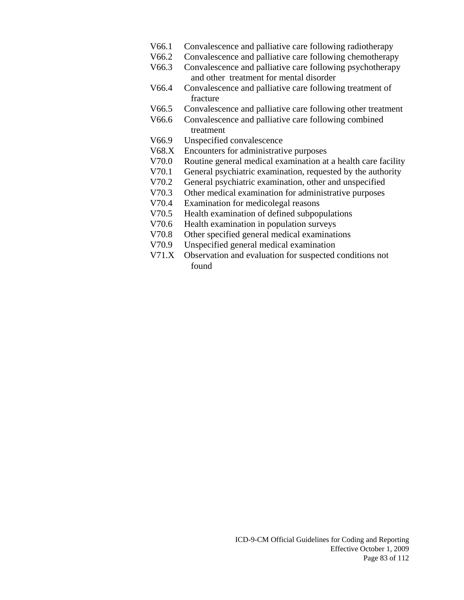- V66.1 Convalescence and palliative care following radiotherapy
- V66.2 Convalescence and palliative care following chemotherapy
- V66.3 Convalescence and palliative care following psychotherapy and other treatment for mental disorder
- V66.4 Convalescence and palliative care following treatment of fracture
- V66.5 Convalescence and palliative care following other treatment
- V66.6 Convalescence and palliative care following combined treatment
- V66.9 Unspecified convalescence
- V68.X Encounters for administrative purposes
- V70.0 Routine general medical examination at a health care facility
- V70.1 General psychiatric examination, requested by the authority
- V70.2 General psychiatric examination, other and unspecified
- V70.3 Other medical examination for administrative purposes
- V70.4 Examination for medicolegal reasons
- V70.5 Health examination of defined subpopulations
- V70.6 Health examination in population surveys
- V70.8 Other specified general medical examinations
- V70.9 Unspecified general medical examination
- V71.X Observation and evaluation for suspected conditions not found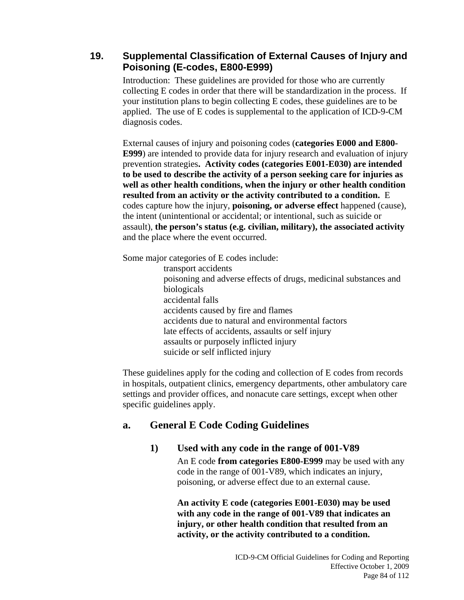### **19. Supplemental Classification of External Causes of Injury and Poisoning (E-codes, E800-E999)**

Introduction: These guidelines are provided for those who are currently collecting E codes in order that there will be standardization in the process. If your institution plans to begin collecting E codes, these guidelines are to be applied. The use of E codes is supplemental to the application of ICD-9-CM diagnosis codes.

External causes of injury and poisoning codes (**categories E000 and E800- E999**) are intended to provide data for injury research and evaluation of injury prevention strategies**. Activity codes (categories E001-E030) are intended to be used to describe the activity of a person seeking care for injuries as well as other health conditions, when the injury or other health condition resulted from an activity or the activity contributed to a condition.** E codes capture how the injury, **poisoning, or adverse effect** happened (cause), the intent (unintentional or accidental; or intentional, such as suicide or assault), **the person's status (e.g. civilian, military), the associated activity** and the place where the event occurred.

Some major categories of E codes include:

transport accidents poisoning and adverse effects of drugs, medicinal substances and biologicals accidental falls accidents caused by fire and flames accidents due to natural and environmental factors late effects of accidents, assaults or self injury assaults or purposely inflicted injury suicide or self inflicted injury

These guidelines apply for the coding and collection of E codes from records in hospitals, outpatient clinics, emergency departments, other ambulatory care settings and provider offices, and nonacute care settings, except when other specific guidelines apply.

## **a. General E Code Coding Guidelines**

### **1) Used with any code in the range of 001-V89**

An E code **from categories E800-E999** may be used with any code in the range of 001-V89, which indicates an injury, poisoning, or adverse effect due to an external cause.

**An activity E code (categories E001-E030) may be used with any code in the range of 001-V89 that indicates an injury, or other health condition that resulted from an activity, or the activity contributed to a condition.**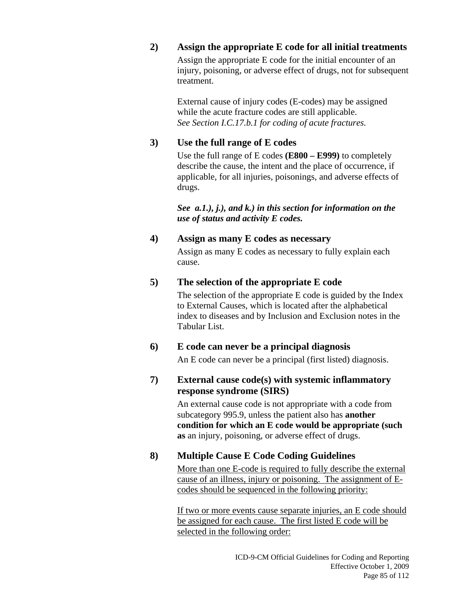## **2) Assign the appropriate E code for all initial treatments**

Assign the appropriate E code for the initial encounter of an injury, poisoning, or adverse effect of drugs, not for subsequent treatment.

External cause of injury codes (E-codes) may be assigned while the acute fracture codes are still applicable. *See Section I.C.17.b.1 for coding of acute fractures.* 

### **3) Use the full range of E codes**

Use the full range of E codes **(E800 – E999)** to completely describe the cause, the intent and the place of occurrence, if applicable, for all injuries, poisonings, and adverse effects of drugs.

*See a.1.), j.), and k.) in this section for information on the use of status and activity E codes.*

### **4) Assign as many E codes as necessary**

Assign as many E codes as necessary to fully explain each cause.

### **5) The selection of the appropriate E code**

The selection of the appropriate E code is guided by the Index to External Causes, which is located after the alphabetical index to diseases and by Inclusion and Exclusion notes in the Tabular List.

### **6) E code can never be a principal diagnosis**

An E code can never be a principal (first listed) diagnosis.

### **7) External cause code(s) with systemic inflammatory response syndrome (SIRS)**

An external cause code is not appropriate with a code from subcategory 995.9, unless the patient also has **another condition for which an E code would be appropriate (such as** an injury, poisoning, or adverse effect of drugs.

### **8) Multiple Cause E Code Coding Guidelines**

More than one E-code is required to fully describe the external cause of an illness, injury or poisoning. The assignment of Ecodes should be sequenced in the following priority:

If two or more events cause separate injuries, an E code should be assigned for each cause. The first listed E code will be selected in the following order: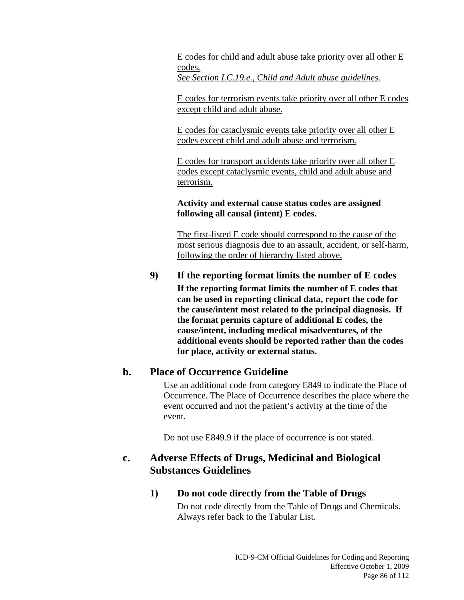E codes for child and adult abuse take priority over all other E codes*. See Section I.C.19.e., Child and Adult abuse guidelines.*

E codes for terrorism events take priority over all other E codes except child and adult abuse.

E codes for cataclysmic events take priority over all other E codes except child and adult abuse and terrorism.

E codes for transport accidents take priority over all other E codes except cataclysmic events, child and adult abuse and terrorism.

**Activity and external cause status codes are assigned following all causal (intent) E codes.** 

The first-listed E code should correspond to the cause of the most serious diagnosis due to an assault, accident, or self-harm, following the order of hierarchy listed above.

**9) If the reporting format limits the number of E codes If the reporting format limits the number of E codes that can be used in reporting clinical data, report the code for the cause/intent most related to the principal diagnosis. If the format permits capture of additional E codes, the cause/intent, including medical misadventures, of the additional events should be reported rather than the codes for place, activity or external status.**

# **b. Place of Occurrence Guideline**

Use an additional code from category E849 to indicate the Place of Occurrence. The Place of Occurrence describes the place where the event occurred and not the patient's activity at the time of the event.

Do not use E849.9 if the place of occurrence is not stated.

# **c. Adverse Effects of Drugs, Medicinal and Biological Substances Guidelines**

### **1) Do not code directly from the Table of Drugs**

Do not code directly from the Table of Drugs and Chemicals. Always refer back to the Tabular List.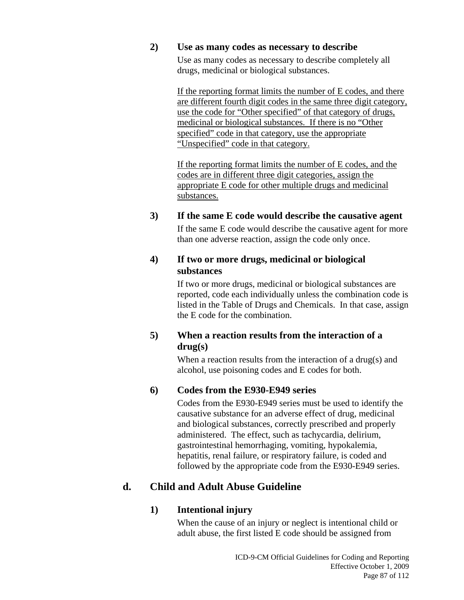#### **2) Use as many codes as necessary to describe**

Use as many codes as necessary to describe completely all drugs, medicinal or biological substances.

If the reporting format limits the number of E codes, and there are different fourth digit codes in the same three digit category, use the code for "Other specified" of that category of drugs, medicinal or biological substances. If there is no "Other specified" code in that category, use the appropriate "Unspecified" code in that category.

If the reporting format limits the number of E codes, and the codes are in different three digit categories, assign the appropriate E code for other multiple drugs and medicinal substances.

#### **3) If the same E code would describe the causative agent**

If the same E code would describe the causative agent for more than one adverse reaction, assign the code only once.

### **4) If two or more drugs, medicinal or biological substances**

If two or more drugs, medicinal or biological substances are reported, code each individually unless the combination code is listed in the Table of Drugs and Chemicals. In that case, assign the E code for the combination.

### **5) When a reaction results from the interaction of a drug(s)**

When a reaction results from the interaction of a drug(s) and alcohol, use poisoning codes and E codes for both.

### **6) Codes from the E930-E949 series**

Codes from the E930-E949 series must be used to identify the causative substance for an adverse effect of drug, medicinal and biological substances, correctly prescribed and properly administered. The effect, such as tachycardia, delirium, gastrointestinal hemorrhaging, vomiting, hypokalemia, hepatitis, renal failure, or respiratory failure, is coded and followed by the appropriate code from the E930-E949 series.

# **d. Child and Adult Abuse Guideline**

## **1) Intentional injury**

When the cause of an injury or neglect is intentional child or adult abuse, the first listed E code should be assigned from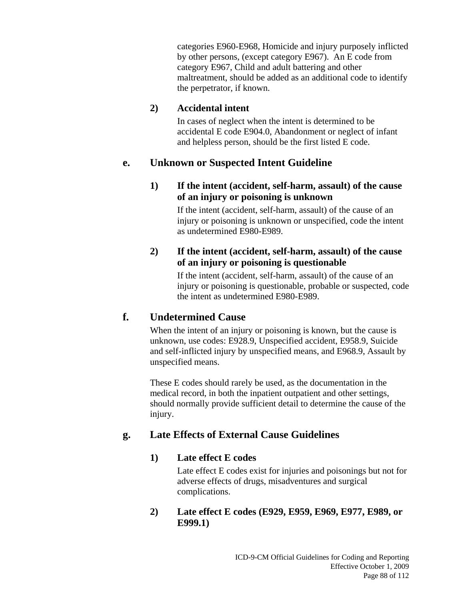categories E960-E968, Homicide and injury purposely inflicted by other persons, (except category E967). An E code from category E967, Child and adult battering and other maltreatment, should be added as an additional code to identify the perpetrator, if known.

### **2) Accidental intent**

In cases of neglect when the intent is determined to be accidental E code E904.0, Abandonment or neglect of infant and helpless person, should be the first listed E code.

# **e. Unknown or Suspected Intent Guideline**

**1) If the intent (accident, self-harm, assault) of the cause of an injury or poisoning is unknown** 

> If the intent (accident, self-harm, assault) of the cause of an injury or poisoning is unknown or unspecified, code the intent as undetermined E980-E989.

### **2) If the intent (accident, self-harm, assault) of the cause of an injury or poisoning is questionable**

If the intent (accident, self-harm, assault) of the cause of an injury or poisoning is questionable, probable or suspected, code the intent as undetermined E980-E989.

# **f. Undetermined Cause**

When the intent of an injury or poisoning is known, but the cause is unknown, use codes: E928.9, Unspecified accident, E958.9, Suicide and self-inflicted injury by unspecified means, and E968.9, Assault by unspecified means.

These E codes should rarely be used, as the documentation in the medical record, in both the inpatient outpatient and other settings, should normally provide sufficient detail to determine the cause of the injury.

# **g. Late Effects of External Cause Guidelines**

# **1) Late effect E codes**

Late effect E codes exist for injuries and poisonings but not for adverse effects of drugs, misadventures and surgical complications.

## **2) Late effect E codes (E929, E959, E969, E977, E989, or E999.1)**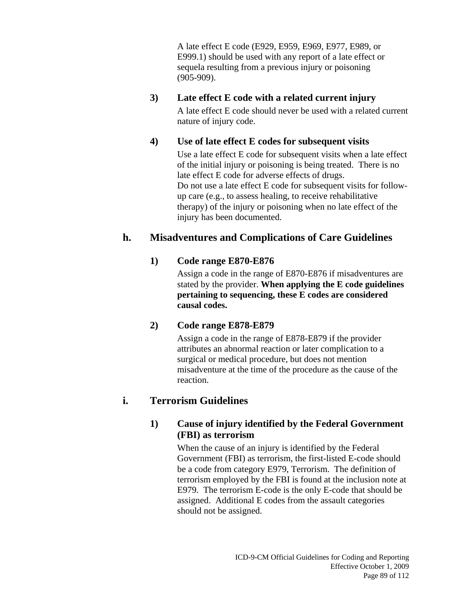A late effect E code (E929, E959, E969, E977, E989, or E999.1) should be used with any report of a late effect or sequela resulting from a previous injury or poisoning (905-909).

### **3) Late effect E code with a related current injury**

A late effect E code should never be used with a related current nature of injury code.

## **4) Use of late effect E codes for subsequent visits**

Use a late effect E code for subsequent visits when a late effect of the initial injury or poisoning is being treated. There is no late effect E code for adverse effects of drugs. Do not use a late effect E code for subsequent visits for followup care (e.g., to assess healing, to receive rehabilitative therapy) of the injury or poisoning when no late effect of the injury has been documented.

# **h. Misadventures and Complications of Care Guidelines**

## **1) Code range E870-E876**

Assign a code in the range of E870-E876 if misadventures are stated by the provider. **When applying the E code guidelines pertaining to sequencing, these E codes are considered causal codes.**

## **2) Code range E878-E879**

Assign a code in the range of E878-E879 if the provider attributes an abnormal reaction or later complication to a surgical or medical procedure, but does not mention misadventure at the time of the procedure as the cause of the reaction.

# **i. Terrorism Guidelines**

## **1) Cause of injury identified by the Federal Government (FBI) as terrorism**

When the cause of an injury is identified by the Federal Government (FBI) as terrorism, the first-listed E-code should be a code from category E979, Terrorism. The definition of terrorism employed by the FBI is found at the inclusion note at E979. The terrorism E-code is the only E-code that should be assigned. Additional E codes from the assault categories should not be assigned.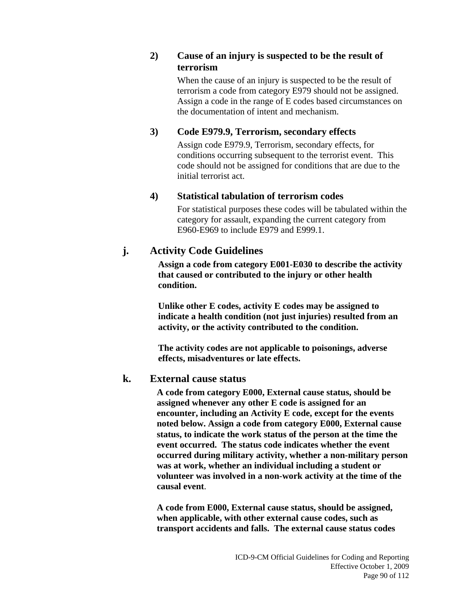### **2) Cause of an injury is suspected to be the result of terrorism**

When the cause of an injury is suspected to be the result of terrorism a code from category E979 should not be assigned. Assign a code in the range of E codes based circumstances on the documentation of intent and mechanism.

### **3) Code E979.9, Terrorism, secondary effects**

Assign code E979.9, Terrorism, secondary effects, for conditions occurring subsequent to the terrorist event. This code should not be assigned for conditions that are due to the initial terrorist act.

### **4) Statistical tabulation of terrorism codes**

For statistical purposes these codes will be tabulated within the category for assault, expanding the current category from E960-E969 to include E979 and E999.1.

## **j. Activity Code Guidelines**

**Assign a code from category E001-E030 to describe the activity that caused or contributed to the injury or other health condition.** 

**Unlike other E codes, activity E codes may be assigned to indicate a health condition (not just injuries) resulted from an activity, or the activity contributed to the condition.** 

**The activity codes are not applicable to poisonings, adverse effects, misadventures or late effects.** 

## **k. External cause status**

**A code from category E000, External cause status, should be assigned whenever any other E code is assigned for an encounter, including an Activity E code, except for the events noted below. Assign a code from category E000, External cause status, to indicate the work status of the person at the time the event occurred. The status code indicates whether the event occurred during military activity, whether a non-military person was at work, whether an individual including a student or volunteer was involved in a non-work activity at the time of the causal event**.

**A code from E000, External cause status, should be assigned, when applicable, with other external cause codes, such as transport accidents and falls. The external cause status codes**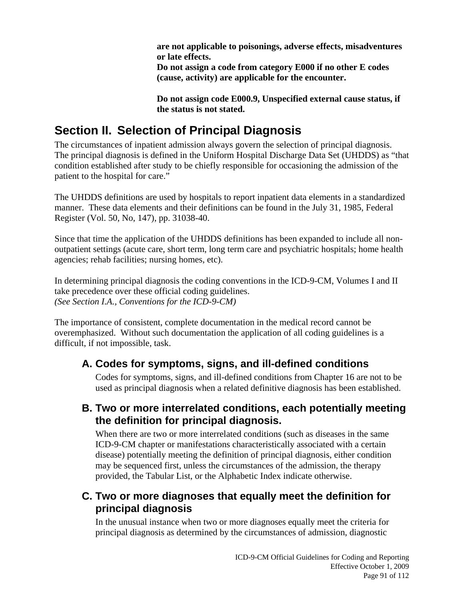**are not applicable to poisonings, adverse effects, misadventures or late effects.** 

**Do not assign a code from category E000 if no other E codes (cause, activity) are applicable for the encounter.** 

**Do not assign code E000.9, Unspecified external cause status, if the status is not stated.**

# **Section II. Selection of Principal Diagnosis**

The circumstances of inpatient admission always govern the selection of principal diagnosis. The principal diagnosis is defined in the Uniform Hospital Discharge Data Set (UHDDS) as "that condition established after study to be chiefly responsible for occasioning the admission of the patient to the hospital for care."

The UHDDS definitions are used by hospitals to report inpatient data elements in a standardized manner. These data elements and their definitions can be found in the July 31, 1985, Federal Register (Vol. 50, No, 147), pp. 31038-40.

Since that time the application of the UHDDS definitions has been expanded to include all nonoutpatient settings (acute care, short term, long term care and psychiatric hospitals; home health agencies; rehab facilities; nursing homes, etc).

In determining principal diagnosis the coding conventions in the ICD-9-CM, Volumes I and II take precedence over these official coding guidelines. *(See Section I.A., Conventions for the ICD-9-CM)* 

The importance of consistent, complete documentation in the medical record cannot be overemphasized. Without such documentation the application of all coding guidelines is a difficult, if not impossible, task.

# **A. Codes for symptoms, signs, and ill-defined conditions**

Codes for symptoms, signs, and ill-defined conditions from Chapter 16 are not to be used as principal diagnosis when a related definitive diagnosis has been established.

# **B. Two or more interrelated conditions, each potentially meeting the definition for principal diagnosis.**

When there are two or more interrelated conditions (such as diseases in the same ICD-9-CM chapter or manifestations characteristically associated with a certain disease) potentially meeting the definition of principal diagnosis, either condition may be sequenced first, unless the circumstances of the admission, the therapy provided, the Tabular List, or the Alphabetic Index indicate otherwise.

# **C. Two or more diagnoses that equally meet the definition for principal diagnosis**

In the unusual instance when two or more diagnoses equally meet the criteria for principal diagnosis as determined by the circumstances of admission, diagnostic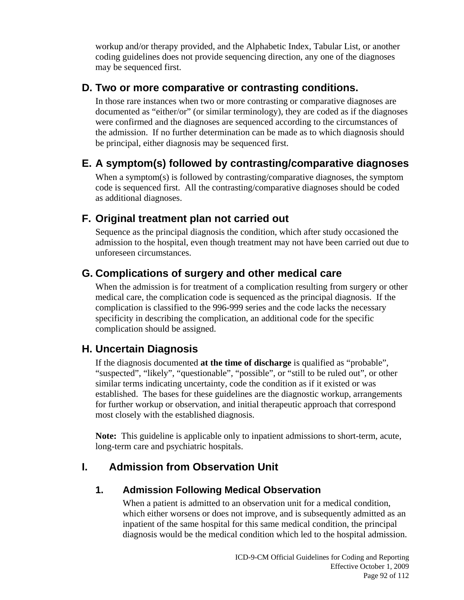workup and/or therapy provided, and the Alphabetic Index, Tabular List, or another coding guidelines does not provide sequencing direction, any one of the diagnoses may be sequenced first.

## **D. Two or more comparative or contrasting conditions.**

In those rare instances when two or more contrasting or comparative diagnoses are documented as "either/or" (or similar terminology), they are coded as if the diagnoses were confirmed and the diagnoses are sequenced according to the circumstances of the admission. If no further determination can be made as to which diagnosis should be principal, either diagnosis may be sequenced first.

# **E. A symptom(s) followed by contrasting/comparative diagnoses**

When a symptom(s) is followed by contrasting/comparative diagnoses, the symptom code is sequenced first. All the contrasting/comparative diagnoses should be coded as additional diagnoses.

# **F. Original treatment plan not carried out**

Sequence as the principal diagnosis the condition, which after study occasioned the admission to the hospital, even though treatment may not have been carried out due to unforeseen circumstances.

# **G. Complications of surgery and other medical care**

When the admission is for treatment of a complication resulting from surgery or other medical care, the complication code is sequenced as the principal diagnosis. If the complication is classified to the 996-999 series and the code lacks the necessary specificity in describing the complication, an additional code for the specific complication should be assigned.

# **H. Uncertain Diagnosis**

If the diagnosis documented **at the time of discharge** is qualified as "probable", "suspected", "likely", "questionable", "possible", or "still to be ruled out", or other similar terms indicating uncertainty, code the condition as if it existed or was established. The bases for these guidelines are the diagnostic workup, arrangements for further workup or observation, and initial therapeutic approach that correspond most closely with the established diagnosis.

**Note:** This guideline is applicable only to inpatient admissions to short-term, acute, long-term care and psychiatric hospitals.

# **I. Admission from Observation Unit**

## **1. Admission Following Medical Observation**

When a patient is admitted to an observation unit for a medical condition, which either worsens or does not improve, and is subsequently admitted as an inpatient of the same hospital for this same medical condition, the principal diagnosis would be the medical condition which led to the hospital admission.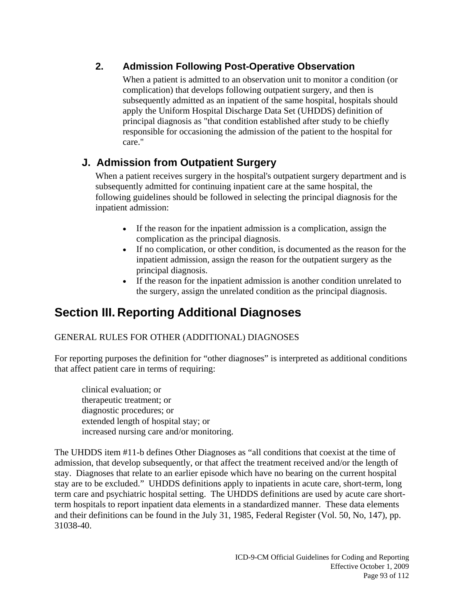# **2. Admission Following Post-Operative Observation**

When a patient is admitted to an observation unit to monitor a condition (or complication) that develops following outpatient surgery, and then is subsequently admitted as an inpatient of the same hospital, hospitals should apply the Uniform Hospital Discharge Data Set (UHDDS) definition of principal diagnosis as "that condition established after study to be chiefly responsible for occasioning the admission of the patient to the hospital for care."

# **J. Admission from Outpatient Surgery**

When a patient receives surgery in the hospital's outpatient surgery department and is subsequently admitted for continuing inpatient care at the same hospital, the following guidelines should be followed in selecting the principal diagnosis for the inpatient admission:

- If the reason for the inpatient admission is a complication, assign the complication as the principal diagnosis.
- If no complication, or other condition, is documented as the reason for the inpatient admission, assign the reason for the outpatient surgery as the principal diagnosis.
- If the reason for the inpatient admission is another condition unrelated to the surgery, assign the unrelated condition as the principal diagnosis.

# **Section III. Reporting Additional Diagnoses**

## GENERAL RULES FOR OTHER (ADDITIONAL) DIAGNOSES

For reporting purposes the definition for "other diagnoses" is interpreted as additional conditions that affect patient care in terms of requiring:

clinical evaluation; or therapeutic treatment; or diagnostic procedures; or extended length of hospital stay; or increased nursing care and/or monitoring.

The UHDDS item #11-b defines Other Diagnoses as "all conditions that coexist at the time of admission, that develop subsequently, or that affect the treatment received and/or the length of stay. Diagnoses that relate to an earlier episode which have no bearing on the current hospital stay are to be excluded." UHDDS definitions apply to inpatients in acute care, short-term, long term care and psychiatric hospital setting. The UHDDS definitions are used by acute care shortterm hospitals to report inpatient data elements in a standardized manner. These data elements and their definitions can be found in the July 31, 1985, Federal Register (Vol. 50, No, 147), pp. 31038-40.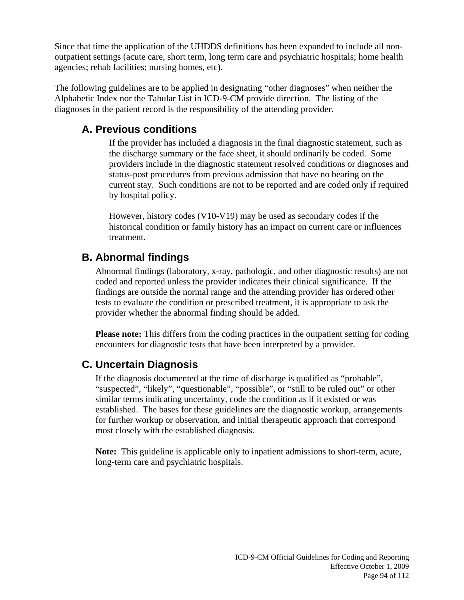Since that time the application of the UHDDS definitions has been expanded to include all nonoutpatient settings (acute care, short term, long term care and psychiatric hospitals; home health agencies; rehab facilities; nursing homes, etc).

The following guidelines are to be applied in designating "other diagnoses" when neither the Alphabetic Index nor the Tabular List in ICD-9-CM provide direction. The listing of the diagnoses in the patient record is the responsibility of the attending provider.

## **A. Previous conditions**

If the provider has included a diagnosis in the final diagnostic statement, such as the discharge summary or the face sheet, it should ordinarily be coded. Some providers include in the diagnostic statement resolved conditions or diagnoses and status-post procedures from previous admission that have no bearing on the current stay. Such conditions are not to be reported and are coded only if required by hospital policy.

However, history codes (V10-V19) may be used as secondary codes if the historical condition or family history has an impact on current care or influences treatment.

# **B. Abnormal findings**

Abnormal findings (laboratory, x-ray, pathologic, and other diagnostic results) are not coded and reported unless the provider indicates their clinical significance. If the findings are outside the normal range and the attending provider has ordered other tests to evaluate the condition or prescribed treatment, it is appropriate to ask the provider whether the abnormal finding should be added.

**Please note:** This differs from the coding practices in the outpatient setting for coding encounters for diagnostic tests that have been interpreted by a provider.

# **C. Uncertain Diagnosis**

If the diagnosis documented at the time of discharge is qualified as "probable", "suspected", "likely", "questionable", "possible", or "still to be ruled out" or other similar terms indicating uncertainty, code the condition as if it existed or was established. The bases for these guidelines are the diagnostic workup, arrangements for further workup or observation, and initial therapeutic approach that correspond most closely with the established diagnosis.

**Note:** This guideline is applicable only to inpatient admissions to short-term, acute, long-term care and psychiatric hospitals.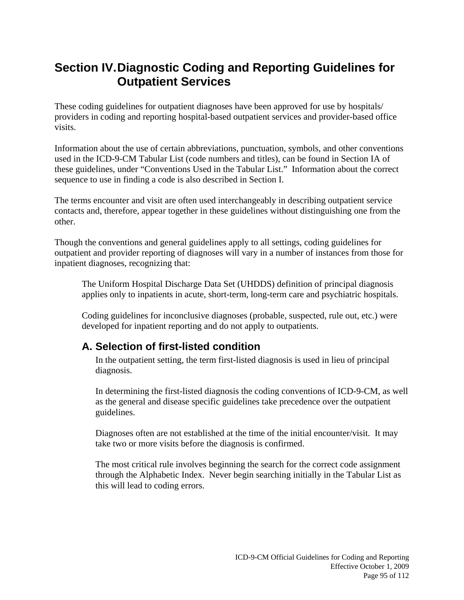# **Section IV. Diagnostic Coding and Reporting Guidelines for Outpatient Services**

These coding guidelines for outpatient diagnoses have been approved for use by hospitals/ providers in coding and reporting hospital-based outpatient services and provider-based office visits.

Information about the use of certain abbreviations, punctuation, symbols, and other conventions used in the ICD-9-CM Tabular List (code numbers and titles), can be found in Section IA of these guidelines, under "Conventions Used in the Tabular List." Information about the correct sequence to use in finding a code is also described in Section I.

The terms encounter and visit are often used interchangeably in describing outpatient service contacts and, therefore, appear together in these guidelines without distinguishing one from the other.

Though the conventions and general guidelines apply to all settings, coding guidelines for outpatient and provider reporting of diagnoses will vary in a number of instances from those for inpatient diagnoses, recognizing that:

The Uniform Hospital Discharge Data Set (UHDDS) definition of principal diagnosis applies only to inpatients in acute, short-term, long-term care and psychiatric hospitals.

Coding guidelines for inconclusive diagnoses (probable, suspected, rule out, etc.) were developed for inpatient reporting and do not apply to outpatients.

# **A. Selection of first-listed condition**

In the outpatient setting, the term first-listed diagnosis is used in lieu of principal diagnosis.

In determining the first-listed diagnosis the coding conventions of ICD-9-CM, as well as the general and disease specific guidelines take precedence over the outpatient guidelines.

Diagnoses often are not established at the time of the initial encounter/visit. It may take two or more visits before the diagnosis is confirmed.

The most critical rule involves beginning the search for the correct code assignment through the Alphabetic Index. Never begin searching initially in the Tabular List as this will lead to coding errors.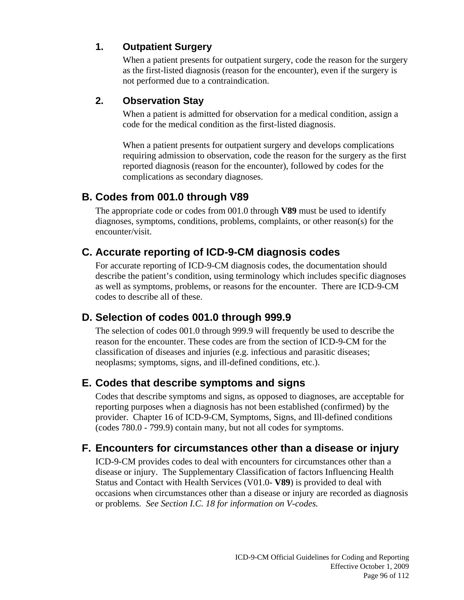## **1. Outpatient Surgery**

When a patient presents for outpatient surgery, code the reason for the surgery as the first-listed diagnosis (reason for the encounter), even if the surgery is not performed due to a contraindication.

## **2. Observation Stay**

When a patient is admitted for observation for a medical condition, assign a code for the medical condition as the first-listed diagnosis.

When a patient presents for outpatient surgery and develops complications requiring admission to observation, code the reason for the surgery as the first reported diagnosis (reason for the encounter), followed by codes for the complications as secondary diagnoses.

# **B. Codes from 001.0 through V89**

The appropriate code or codes from 001.0 through **V89** must be used to identify diagnoses, symptoms, conditions, problems, complaints, or other reason(s) for the encounter/visit.

# **C. Accurate reporting of ICD-9-CM diagnosis codes**

For accurate reporting of ICD-9-CM diagnosis codes, the documentation should describe the patient's condition, using terminology which includes specific diagnoses as well as symptoms, problems, or reasons for the encounter. There are ICD-9-CM codes to describe all of these.

# **D. Selection of codes 001.0 through 999.9**

The selection of codes 001.0 through 999.9 will frequently be used to describe the reason for the encounter. These codes are from the section of ICD-9-CM for the classification of diseases and injuries (e.g. infectious and parasitic diseases; neoplasms; symptoms, signs, and ill-defined conditions, etc.).

# **E. Codes that describe symptoms and signs**

Codes that describe symptoms and signs, as opposed to diagnoses, are acceptable for reporting purposes when a diagnosis has not been established (confirmed) by the provider. Chapter 16 of ICD-9-CM, Symptoms, Signs, and Ill-defined conditions (codes 780.0 - 799.9) contain many, but not all codes for symptoms.

# **F. Encounters for circumstances other than a disease or injury**

ICD-9-CM provides codes to deal with encounters for circumstances other than a disease or injury. The Supplementary Classification of factors Influencing Health Status and Contact with Health Services (V01.0- **V89**) is provided to deal with occasions when circumstances other than a disease or injury are recorded as diagnosis or problems*. See Section I.C. 18 for information on V-codes.*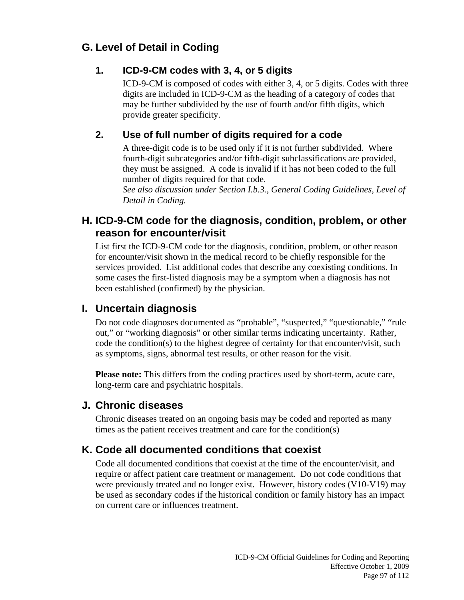# **G. Level of Detail in Coding**

## **1. ICD-9-CM codes with 3, 4, or 5 digits**

ICD-9-CM is composed of codes with either 3, 4, or 5 digits. Codes with three digits are included in ICD-9-CM as the heading of a category of codes that may be further subdivided by the use of fourth and/or fifth digits, which provide greater specificity.

# **2. Use of full number of digits required for a code**

A three-digit code is to be used only if it is not further subdivided. Where fourth-digit subcategories and/or fifth-digit subclassifications are provided, they must be assigned. A code is invalid if it has not been coded to the full number of digits required for that code.

*See also discussion under Section I.b.3., General Coding Guidelines, Level of Detail in Coding.* 

## **H. ICD-9-CM code for the diagnosis, condition, problem, or other reason for encounter/visit**

List first the ICD-9-CM code for the diagnosis, condition, problem, or other reason for encounter/visit shown in the medical record to be chiefly responsible for the services provided. List additional codes that describe any coexisting conditions. In some cases the first-listed diagnosis may be a symptom when a diagnosis has not been established (confirmed) by the physician.

# **I. Uncertain diagnosis**

Do not code diagnoses documented as "probable", "suspected," "questionable," "rule out," or "working diagnosis" or other similar terms indicating uncertainty. Rather, code the condition(s) to the highest degree of certainty for that encounter/visit, such as symptoms, signs, abnormal test results, or other reason for the visit.

**Please note:** This differs from the coding practices used by short-term, acute care, long-term care and psychiatric hospitals.

# **J. Chronic diseases**

Chronic diseases treated on an ongoing basis may be coded and reported as many times as the patient receives treatment and care for the condition(s)

# **K. Code all documented conditions that coexist**

Code all documented conditions that coexist at the time of the encounter/visit, and require or affect patient care treatment or management. Do not code conditions that were previously treated and no longer exist. However, history codes (V10-V19) may be used as secondary codes if the historical condition or family history has an impact on current care or influences treatment.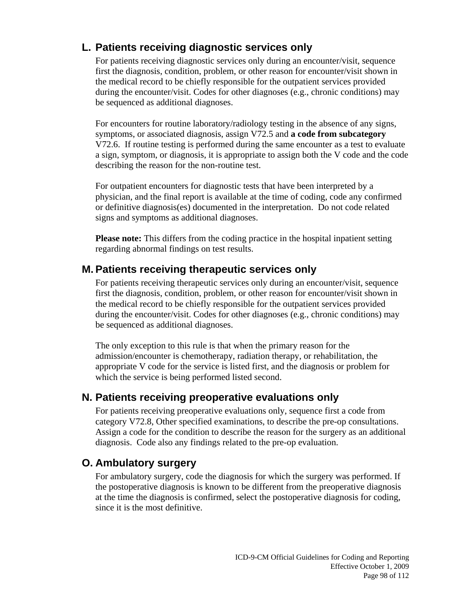# **L. Patients receiving diagnostic services only**

For patients receiving diagnostic services only during an encounter/visit, sequence first the diagnosis, condition, problem, or other reason for encounter/visit shown in the medical record to be chiefly responsible for the outpatient services provided during the encounter/visit. Codes for other diagnoses (e.g., chronic conditions) may be sequenced as additional diagnoses.

For encounters for routine laboratory/radiology testing in the absence of any signs, symptoms, or associated diagnosis, assign V72.5 and **a code from subcategory** V72.6. If routine testing is performed during the same encounter as a test to evaluate a sign, symptom, or diagnosis, it is appropriate to assign both the V code and the code describing the reason for the non-routine test.

For outpatient encounters for diagnostic tests that have been interpreted by a physician, and the final report is available at the time of coding, code any confirmed or definitive diagnosis(es) documented in the interpretation. Do not code related signs and symptoms as additional diagnoses.

**Please note:** This differs from the coding practice in the hospital inpatient setting regarding abnormal findings on test results.

### **M. Patients receiving therapeutic services only**

For patients receiving therapeutic services only during an encounter/visit, sequence first the diagnosis, condition, problem, or other reason for encounter/visit shown in the medical record to be chiefly responsible for the outpatient services provided during the encounter/visit. Codes for other diagnoses (e.g., chronic conditions) may be sequenced as additional diagnoses.

The only exception to this rule is that when the primary reason for the admission/encounter is chemotherapy, radiation therapy, or rehabilitation, the appropriate V code for the service is listed first, and the diagnosis or problem for which the service is being performed listed second.

## **N. Patients receiving preoperative evaluations only**

For patients receiving preoperative evaluations only, sequence first a code from category V72.8, Other specified examinations, to describe the pre-op consultations. Assign a code for the condition to describe the reason for the surgery as an additional diagnosis. Code also any findings related to the pre-op evaluation.

## **O. Ambulatory surgery**

For ambulatory surgery, code the diagnosis for which the surgery was performed. If the postoperative diagnosis is known to be different from the preoperative diagnosis at the time the diagnosis is confirmed, select the postoperative diagnosis for coding, since it is the most definitive.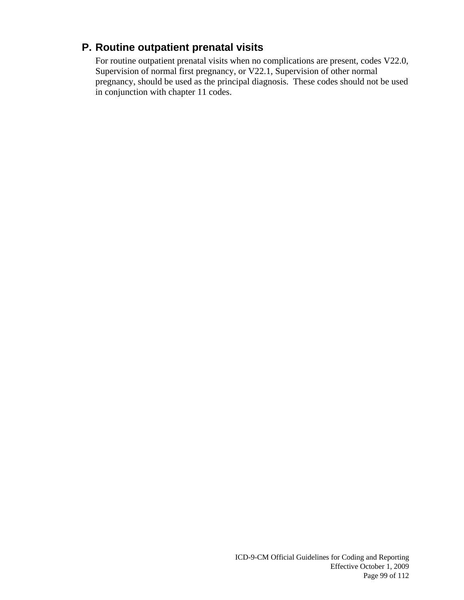# **P. Routine outpatient prenatal visits**

For routine outpatient prenatal visits when no complications are present, codes V22.0, Supervision of normal first pregnancy, or V22.1, Supervision of other normal pregnancy, should be used as the principal diagnosis. These codes should not be used in conjunction with chapter 11 codes.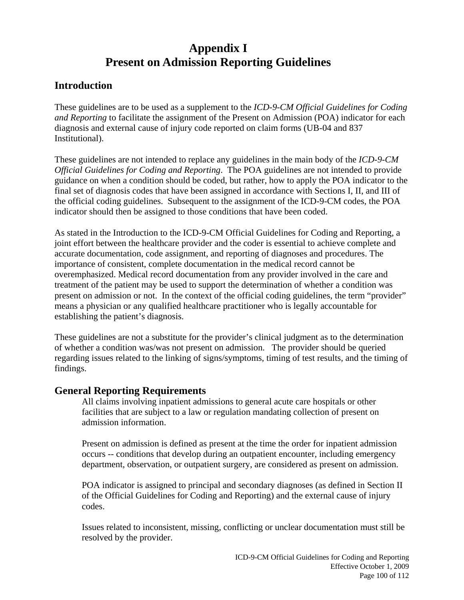# **Appendix I Present on Admission Reporting Guidelines**

### **Introduction**

These guidelines are to be used as a supplement to the *ICD-9-CM Official Guidelines for Coding and Reporting* to facilitate the assignment of the Present on Admission (POA) indicator for each diagnosis and external cause of injury code reported on claim forms (UB-04 and 837 Institutional).

These guidelines are not intended to replace any guidelines in the main body of the *ICD-9-CM Official Guidelines for Coding and Reporting*. The POA guidelines are not intended to provide guidance on when a condition should be coded, but rather, how to apply the POA indicator to the final set of diagnosis codes that have been assigned in accordance with Sections I, II, and III of the official coding guidelines. Subsequent to the assignment of the ICD-9-CM codes, the POA indicator should then be assigned to those conditions that have been coded.

As stated in the Introduction to the ICD-9-CM Official Guidelines for Coding and Reporting, a joint effort between the healthcare provider and the coder is essential to achieve complete and accurate documentation, code assignment, and reporting of diagnoses and procedures. The importance of consistent, complete documentation in the medical record cannot be overemphasized. Medical record documentation from any provider involved in the care and treatment of the patient may be used to support the determination of whether a condition was present on admission or not. In the context of the official coding guidelines, the term "provider" means a physician or any qualified healthcare practitioner who is legally accountable for establishing the patient's diagnosis.

These guidelines are not a substitute for the provider's clinical judgment as to the determination of whether a condition was/was not present on admission. The provider should be queried regarding issues related to the linking of signs/symptoms, timing of test results, and the timing of findings.

### **General Reporting Requirements**

All claims involving inpatient admissions to general acute care hospitals or other facilities that are subject to a law or regulation mandating collection of present on admission information.

Present on admission is defined as present at the time the order for inpatient admission occurs -- conditions that develop during an outpatient encounter, including emergency department, observation, or outpatient surgery, are considered as present on admission.

POA indicator is assigned to principal and secondary diagnoses (as defined in Section II of the Official Guidelines for Coding and Reporting) and the external cause of injury codes.

Issues related to inconsistent, missing, conflicting or unclear documentation must still be resolved by the provider.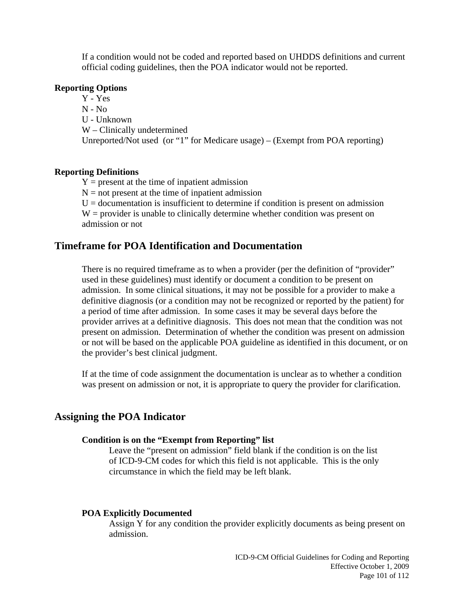If a condition would not be coded and reported based on UHDDS definitions and current official coding guidelines, then the POA indicator would not be reported.

#### **Reporting Options**

 Y - Yes  $N - No$  U - Unknown W – Clinically undetermined Unreported/Not used (or "1" for Medicare usage) – (Exempt from POA reporting)

#### **Reporting Definitions**

- $Y =$  present at the time of inpatient admission
- $N =$  not present at the time of inpatient admission

 $U =$  documentation is insufficient to determine if condition is present on admission  $W =$  provider is unable to clinically determine whether condition was present on admission or not

#### **Timeframe for POA Identification and Documentation**

There is no required timeframe as to when a provider (per the definition of "provider" used in these guidelines) must identify or document a condition to be present on admission. In some clinical situations, it may not be possible for a provider to make a definitive diagnosis (or a condition may not be recognized or reported by the patient) for a period of time after admission. In some cases it may be several days before the provider arrives at a definitive diagnosis. This does not mean that the condition was not present on admission. Determination of whether the condition was present on admission or not will be based on the applicable POA guideline as identified in this document, or on the provider's best clinical judgment.

If at the time of code assignment the documentation is unclear as to whether a condition was present on admission or not, it is appropriate to query the provider for clarification.

#### **Assigning the POA Indicator**

#### **Condition is on the "Exempt from Reporting" list**

 Leave the "present on admission" field blank if the condition is on the list of ICD-9-CM codes for which this field is not applicable. This is the only circumstance in which the field may be left blank.

#### **POA Explicitly Documented**

Assign Y for any condition the provider explicitly documents as being present on admission.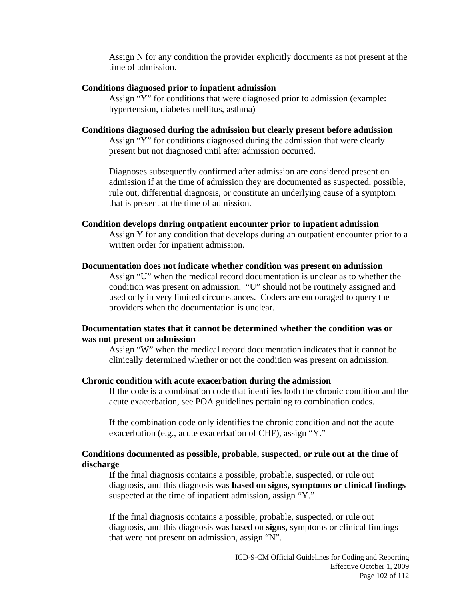Assign N for any condition the provider explicitly documents as not present at the time of admission.

#### **Conditions diagnosed prior to inpatient admission**

Assign "Y" for conditions that were diagnosed prior to admission (example: hypertension, diabetes mellitus, asthma)

# **Conditions diagnosed during the admission but clearly present before admission**

Assign "Y" for conditions diagnosed during the admission that were clearly present but not diagnosed until after admission occurred.

Diagnoses subsequently confirmed after admission are considered present on admission if at the time of admission they are documented as suspected, possible, rule out, differential diagnosis, or constitute an underlying cause of a symptom that is present at the time of admission.

#### **Condition develops during outpatient encounter prior to inpatient admission**

Assign Y for any condition that develops during an outpatient encounter prior to a written order for inpatient admission.

#### **Documentation does not indicate whether condition was present on admission**

Assign "U" when the medical record documentation is unclear as to whether the condition was present on admission. "U" should not be routinely assigned and used only in very limited circumstances. Coders are encouraged to query the providers when the documentation is unclear.

#### **Documentation states that it cannot be determined whether the condition was or was not present on admission**

Assign "W" when the medical record documentation indicates that it cannot be clinically determined whether or not the condition was present on admission.

#### **Chronic condition with acute exacerbation during the admission**

If the code is a combination code that identifies both the chronic condition and the acute exacerbation, see POA guidelines pertaining to combination codes.

If the combination code only identifies the chronic condition and not the acute exacerbation (e.g., acute exacerbation of CHF), assign "Y."

#### **Conditions documented as possible, probable, suspected, or rule out at the time of discharge**

If the final diagnosis contains a possible, probable, suspected, or rule out diagnosis, and this diagnosis was **based on signs, symptoms or clinical findings**  suspected at the time of inpatient admission, assign "Y."

If the final diagnosis contains a possible, probable, suspected, or rule out diagnosis, and this diagnosis was based on **signs,** symptoms or clinical findings that were not present on admission, assign "N".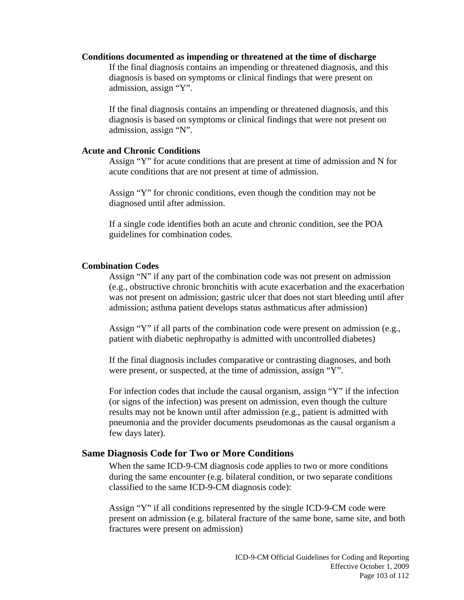#### **Conditions documented as impending or threatened at the time of discharge**

If the final diagnosis contains an impending or threatened diagnosis, and this diagnosis is based on symptoms or clinical findings that were present on admission, assign "Y".

If the final diagnosis contains an impending or threatened diagnosis, and this diagnosis is based on symptoms or clinical findings that were not present on admission, assign "N".

#### **Acute and Chronic Conditions**

Assign "Y" for acute conditions that are present at time of admission and N for acute conditions that are not present at time of admission.

Assign "Y" for chronic conditions, even though the condition may not be diagnosed until after admission.

If a single code identifies both an acute and chronic condition, see the POA guidelines for combination codes.

#### **Combination Codes**

Assign "N" if any part of the combination code was not present on admission (e.g., obstructive chronic bronchitis with acute exacerbation and the exacerbation was not present on admission; gastric ulcer that does not start bleeding until after admission; asthma patient develops status asthmaticus after admission)

Assign "Y" if all parts of the combination code were present on admission (e.g., patient with diabetic nephropathy is admitted with uncontrolled diabetes)

If the final diagnosis includes comparative or contrasting diagnoses, and both were present, or suspected, at the time of admission, assign "Y".

For infection codes that include the causal organism, assign "Y" if the infection (or signs of the infection) was present on admission, even though the culture results may not be known until after admission (e.g., patient is admitted with pneumonia and the provider documents pseudomonas as the causal organism a few days later).

#### **Same Diagnosis Code for Two or More Conditions**

When the same ICD-9-CM diagnosis code applies to two or more conditions during the same encounter (e.g. bilateral condition, or two separate conditions classified to the same ICD-9-CM diagnosis code):

Assign "Y" if all conditions represented by the single ICD-9-CM code were present on admission (e.g. bilateral fracture of the same bone, same site, and both fractures were present on admission)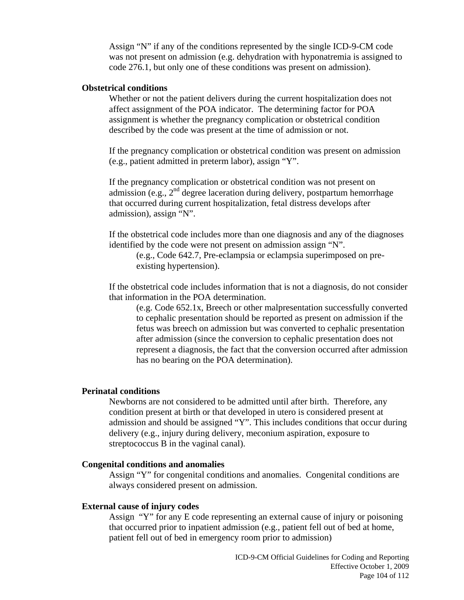Assign "N" if any of the conditions represented by the single ICD-9-CM code was not present on admission (e.g. dehydration with hyponatremia is assigned to code 276.1, but only one of these conditions was present on admission).

#### **Obstetrical conditions**

Whether or not the patient delivers during the current hospitalization does not affect assignment of the POA indicator. The determining factor for POA assignment is whether the pregnancy complication or obstetrical condition described by the code was present at the time of admission or not.

If the pregnancy complication or obstetrical condition was present on admission (e.g., patient admitted in preterm labor), assign "Y".

If the pregnancy complication or obstetrical condition was not present on admission (e.g.,  $2^{nd}$  degree laceration during delivery, postpartum hemorrhage that occurred during current hospitalization, fetal distress develops after admission), assign "N".

If the obstetrical code includes more than one diagnosis and any of the diagnoses identified by the code were not present on admission assign "N".

(e.g., Code 642.7, Pre-eclampsia or eclampsia superimposed on preexisting hypertension).

If the obstetrical code includes information that is not a diagnosis, do not consider that information in the POA determination.

(e.g. Code 652.1x, Breech or other malpresentation successfully converted to cephalic presentation should be reported as present on admission if the fetus was breech on admission but was converted to cephalic presentation after admission (since the conversion to cephalic presentation does not represent a diagnosis, the fact that the conversion occurred after admission has no bearing on the POA determination).

#### **Perinatal conditions**

Newborns are not considered to be admitted until after birth. Therefore, any condition present at birth or that developed in utero is considered present at admission and should be assigned "Y". This includes conditions that occur during delivery (e.g., injury during delivery, meconium aspiration, exposure to streptococcus B in the vaginal canal).

#### **Congenital conditions and anomalies**

Assign "Y" for congenital conditions and anomalies. Congenital conditions are always considered present on admission.

#### **External cause of injury codes**

Assign "Y" for any E code representing an external cause of injury or poisoning that occurred prior to inpatient admission (e.g., patient fell out of bed at home, patient fell out of bed in emergency room prior to admission)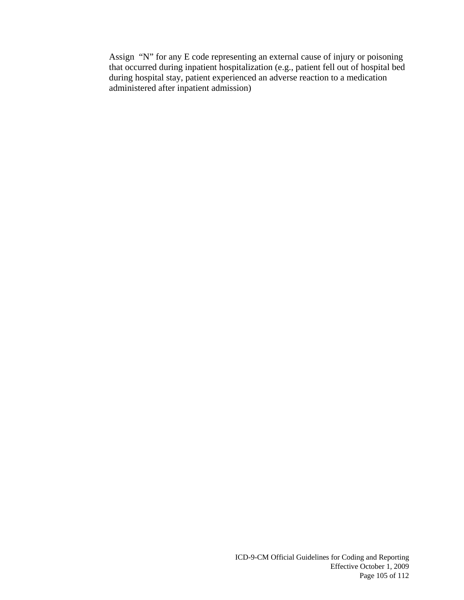Assign "N" for any E code representing an external cause of injury or poisoning that occurred during inpatient hospitalization (e.g., patient fell out of hospital bed during hospital stay, patient experienced an adverse reaction to a medication administered after inpatient admission)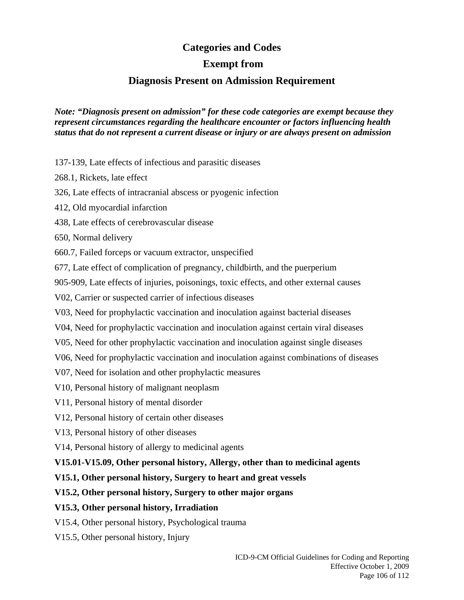## **Categories and Codes**

## **Exempt from**

## **Diagnosis Present on Admission Requirement**

*Note: "Diagnosis present on admission" for these code categories are exempt because they represent circumstances regarding the healthcare encounter or factors influencing health status that do not represent a current disease or injury or are always present on admission* 

137-139, Late effects of infectious and parasitic diseases

268.1, Rickets, late effect

326, Late effects of intracranial abscess or pyogenic infection

412, Old myocardial infarction

438, Late effects of cerebrovascular disease

650, Normal delivery

660.7, Failed forceps or vacuum extractor, unspecified

677, Late effect of complication of pregnancy, childbirth, and the puerperium

905-909, Late effects of injuries, poisonings, toxic effects, and other external causes

V02, Carrier or suspected carrier of infectious diseases

V03, Need for prophylactic vaccination and inoculation against bacterial diseases

V04, Need for prophylactic vaccination and inoculation against certain viral diseases

V05, Need for other prophylactic vaccination and inoculation against single diseases

V06, Need for prophylactic vaccination and inoculation against combinations of diseases

V07, Need for isolation and other prophylactic measures

V10, Personal history of malignant neoplasm

V11, Personal history of mental disorder

V12, Personal history of certain other diseases

V13, Personal history of other diseases

V14, Personal history of allergy to medicinal agents

**V15.01-V15.09, Other personal history, Allergy, other than to medicinal agents** 

**V15.1, Other personal history, Surgery to heart and great vessels** 

**V15.2, Other personal history, Surgery to other major organs** 

**V15.3, Other personal history, Irradiation** 

V15.4, Other personal history, Psychological trauma

V15.5, Other personal history, Injury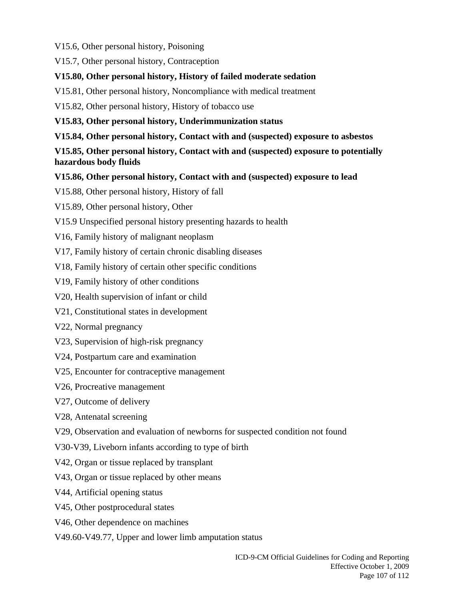V15.6, Other personal history, Poisoning

V15.7, Other personal history, Contraception

#### **V15.80, Other personal history, History of failed moderate sedation**

V15.81, Other personal history, Noncompliance with medical treatment

V15.82, Other personal history, History of tobacco use

#### **V15.83, Other personal history, Underimmunization status**

**V15.84, Other personal history, Contact with and (suspected) exposure to asbestos** 

#### **V15.85, Other personal history, Contact with and (suspected) exposure to potentially hazardous body fluids**

#### **V15.86, Other personal history, Contact with and (suspected) exposure to lead**

V15.88, Other personal history, History of fall

V15.89, Other personal history, Other

V15.9 Unspecified personal history presenting hazards to health

V16, Family history of malignant neoplasm

V17, Family history of certain chronic disabling diseases

V18, Family history of certain other specific conditions

V19, Family history of other conditions

V20, Health supervision of infant or child

V21, Constitutional states in development

V22, Normal pregnancy

- V23, Supervision of high-risk pregnancy
- V24, Postpartum care and examination
- V25, Encounter for contraceptive management

V26, Procreative management

#### V27, Outcome of delivery

### V28, Antenatal screening

- V29, Observation and evaluation of newborns for suspected condition not found
- V30-V39, Liveborn infants according to type of birth
- V42, Organ or tissue replaced by transplant
- V43, Organ or tissue replaced by other means
- V44, Artificial opening status
- V45, Other postprocedural states
- V46, Other dependence on machines

V49.60-V49.77, Upper and lower limb amputation status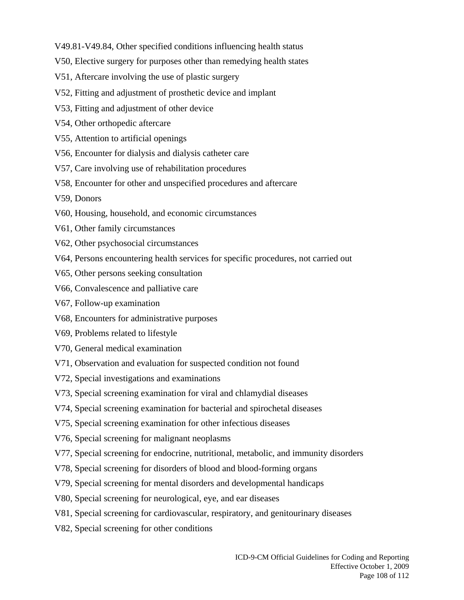- V49.81-V49.84, Other specified conditions influencing health status
- V50, Elective surgery for purposes other than remedying health states
- V51, Aftercare involving the use of plastic surgery
- V52, Fitting and adjustment of prosthetic device and implant
- V53, Fitting and adjustment of other device
- V54, Other orthopedic aftercare
- V55, Attention to artificial openings
- V56, Encounter for dialysis and dialysis catheter care
- V57, Care involving use of rehabilitation procedures
- V58, Encounter for other and unspecified procedures and aftercare

V59, Donors

- V60, Housing, household, and economic circumstances
- V61, Other family circumstances
- V62, Other psychosocial circumstances
- V64, Persons encountering health services for specific procedures, not carried out
- V65, Other persons seeking consultation
- V66, Convalescence and palliative care
- V67, Follow-up examination
- V68, Encounters for administrative purposes
- V69, Problems related to lifestyle
- V70, General medical examination
- V71, Observation and evaluation for suspected condition not found
- V72, Special investigations and examinations
- V73, Special screening examination for viral and chlamydial diseases
- V74, Special screening examination for bacterial and spirochetal diseases
- V75, Special screening examination for other infectious diseases
- V76, Special screening for malignant neoplasms
- V77, Special screening for endocrine, nutritional, metabolic, and immunity disorders
- V78, Special screening for disorders of blood and blood-forming organs
- V79, Special screening for mental disorders and developmental handicaps
- V80, Special screening for neurological, eye, and ear diseases
- V81, Special screening for cardiovascular, respiratory, and genitourinary diseases
- V82, Special screening for other conditions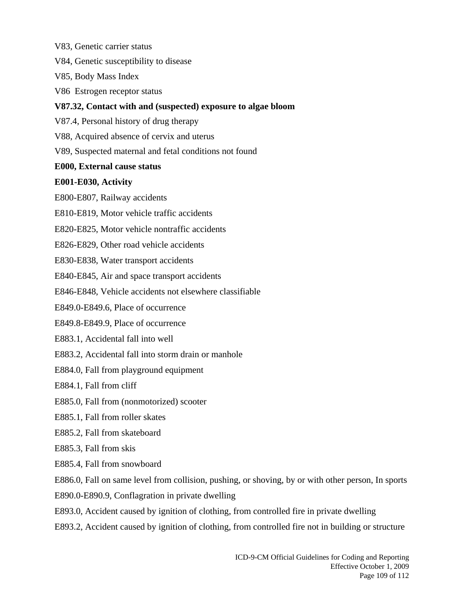- V83, Genetic carrier status
- V84, Genetic susceptibility to disease
- V85, Body Mass Index
- V86 Estrogen receptor status

## **V87.32, Contact with and (suspected) exposure to algae bloom**

- V87.4, Personal history of drug therapy
- V88, Acquired absence of cervix and uterus
- V89, Suspected maternal and fetal conditions not found

## **E000, External cause status**

## **E001-E030, Activity**

E800-E807, Railway accidents

- E810-E819, Motor vehicle traffic accidents
- E820-E825, Motor vehicle nontraffic accidents
- E826-E829, Other road vehicle accidents
- E830-E838, Water transport accidents
- E840-E845, Air and space transport accidents
- E846-E848, Vehicle accidents not elsewhere classifiable
- E849.0-E849.6, Place of occurrence
- E849.8-E849.9, Place of occurrence
- E883.1, Accidental fall into well
- E883.2, Accidental fall into storm drain or manhole
- E884.0, Fall from playground equipment
- E884.1, Fall from cliff
- E885.0, Fall from (nonmotorized) scooter
- E885.1, Fall from roller skates
- E885.2, Fall from skateboard
- E885.3, Fall from skis
- E885.4, Fall from snowboard
- E886.0, Fall on same level from collision, pushing, or shoving, by or with other person, In sports
- E890.0-E890.9, Conflagration in private dwelling
- E893.0, Accident caused by ignition of clothing, from controlled fire in private dwelling
- E893.2, Accident caused by ignition of clothing, from controlled fire not in building or structure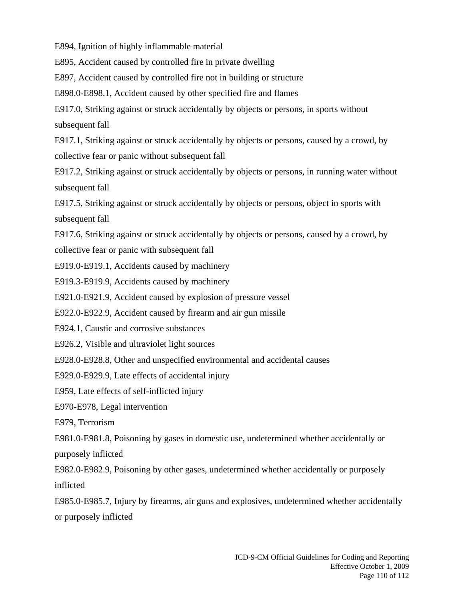E894, Ignition of highly inflammable material

E895, Accident caused by controlled fire in private dwelling

E897, Accident caused by controlled fire not in building or structure

E898.0-E898.1, Accident caused by other specified fire and flames

E917.0, Striking against or struck accidentally by objects or persons, in sports without subsequent fall

E917.1, Striking against or struck accidentally by objects or persons, caused by a crowd, by collective fear or panic without subsequent fall

E917.2, Striking against or struck accidentally by objects or persons, in running water without subsequent fall

E917.5, Striking against or struck accidentally by objects or persons, object in sports with subsequent fall

E917.6, Striking against or struck accidentally by objects or persons, caused by a crowd, by collective fear or panic with subsequent fall

E919.0-E919.1, Accidents caused by machinery

E919.3-E919.9, Accidents caused by machinery

E921.0-E921.9, Accident caused by explosion of pressure vessel

E922.0-E922.9, Accident caused by firearm and air gun missile

E924.1, Caustic and corrosive substances

E926.2, Visible and ultraviolet light sources

E928.0-E928.8, Other and unspecified environmental and accidental causes

E929.0-E929.9, Late effects of accidental injury

E959, Late effects of self-inflicted injury

E970-E978, Legal intervention

E979, Terrorism

E981.0-E981.8, Poisoning by gases in domestic use, undetermined whether accidentally or

purposely inflicted

E982.0-E982.9, Poisoning by other gases, undetermined whether accidentally or purposely inflicted

E985.0-E985.7, Injury by firearms, air guns and explosives, undetermined whether accidentally or purposely inflicted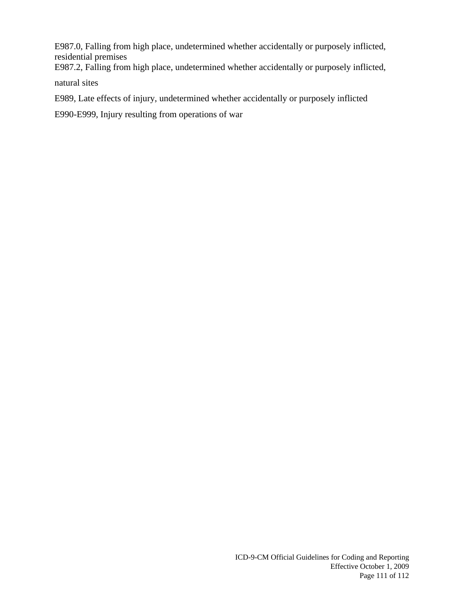E987.0, Falling from high place, undetermined whether accidentally or purposely inflicted, residential premises

E987.2, Falling from high place, undetermined whether accidentally or purposely inflicted,

natural sites

E989, Late effects of injury, undetermined whether accidentally or purposely inflicted

E990-E999, Injury resulting from operations of war